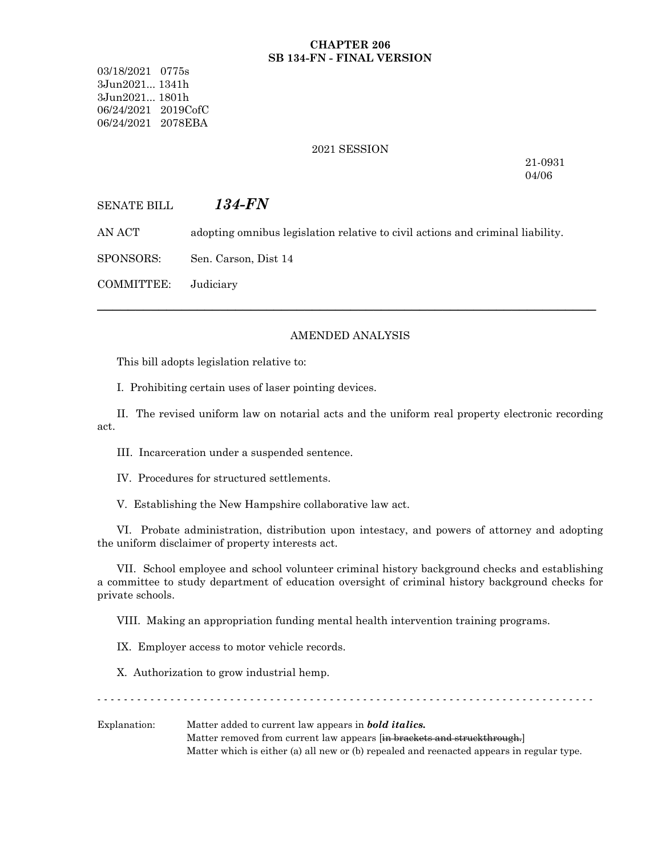#### **CHAPTER 206 SB 134-FN - FINAL VERSION**

03/18/2021 0775s 3Jun2021... 1341h 3Jun2021... 1801h 06/24/2021 2019CofC 06/24/2021 2078EBA

#### 2021 SESSION

21-0931 04/06

# SENATE BILL *134-FN*

AN ACT adopting omnibus legislation relative to civil actions and criminal liability.

SPONSORS: Sen. Carson, Dist 14

COMMITTEE: Judiciary

#### AMENDED ANALYSIS

─────────────────────────────────────────────────────────────────

This bill adopts legislation relative to:

I. Prohibiting certain uses of laser pointing devices.

II. The revised uniform law on notarial acts and the uniform real property electronic recording act.

III. Incarceration under a suspended sentence.

IV. Procedures for structured settlements.

V. Establishing the New Hampshire collaborative law act.

VI. Probate administration, distribution upon intestacy, and powers of attorney and adopting the uniform disclaimer of property interests act.

VII. School employee and school volunteer criminal history background checks and establishing a committee to study department of education oversight of criminal history background checks for private schools.

VIII. Making an appropriation funding mental health intervention training programs.

IX. Employer access to motor vehicle records.

X. Authorization to grow industrial hemp.

- - - - - - - - - - - - - - - - - - - - - - - - - - - - - - - - - - - - - - - - - - - - - - - - - - - - - - - - - - - - - - - - - - - - - - - - - - -

Explanation: Matter added to current law appears in *bold italics.* Matter removed from current law appears [in brackets and struckthrough.] Matter which is either (a) all new or (b) repealed and reenacted appears in regular type.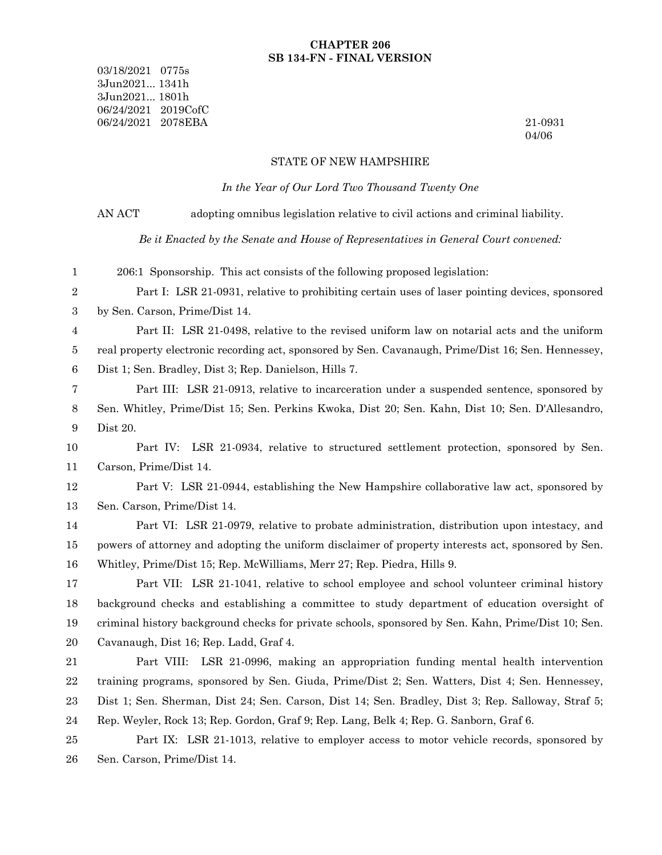#### **CHAPTER 206 SB 134-FN - FINAL VERSION**

03/18/2021 0775s 3Jun2021... 1341h 3Jun2021... 1801h 06/24/2021 2019CofC 06/24/2021 2078EBA 21-0931

04/06

#### STATE OF NEW HAMPSHIRE

*In the Year of Our Lord Two Thousand Twenty One*

AN ACT adopting omnibus legislation relative to civil actions and criminal liability.

*Be it Enacted by the Senate and House of Representatives in General Court convened:*

206:1 Sponsorship. This act consists of the following proposed legislation: 1

Part I: LSR 21-0931, relative to prohibiting certain uses of laser pointing devices, sponsored by Sen. Carson, Prime/Dist 14. 2 3

Part II: LSR 21-0498, relative to the revised uniform law on notarial acts and the uniform real property electronic recording act, sponsored by Sen. Cavanaugh, Prime/Dist 16; Sen. Hennessey, Dist 1; Sen. Bradley, Dist 3; Rep. Danielson, Hills 7. 4 5 6

Part III: LSR 21-0913, relative to incarceration under a suspended sentence, sponsored by Sen. Whitley, Prime/Dist 15; Sen. Perkins Kwoka, Dist 20; Sen. Kahn, Dist 10; Sen. D'Allesandro, Dist 20. 7 8 9

Part IV: LSR 21-0934, relative to structured settlement protection, sponsored by Sen. Carson, Prime/Dist 14. 10 11

Part V: LSR 21-0944, establishing the New Hampshire collaborative law act, sponsored by Sen. Carson, Prime/Dist 14. 12 13

Part VI: LSR 21-0979, relative to probate administration, distribution upon intestacy, and powers of attorney and adopting the uniform disclaimer of property interests act, sponsored by Sen. Whitley, Prime/Dist 15; Rep. McWilliams, Merr 27; Rep. Piedra, Hills 9. 14 15 16

Part VII: LSR 21-1041, relative to school employee and school volunteer criminal history background checks and establishing a committee to study department of education oversight of criminal history background checks for private schools, sponsored by Sen. Kahn, Prime/Dist 10; Sen. Cavanaugh, Dist 16; Rep. Ladd, Graf 4. 17 18 19 20

Part VIII: LSR 21-0996, making an appropriation funding mental health intervention training programs, sponsored by Sen. Giuda, Prime/Dist 2; Sen. Watters, Dist 4; Sen. Hennessey, Dist 1; Sen. Sherman, Dist 24; Sen. Carson, Dist 14; Sen. Bradley, Dist 3; Rep. Salloway, Straf 5; Rep. Weyler, Rock 13; Rep. Gordon, Graf 9; Rep. Lang, Belk 4; Rep. G. Sanborn, Graf 6. 21 22 23 24

Part IX: LSR 21-1013, relative to employer access to motor vehicle records, sponsored by Sen. Carson, Prime/Dist 14. 25 26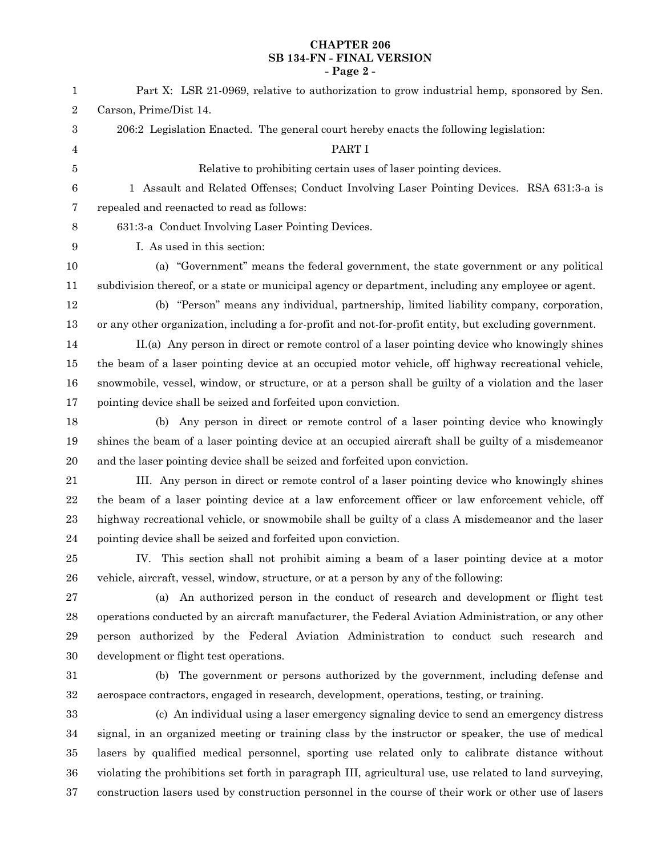# **CHAPTER 206 SB 134-FN - FINAL VERSION - Page 2 -**

| $\mathbf 1$      | Part X: LSR 21-0969, relative to authorization to grow industrial hemp, sponsored by Sen.               |
|------------------|---------------------------------------------------------------------------------------------------------|
| $\,2$            | Carson, Prime/Dist 14.                                                                                  |
| $\boldsymbol{3}$ | 206:2 Legislation Enacted. The general court hereby enacts the following legislation:                   |
| 4                | PART I                                                                                                  |
| 5                | Relative to prohibiting certain uses of laser pointing devices.                                         |
| $\,6$            | 1 Assault and Related Offenses; Conduct Involving Laser Pointing Devices. RSA 631:3-a is                |
| 7                | repealed and reenacted to read as follows:                                                              |
| 8                | 631:3-a Conduct Involving Laser Pointing Devices.                                                       |
| $\boldsymbol{9}$ | I. As used in this section:                                                                             |
| 10               | (a) "Government" means the federal government, the state government or any political                    |
| 11               | subdivision thereof, or a state or municipal agency or department, including any employee or agent.     |
| 12               | (b) "Person" means any individual, partnership, limited liability company, corporation,                 |
| 13               | or any other organization, including a for-profit and not-for-profit entity, but excluding government.  |
| 14               | II.(a) Any person in direct or remote control of a laser pointing device who knowingly shines           |
| 15               | the beam of a laser pointing device at an occupied motor vehicle, off highway recreational vehicle,     |
| 16               | snowmobile, vessel, window, or structure, or at a person shall be guilty of a violation and the laser   |
| 17               | pointing device shall be seized and forfeited upon conviction.                                          |
| 18               | (b) Any person in direct or remote control of a laser pointing device who knowingly                     |
| 19               | shines the beam of a laser pointing device at an occupied aircraft shall be guilty of a misdemeanor     |
| 20               | and the laser pointing device shall be seized and forfeited upon conviction.                            |
| 21               | III. Any person in direct or remote control of a laser pointing device who knowingly shines             |
| $\bf{22}$        | the beam of a laser pointing device at a law enforcement officer or law enforcement vehicle, off        |
| 23               | highway recreational vehicle, or snowmobile shall be guilty of a class A misdemeanor and the laser      |
| 24               | pointing device shall be seized and forfeited upon conviction.                                          |
| 25               | IV. This section shall not prohibit aiming a beam of a laser pointing device at a motor                 |
| ${\bf 26}$       | vehicle, aircraft, vessel, window, structure, or at a person by any of the following:                   |
| 27               | An authorized person in the conduct of research and development or flight test<br>(a)                   |
| 28               | operations conducted by an aircraft manufacturer, the Federal Aviation Administration, or any other     |
| 29               | person authorized by the Federal Aviation Administration to conduct such research and                   |
| $30\,$           | development or flight test operations.                                                                  |
| 31               | The government or persons authorized by the government, including defense and<br>(b)                    |
| $32\,$           | aerospace contractors, engaged in research, development, operations, testing, or training.              |
| 33               | (c) An individual using a laser emergency signaling device to send an emergency distress                |
| 34               | signal, in an organized meeting or training class by the instructor or speaker, the use of medical      |
| 35               | lasers by qualified medical personnel, sporting use related only to calibrate distance without          |
| 36               | violating the prohibitions set forth in paragraph III, agricultural use, use related to land surveying, |
| 37               | construction lasers used by construction personnel in the course of their work or other use of lasers   |
|                  |                                                                                                         |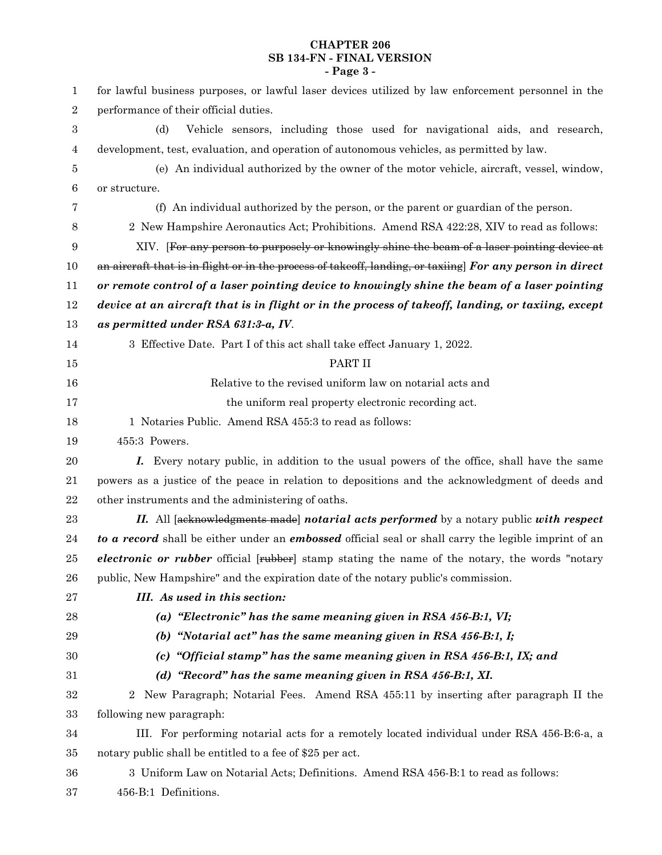# **CHAPTER 206 SB 134-FN - FINAL VERSION - Page 3 -**

| 1                | for lawful business purposes, or lawful laser devices utilized by law enforcement personnel in the                 |
|------------------|--------------------------------------------------------------------------------------------------------------------|
| $\boldsymbol{2}$ | performance of their official duties.                                                                              |
| 3                | Vehicle sensors, including those used for navigational aids, and research,<br>(d)                                  |
| 4                | development, test, evaluation, and operation of autonomous vehicles, as permitted by law.                          |
| 5                | (e) An individual authorized by the owner of the motor vehicle, aircraft, vessel, window,                          |
| $\boldsymbol{6}$ | or structure.                                                                                                      |
| 7                | (f) An individual authorized by the person, or the parent or guardian of the person.                               |
| 8                | 2 New Hampshire Aeronautics Act; Prohibitions. Amend RSA 422:28, XIV to read as follows:                           |
| 9                | XIV. [For any person to purposely or knowingly shine the beam of a laser pointing device at                        |
| 10               | an aircraft that is in flight or in the process of takeoff, landing, or taxiing For any person in direct           |
| 11               | or remote control of a laser pointing device to knowingly shine the beam of a laser pointing                       |
| 12               | device at an aircraft that is in flight or in the process of takeoff, landing, or taxiing, except                  |
| 13               | as permitted under RSA 631:3-a, IV.                                                                                |
| 14               | 3 Effective Date. Part I of this act shall take effect January 1, 2022.                                            |
| 15               | PART II                                                                                                            |
| 16               | Relative to the revised uniform law on notarial acts and                                                           |
| 17               | the uniform real property electronic recording act.                                                                |
| 18               | 1 Notaries Public. Amend RSA 455:3 to read as follows:                                                             |
| 19               | 455:3 Powers.                                                                                                      |
| 20               | Every notary public, in addition to the usual powers of the office, shall have the same<br>I.                      |
| 21               | powers as a justice of the peace in relation to depositions and the acknowledgment of deeds and                    |
| 22               | other instruments and the administering of oaths.                                                                  |
| 23               | II. All [acknowledgments made] notarial acts performed by a notary public with respect                             |
| 24               | to a record shall be either under an <i>embossed</i> official seal or shall carry the legible imprint of an        |
| 25               | <i>electronic or rubber</i> official [ <del>rubber</del> ] stamp stating the name of the notary, the words "notary |
| 26               | public, New Hampshire" and the expiration date of the notary public's commission.                                  |
| 27               | III. As used in this section:                                                                                      |
| 28               | (a) "Electronic" has the same meaning given in RSA $456$ -B:1, VI;                                                 |
| 29               | (b) "Notarial act" has the same meaning given in RSA $456$ -B:1, I;                                                |
| 30               | "Official stamp" has the same meaning given in RSA 456-B:1, IX; and<br>(c)                                         |
| 31               | (d) "Record" has the same meaning given in RSA 456-B:1, XI.                                                        |
| $32\,$           | New Paragraph; Notarial Fees. Amend RSA 455:11 by inserting after paragraph II the<br>$\overline{2}$               |
| 33               | following new paragraph:                                                                                           |
| 34               | III. For performing notarial acts for a remotely located individual under RSA 456-B:6-a, a                         |
| $35\,$           | notary public shall be entitled to a fee of \$25 per act.                                                          |
| 36               | 3 Uniform Law on Notarial Acts; Definitions. Amend RSA 456-B:1 to read as follows:                                 |
| 37               | 456-B:1 Definitions.                                                                                               |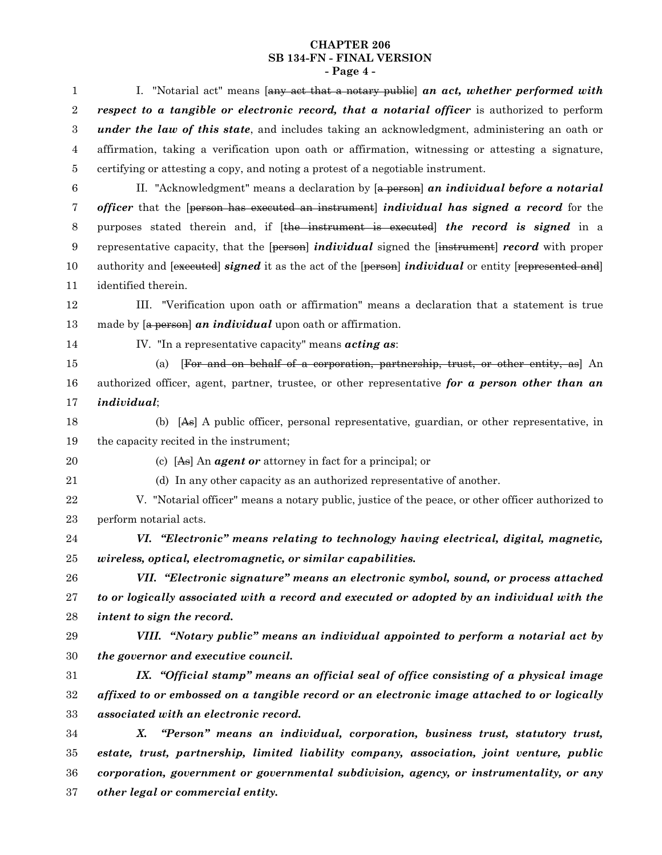#### **CHAPTER 206 SB 134-FN - FINAL VERSION - Page 4 -**

I. "Notarial act" means [any act that a notary public] *an act, whether performed with respect to a tangible or electronic record, that a notarial officer* is authorized to perform *under the law of this state*, and includes taking an acknowledgment, administering an oath or affirmation, taking a verification upon oath or affirmation, witnessing or attesting a signature, certifying or attesting a copy, and noting a protest of a negotiable instrument. II. "Acknowledgment" means a declaration by [a person] *an individual before a notarial officer* that the [person has executed an instrument] *individual has signed a record* for the purposes stated therein and, if [the instrument is executed] *the record is signed* in a representative capacity, that the [person] *individual* signed the [instrument] *record* with proper authority and [executed] *signed* it as the act of the [person] *individual* or entity [represented and] identified therein. III. "Verification upon oath or affirmation" means a declaration that a statement is true made by [a person] *an individual* upon oath or affirmation. IV. "In a representative capacity" means *acting as*: (a) [For and on behalf of a corporation, partnership, trust, or other entity, as] An authorized officer, agent, partner, trustee, or other representative *for a person other than an individual*; (b) [As] A public officer, personal representative, guardian, or other representative, in the capacity recited in the instrument; (c) [As] An *agent or* attorney in fact for a principal; or (d) In any other capacity as an authorized representative of another. V. "Notarial officer" means a notary public, justice of the peace, or other officer authorized to perform notarial acts. *VI. "Electronic" means relating to technology having electrical, digital, magnetic, wireless, optical, electromagnetic, or similar capabilities. VII. "Electronic signature" means an electronic symbol, sound, or process attached to or logically associated with a record and executed or adopted by an individual with the intent to sign the record. VIII. "Notary public" means an individual appointed to perform a notarial act by the governor and executive council. IX. "Official stamp" means an official seal of office consisting of a physical image affixed to or embossed on a tangible record or an electronic image attached to or logically associated with an electronic record. X. "Person" means an individual, corporation, business trust, statutory trust, estate, trust, partnership, limited liability company, association, joint venture, public corporation, government or governmental subdivision, agency, or instrumentality, or any other legal or commercial entity.* 1 2 3 4 5 6 7 8 9 10 11 12 13 14 15 16 17 18 19 20 21 22 23 24 25 26 27 28 29 30 31 32 33 34 35 36 37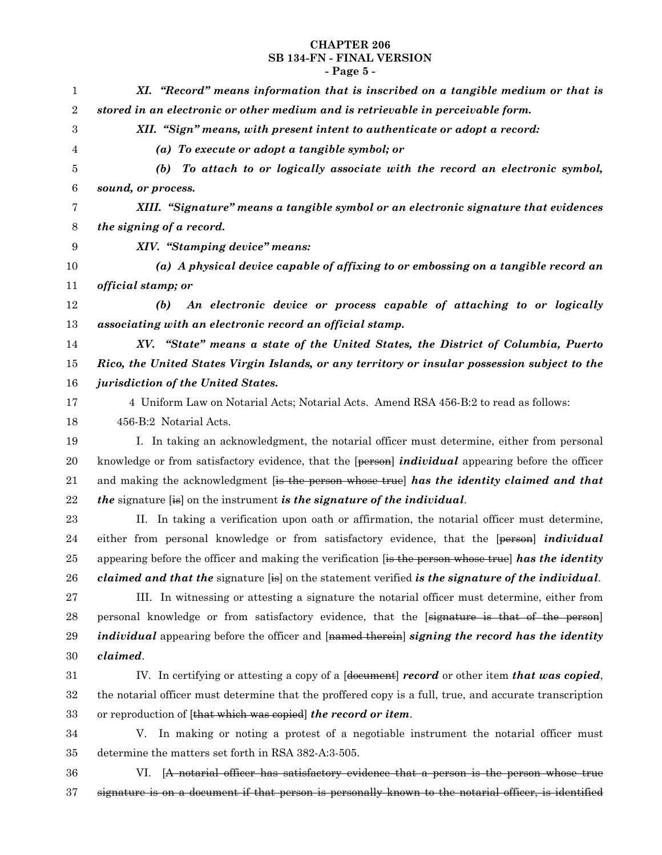# **CHAPTER 206 SB 134-FN - FINAL VERSION - Page 5 -**

| 1                | XI. "Record" means information that is inscribed on a tangible medium or that is                          |
|------------------|-----------------------------------------------------------------------------------------------------------|
| $\sqrt{2}$       | stored in an electronic or other medium and is retrievable in perceivable form.                           |
| 3                | XII. "Sign" means, with present intent to authenticate or adopt a record:                                 |
| 4                | (a) To execute or adopt a tangible symbol; or                                                             |
| 5                | To attach to or logically associate with the record an electronic symbol,<br>(b)                          |
| $\boldsymbol{6}$ | sound, or process.                                                                                        |
| 7                | XIII. "Signature" means a tangible symbol or an electronic signature that evidences                       |
| 8                | the signing of a record.                                                                                  |
| $\boldsymbol{9}$ | XIV. "Stamping device" means:                                                                             |
| 10               | (a) A physical device capable of affixing to or embossing on a tangible record an                         |
| 11               | official stamp; or                                                                                        |
| 12               | An electronic device or process capable of attaching to or logically<br>(b)                               |
| 13               | associating with an electronic record an official stamp.                                                  |
| 14               | XV. "State" means a state of the United States, the District of Columbia, Puerto                          |
| 15               | Rico, the United States Virgin Islands, or any territory or insular possession subject to the             |
| 16               | jurisdiction of the United States.                                                                        |
| 17               | 4 Uniform Law on Notarial Acts; Notarial Acts. Amend RSA 456-B:2 to read as follows:                      |
| 18               | 456-B:2 Notarial Acts.                                                                                    |
| 19               | I. In taking an acknowledgment, the notarial officer must determine, either from personal                 |
| 20               | knowledge or from satisfactory evidence, that the [person] <i>individual</i> appearing before the officer |
| 21               | and making the acknowledgment [is the person whose true] has the identity claimed and that                |
| 22               | <i>the</i> signature [is] on the instrument is the signature of the individual.                           |
| 23               | II. In taking a verification upon oath or affirmation, the notarial officer must determine,               |
| 24               | either from personal knowledge or from satisfactory evidence, that the [person] <i>individual</i>         |
| 25               | appearing before the officer and making the verification [is the person whose true] has the identity      |
| 26               | <i>claimed and that the signature</i> [is] on the statement verified is the signature of the individual.  |
| 27               | III. In witnessing or attesting a signature the notarial officer must determine, either from              |
| 28               | personal knowledge or from satisfactory evidence, that the [signature is that of the person]              |
| 29               | <i>individual</i> appearing before the officer and [named therein] signing the record has the identity    |
| 30               | claimed.                                                                                                  |
| 31               | IV. In certifying or attesting a copy of a [doeument] record or other item that was copied,               |
| 32               | the notarial officer must determine that the proffered copy is a full, true, and accurate transcription   |
| 33               | or reproduction of [that which was copied] the record or item.                                            |
| 34               | V. In making or noting a protest of a negotiable instrument the notarial officer must                     |
| 35               | determine the matters set forth in RSA 382-A:3-505.                                                       |
| 36               | VI. [A notarial officer has satisfactory evidence that a person is the person whose true                  |
| 37               | signature is on a document if that person is personally known to the notarial officer, is identified      |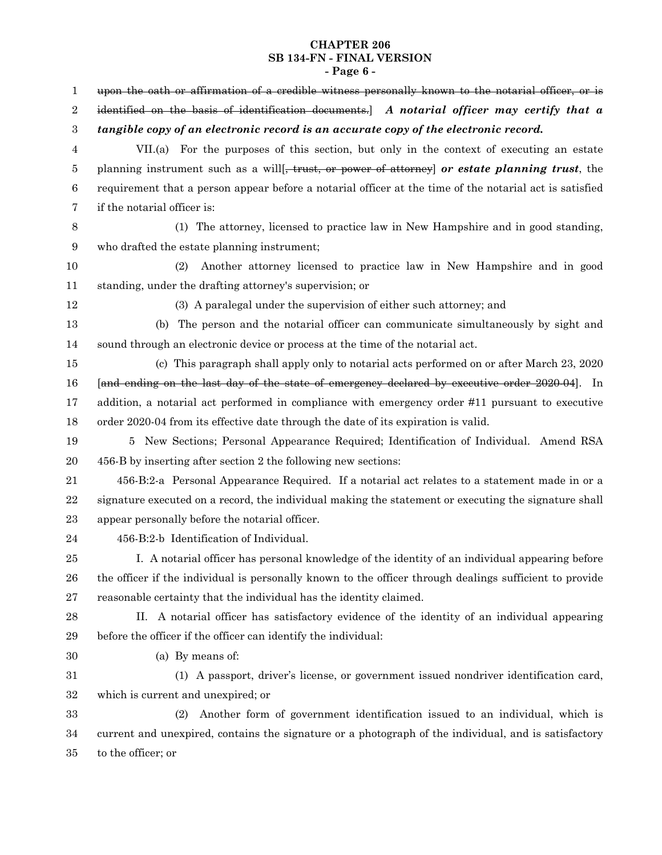# **CHAPTER 206 SB 134-FN - FINAL VERSION - Page 6 -**

| 1                | upon the oath or affirmation of a credible witness personally known to the notarial officer, or is        |
|------------------|-----------------------------------------------------------------------------------------------------------|
| $\overline{2}$   | identified on the basis of identification documents. $\vert$ A notarial officer may certify that a        |
| $\boldsymbol{3}$ | tangible copy of an electronic record is an accurate copy of the electronic record.                       |
| 4                | VII.(a) For the purposes of this section, but only in the context of executing an estate                  |
| 5                | planning instrument such as a will <del>, trust, or power of attorney</del> or estate planning trust, the |
| $\,6$            | requirement that a person appear before a notarial officer at the time of the notarial act is satisfied   |
| 7                | if the notarial officer is:                                                                               |
| 8                | (1) The attorney, licensed to practice law in New Hampshire and in good standing,                         |
| 9                | who drafted the estate planning instrument;                                                               |
| 10               | (2)<br>Another attorney licensed to practice law in New Hampshire and in good                             |
| 11               | standing, under the drafting attorney's supervision; or                                                   |
| $12\,$           | (3) A paralegal under the supervision of either such attorney; and                                        |
| 13               | (b) The person and the notarial officer can communicate simultaneously by sight and                       |
| 14               | sound through an electronic device or process at the time of the notarial act.                            |
| $15\,$           | (c) This paragraph shall apply only to notarial acts performed on or after March 23, 2020                 |
| 16               | [and ending on the last day of the state of emergency declared by executive order 2020-04]. In            |
| 17               | addition, a notarial act performed in compliance with emergency order #11 pursuant to executive           |
| 18               | order 2020-04 from its effective date through the date of its expiration is valid.                        |
| 19               | 5 New Sections; Personal Appearance Required; Identification of Individual. Amend RSA                     |
| 20               | 456-B by inserting after section 2 the following new sections:                                            |
| 21               | 456-B:2-a Personal Appearance Required. If a notarial act relates to a statement made in or a             |
| 22               | signature executed on a record, the individual making the statement or executing the signature shall      |
| 23               | appear personally before the notarial officer.                                                            |
| 24               | 456-B:2-b Identification of Individual.                                                                   |
| 25               | I. A notarial officer has personal knowledge of the identity of an individual appearing before            |
| 26               | the officer if the individual is personally known to the officer through dealings sufficient to provide   |
| 27               | reasonable certainty that the individual has the identity claimed.                                        |
| 28               | II. A notarial officer has satisfactory evidence of the identity of an individual appearing               |
| 29               | before the officer if the officer can identify the individual:                                            |
| 30               | (a) By means of:                                                                                          |
| $31\,$           | (1) A passport, driver's license, or government issued nondriver identification card,                     |
| $32\,$           | which is current and unexpired; or                                                                        |
| 33               | Another form of government identification issued to an individual, which is<br>(2)                        |
| 34               | current and unexpired, contains the signature or a photograph of the individual, and is satisfactory      |
| $35\,$           | to the officer; or                                                                                        |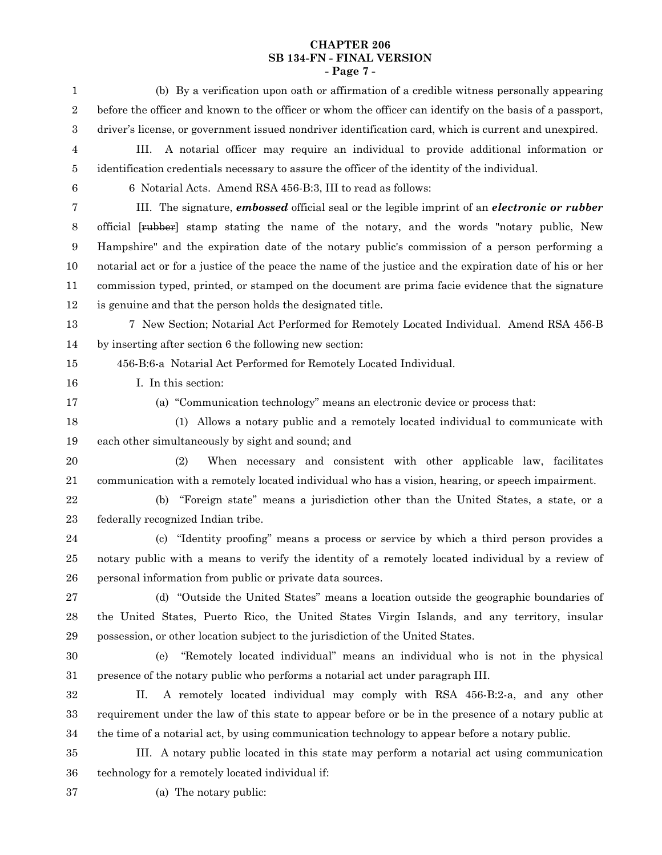# **CHAPTER 206 SB 134-FN - FINAL VERSION - Page 7 -**

| $\mathbf{1}$     | (b) By a verification upon oath or affirmation of a credible witness personally appearing                  |
|------------------|------------------------------------------------------------------------------------------------------------|
| $\sqrt{2}$       | before the officer and known to the officer or whom the officer can identify on the basis of a passport,   |
| $\,3$            | driver's license, or government issued nondriver identification card, which is current and unexpired.      |
| 4                | A notarial officer may require an individual to provide additional information or<br>III.                  |
| 5                | identification credentials necessary to assure the officer of the identity of the individual.              |
| $\boldsymbol{6}$ | 6 Notarial Acts. Amend RSA 456-B:3, III to read as follows:                                                |
| 7                | III. The signature, <i>embossed</i> official seal or the legible imprint of an <i>electronic or rubber</i> |
| $8\phantom{1}$   | official [ <del>rubber</del> ] stamp stating the name of the notary, and the words "notary public, New     |
| 9                | Hampshire" and the expiration date of the notary public's commission of a person performing a              |
| 10               | notarial act or for a justice of the peace the name of the justice and the expiration date of his or her   |
| 11               | commission typed, printed, or stamped on the document are prima facie evidence that the signature          |
| 12               | is genuine and that the person holds the designated title.                                                 |
| 13               | 7 New Section; Notarial Act Performed for Remotely Located Individual. Amend RSA 456-B                     |
| 14               | by inserting after section 6 the following new section:                                                    |
| 15               | 456-B:6-a Notarial Act Performed for Remotely Located Individual.                                          |
| 16               | I. In this section:                                                                                        |
| 17               | (a) "Communication technology" means an electronic device or process that:                                 |
| 18               | (1) Allows a notary public and a remotely located individual to communicate with                           |
| 19               | each other simultaneously by sight and sound; and                                                          |
| 20               | When necessary and consistent with other applicable law, facilitates<br>(2)                                |
| 21               | communication with a remotely located individual who has a vision, hearing, or speech impairment.          |
| 22               | "Foreign state" means a jurisdiction other than the United States, a state, or a<br>(b)                    |
| 23               | federally recognized Indian tribe.                                                                         |
| 24               | (c) "Identity proofing" means a process or service by which a third person provides a                      |
| 25               | notary public with a means to verify the identity of a remotely located individual by a review of          |
| 26               | personal information from public or private data sources.                                                  |
| 27               | (d) "Outside the United States" means a location outside the geographic boundaries of                      |
| 28               | the United States, Puerto Rico, the United States Virgin Islands, and any territory, insular               |
| 29               | possession, or other location subject to the jurisdiction of the United States.                            |
| 30               | "Remotely located individual" means an individual who is not in the physical<br>(e)                        |
| 31               | presence of the notary public who performs a notarial act under paragraph III.                             |
| $32\,$           | A remotely located individual may comply with RSA 456-B:2-a, and any other<br>П.                           |
| $33\,$           | requirement under the law of this state to appear before or be in the presence of a notary public at       |
| 34               | the time of a notarial act, by using communication technology to appear before a notary public.            |
| $35\,$           | III. A notary public located in this state may perform a notarial act using communication                  |
| 36               | technology for a remotely located individual if:                                                           |
|                  |                                                                                                            |

- 37
- (a) The notary public: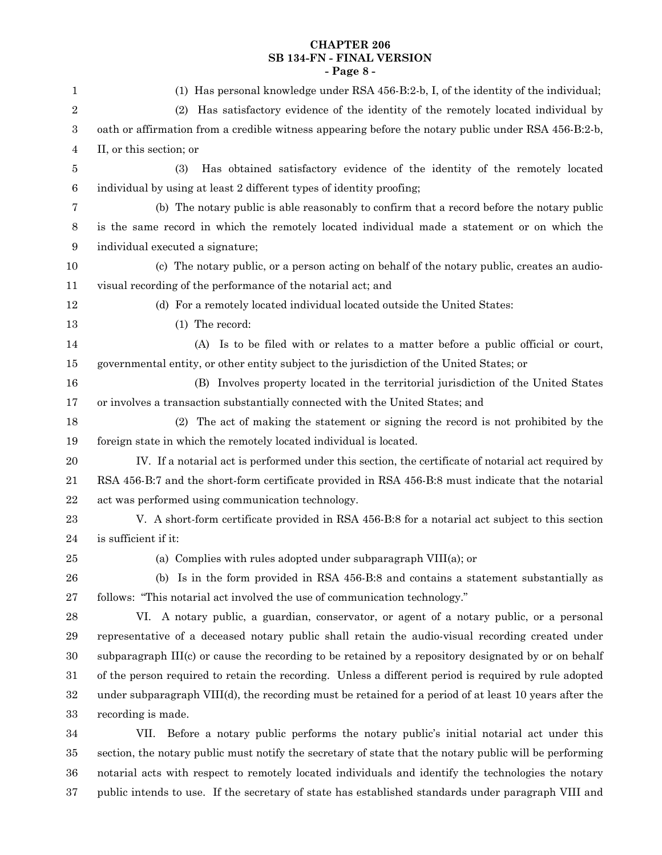# **CHAPTER 206 SB 134-FN - FINAL VERSION - Page 8 -**

| $\mathbf{1}$ | (1) Has personal knowledge under RSA 456-B:2-b, I, of the identity of the individual;                   |
|--------------|---------------------------------------------------------------------------------------------------------|
| 2            | Has satisfactory evidence of the identity of the remotely located individual by<br>(2)                  |
| 3            | oath or affirmation from a credible witness appearing before the notary public under RSA 456-B:2-b,     |
| 4            | II, or this section; or                                                                                 |
| 5            | Has obtained satisfactory evidence of the identity of the remotely located<br>(3)                       |
| $\,6$        | individual by using at least 2 different types of identity proofing;                                    |
| 7            | (b) The notary public is able reasonably to confirm that a record before the notary public              |
| 8            | is the same record in which the remotely located individual made a statement or on which the            |
| 9            | individual executed a signature;                                                                        |
| 10           | (c) The notary public, or a person acting on behalf of the notary public, creates an audio-             |
| 11           | visual recording of the performance of the notarial act; and                                            |
| 12           | (d) For a remotely located individual located outside the United States:                                |
| 13           | (1) The record:                                                                                         |
| 14           | (A) Is to be filed with or relates to a matter before a public official or court,                       |
| 15           | governmental entity, or other entity subject to the jurisdiction of the United States; or               |
| 16           | (B) Involves property located in the territorial jurisdiction of the United States                      |
| 17           | or involves a transaction substantially connected with the United States; and                           |
| 18           | (2) The act of making the statement or signing the record is not prohibited by the                      |
| 19           | foreign state in which the remotely located individual is located.                                      |
| 20           | IV. If a notarial act is performed under this section, the certificate of notarial act required by      |
| 21           | RSA 456-B:7 and the short-form certificate provided in RSA 456-B:8 must indicate that the notarial      |
| 22           | act was performed using communication technology.                                                       |
| 23           | V. A short-form certificate provided in RSA 456-B:8 for a notarial act subject to this section          |
| 24           | is sufficient if it:                                                                                    |
| 25           | (a) Complies with rules adopted under subparagraph VIII(a); or                                          |
| 26           | (b) Is in the form provided in RSA 456-B:8 and contains a statement substantially as                    |
| 27           | follows: "This notarial act involved the use of communication technology."                              |
| 28           | VI. A notary public, a guardian, conservator, or agent of a notary public, or a personal                |
| 29           | representative of a deceased notary public shall retain the audio-visual recording created under        |
| 30           | subparagraph III(c) or cause the recording to be retained by a repository designated by or on behalf    |
| 31           | of the person required to retain the recording. Unless a different period is required by rule adopted   |
| 32           | under subparagraph VIII(d), the recording must be retained for a period of at least 10 years after the  |
| $33\,$       | recording is made.                                                                                      |
| 34           | Before a notary public performs the notary public's initial notarial act under this<br>VII.             |
| $35\,$       | section, the notary public must notify the secretary of state that the notary public will be performing |

public intends to use. If the secretary of state has established standards under paragraph VIII and 37

36

notarial acts with respect to remotely located individuals and identify the technologies the notary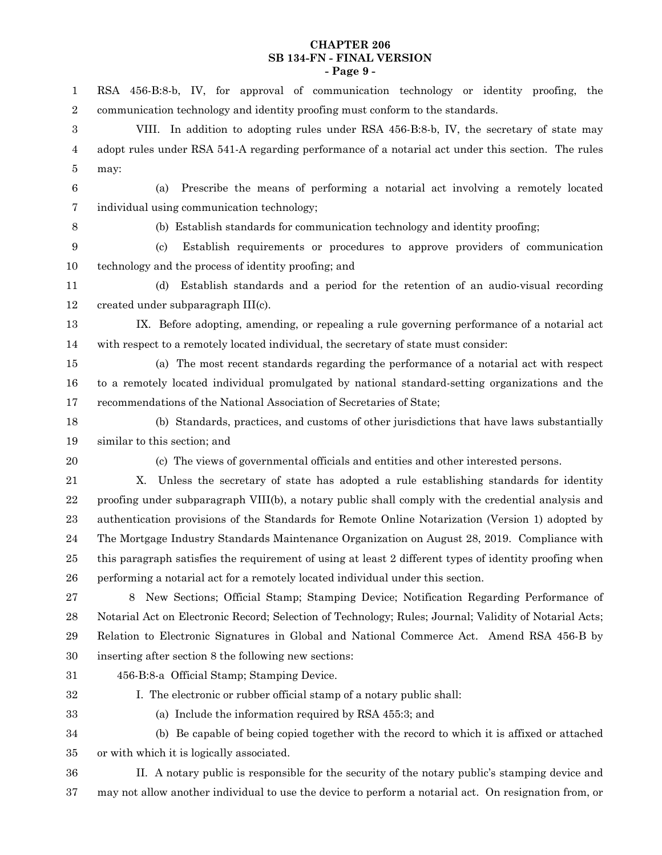#### **CHAPTER 206 SB 134-FN - FINAL VERSION - Page 9 -**

RSA 456-B:8-b, IV, for approval of communication technology or identity proofing, the communication technology and identity proofing must conform to the standards. VIII. In addition to adopting rules under RSA 456-B:8-b, IV, the secretary of state may adopt rules under RSA 541-A regarding performance of a notarial act under this section. The rules may: (a) Prescribe the means of performing a notarial act involving a remotely located individual using communication technology; (b) Establish standards for communication technology and identity proofing; (c) Establish requirements or procedures to approve providers of communication technology and the process of identity proofing; and (d) Establish standards and a period for the retention of an audio-visual recording created under subparagraph III(c). IX. Before adopting, amending, or repealing a rule governing performance of a notarial act with respect to a remotely located individual, the secretary of state must consider: (a) The most recent standards regarding the performance of a notarial act with respect to a remotely located individual promulgated by national standard-setting organizations and the recommendations of the National Association of Secretaries of State; (b) Standards, practices, and customs of other jurisdictions that have laws substantially similar to this section; and (c) The views of governmental officials and entities and other interested persons. X. Unless the secretary of state has adopted a rule establishing standards for identity proofing under subparagraph VIII(b), a notary public shall comply with the credential analysis and authentication provisions of the Standards for Remote Online Notarization (Version 1) adopted by The Mortgage Industry Standards Maintenance Organization on August 28, 2019. Compliance with this paragraph satisfies the requirement of using at least 2 different types of identity proofing when performing a notarial act for a remotely located individual under this section. 8 New Sections; Official Stamp; Stamping Device; Notification Regarding Performance of Notarial Act on Electronic Record; Selection of Technology; Rules; Journal; Validity of Notarial Acts; Relation to Electronic Signatures in Global and National Commerce Act. Amend RSA 456-B by inserting after section 8 the following new sections: 456-B:8-a Official Stamp; Stamping Device. I. The electronic or rubber official stamp of a notary public shall: (a) Include the information required by RSA 455:3; and (b) Be capable of being copied together with the record to which it is affixed or attached or with which it is logically associated. II. A notary public is responsible for the security of the notary public's stamping device and may not allow another individual to use the device to perform a notarial act. On resignation from, or 1 2 3 4 5 6 7 8 9 10 11 12 13 14 15 16 17 18 19 20 21 22 23 24 25 26 27 28 29 30 31 32 33 34 35 36 37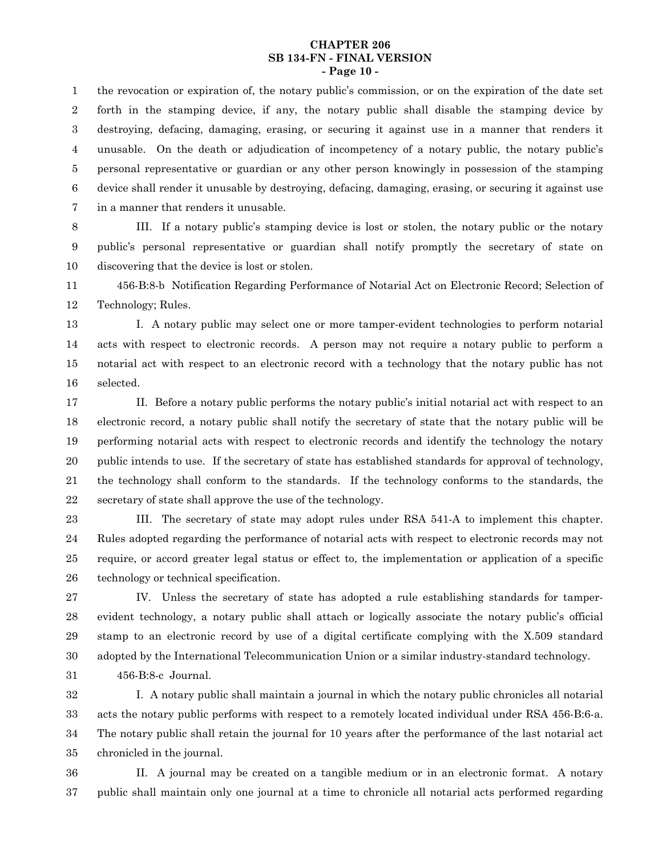#### **CHAPTER 206 SB 134-FN - FINAL VERSION - Page 10 -**

the revocation or expiration of, the notary public's commission, or on the expiration of the date set forth in the stamping device, if any, the notary public shall disable the stamping device by destroying, defacing, damaging, erasing, or securing it against use in a manner that renders it unusable. On the death or adjudication of incompetency of a notary public, the notary public's personal representative or guardian or any other person knowingly in possession of the stamping device shall render it unusable by destroying, defacing, damaging, erasing, or securing it against use in a manner that renders it unusable. 1 2 3 4 5 6 7

III. If a notary public's stamping device is lost or stolen, the notary public or the notary public's personal representative or guardian shall notify promptly the secretary of state on discovering that the device is lost or stolen. 8 9 10

456-B:8-b Notification Regarding Performance of Notarial Act on Electronic Record; Selection of Technology; Rules. 11 12

I. A notary public may select one or more tamper-evident technologies to perform notarial acts with respect to electronic records. A person may not require a notary public to perform a notarial act with respect to an electronic record with a technology that the notary public has not selected. 13 14 15 16

II. Before a notary public performs the notary public's initial notarial act with respect to an electronic record, a notary public shall notify the secretary of state that the notary public will be performing notarial acts with respect to electronic records and identify the technology the notary public intends to use. If the secretary of state has established standards for approval of technology, the technology shall conform to the standards. If the technology conforms to the standards, the secretary of state shall approve the use of the technology. 17 18 19 20 21 22

III. The secretary of state may adopt rules under RSA 541-A to implement this chapter. Rules adopted regarding the performance of notarial acts with respect to electronic records may not require, or accord greater legal status or effect to, the implementation or application of a specific technology or technical specification. 23 24 25 26

IV. Unless the secretary of state has adopted a rule establishing standards for tamperevident technology, a notary public shall attach or logically associate the notary public's official stamp to an electronic record by use of a digital certificate complying with the X.509 standard adopted by the International Telecommunication Union or a similar industry-standard technology. 456-B:8-c Journal. 27 28 29 30 31

I. A notary public shall maintain a journal in which the notary public chronicles all notarial acts the notary public performs with respect to a remotely located individual under RSA 456-B:6-a. The notary public shall retain the journal for 10 years after the performance of the last notarial act chronicled in the journal. 32 33 34 35

II. A journal may be created on a tangible medium or in an electronic format. A notary public shall maintain only one journal at a time to chronicle all notarial acts performed regarding 36 37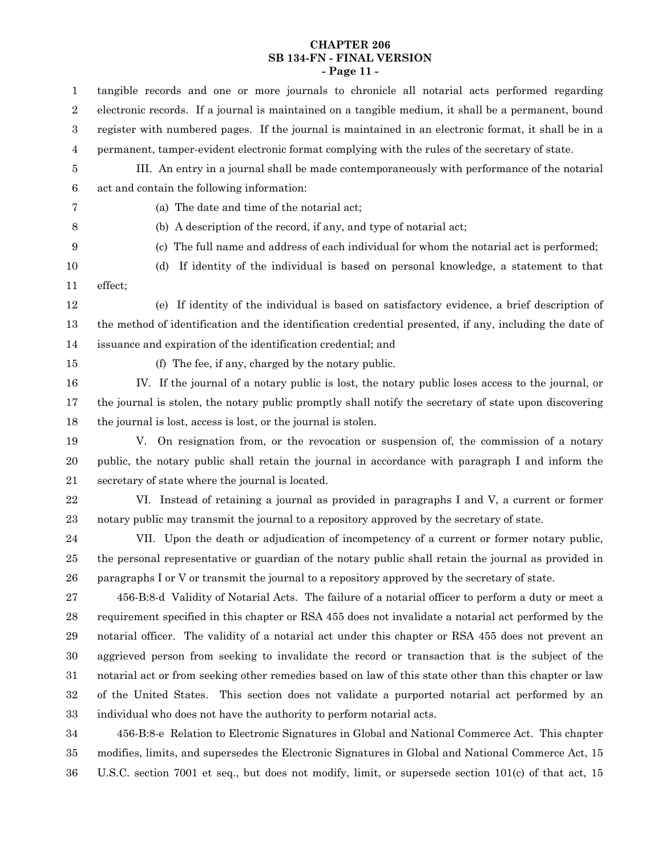# **CHAPTER 206 SB 134-FN - FINAL VERSION - Page 11 -**

| 1                | tangible records and one or more journals to chronicle all notarial acts performed regarding            |
|------------------|---------------------------------------------------------------------------------------------------------|
| $\boldsymbol{2}$ | electronic records. If a journal is maintained on a tangible medium, it shall be a permanent, bound     |
| 3                | register with numbered pages. If the journal is maintained in an electronic format, it shall be in a    |
| 4                | permanent, tamper-evident electronic format complying with the rules of the secretary of state.         |
| 5                | III. An entry in a journal shall be made contemporaneously with performance of the notarial             |
| 6                | act and contain the following information:                                                              |
| 7                | (a) The date and time of the notarial act;                                                              |
| 8                | (b) A description of the record, if any, and type of notarial act;                                      |
| 9                | The full name and address of each individual for whom the notarial act is performed;<br>(c)             |
| 10               | If identity of the individual is based on personal knowledge, a statement to that<br>(d)                |
| 11               | effect;                                                                                                 |
| 12               | (e) If identity of the individual is based on satisfactory evidence, a brief description of             |
| 13               | the method of identification and the identification credential presented, if any, including the date of |
| 14               | issuance and expiration of the identification credential; and                                           |
| 15               | (f) The fee, if any, charged by the notary public.                                                      |
| 16               | IV. If the journal of a notary public is lost, the notary public loses access to the journal, or        |
| 17               | the journal is stolen, the notary public promptly shall notify the secretary of state upon discovering  |
| 18               | the journal is lost, access is lost, or the journal is stolen.                                          |
| 19               | V. On resignation from, or the revocation or suspension of, the commission of a notary                  |
| 20               | public, the notary public shall retain the journal in accordance with paragraph I and inform the        |
| 21               | secretary of state where the journal is located.                                                        |
| 22               | VI. Instead of retaining a journal as provided in paragraphs I and V, a current or former               |
| 23               | notary public may transmit the journal to a repository approved by the secretary of state.              |
| 24               | VII. Upon the death or adjudication of incompetency of a current or former notary public,               |
| 25               | the personal representative or guardian of the notary public shall retain the journal as provided in    |
| 26               | paragraphs I or V or transmit the journal to a repository approved by the secretary of state.           |
| 27               | 456-B:8-d Validity of Notarial Acts. The failure of a notarial officer to perform a duty or meet a      |
| 28               | requirement specified in this chapter or RSA 455 does not invalidate a notarial act performed by the    |
| 29               | notarial officer. The validity of a notarial act under this chapter or RSA 455 does not prevent an      |
| 30               | aggrieved person from seeking to invalidate the record or transaction that is the subject of the        |
| $31\,$           | notarial act or from seeking other remedies based on law of this state other than this chapter or law   |
| 32               | of the United States. This section does not validate a purported notarial act performed by an           |
| 33               | individual who does not have the authority to perform notarial acts.                                    |
| 34               | 456-B:8-e Relation to Electronic Signatures in Global and National Commerce Act. This chapter           |
| 35               | modifies, limits, and supersedes the Electronic Signatures in Global and National Commerce Act, 15      |

U.S.C. section 7001 et seq., but does not modify, limit, or supersede section 101(c) of that act, 15 35 36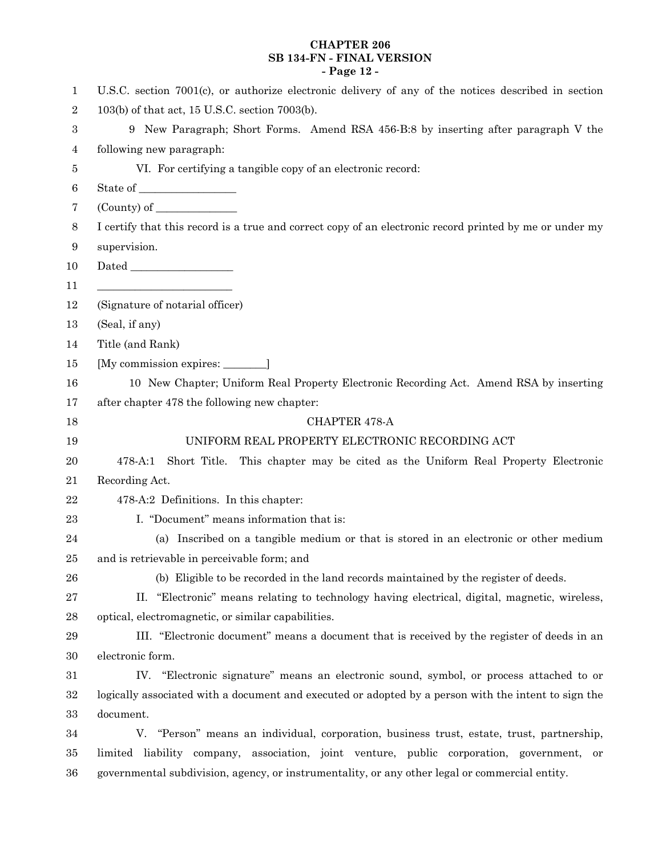# **CHAPTER 206 SB 134-FN - FINAL VERSION - Page 12 -**

| 1              | U.S.C. section 7001(c), or authorize electronic delivery of any of the notices described in section                                                                                                                                                                                                                                                                                                                                                                                      |
|----------------|------------------------------------------------------------------------------------------------------------------------------------------------------------------------------------------------------------------------------------------------------------------------------------------------------------------------------------------------------------------------------------------------------------------------------------------------------------------------------------------|
| $\sqrt{2}$     | 103(b) of that act, 15 U.S.C. section 7003(b).                                                                                                                                                                                                                                                                                                                                                                                                                                           |
| 3              | 9 New Paragraph; Short Forms. Amend RSA 456-B:8 by inserting after paragraph V the                                                                                                                                                                                                                                                                                                                                                                                                       |
| 4              | following new paragraph:                                                                                                                                                                                                                                                                                                                                                                                                                                                                 |
| 5              | VI. For certifying a tangible copy of an electronic record:                                                                                                                                                                                                                                                                                                                                                                                                                              |
| $\,6$          |                                                                                                                                                                                                                                                                                                                                                                                                                                                                                          |
| 7              | $\frac{1}{2}$ (County) of $\frac{1}{2}$                                                                                                                                                                                                                                                                                                                                                                                                                                                  |
| $8\phantom{1}$ | I certify that this record is a true and correct copy of an electronic record printed by me or under my                                                                                                                                                                                                                                                                                                                                                                                  |
| 9              | supervision.                                                                                                                                                                                                                                                                                                                                                                                                                                                                             |
| 10             | ${\rm Dated} \begin{tabular}{c} \multicolumn{2}{c} {\textbf{1}}\\ \multicolumn{2}{c} {\textbf{1}}\\ \multicolumn{2}{c} {\textbf{1}}\\ \multicolumn{2}{c} {\textbf{1}}\\ \multicolumn{2}{c} {\textbf{1}}\\ \multicolumn{2}{c} {\textbf{1}}\\ \multicolumn{2}{c} {\textbf{1}}\\ \multicolumn{2}{c} {\textbf{1}}\\ \multicolumn{2}{c} {\textbf{1}}\\ \multicolumn{2}{c} {\textbf{1}}\\ \multicolumn{2}{c} {\textbf{1}}\\ \multicolumn{2}{c} {\textbf{1}}\\ \multicolumn{2}{c} {\textbf{1}}$ |
| 11             | <u> 1989 - Johann Barn, mars eta bainar eta idazlea (</u>                                                                                                                                                                                                                                                                                                                                                                                                                                |
| 12             | (Signature of notarial officer)                                                                                                                                                                                                                                                                                                                                                                                                                                                          |
| 13             | (Seal, if any)                                                                                                                                                                                                                                                                                                                                                                                                                                                                           |
| 14             | Title (and Rank)                                                                                                                                                                                                                                                                                                                                                                                                                                                                         |
| 15             | [My commission expires: ___________]                                                                                                                                                                                                                                                                                                                                                                                                                                                     |
| 16             | 10 New Chapter; Uniform Real Property Electronic Recording Act. Amend RSA by inserting                                                                                                                                                                                                                                                                                                                                                                                                   |
| 17             | after chapter 478 the following new chapter:                                                                                                                                                                                                                                                                                                                                                                                                                                             |
| 18             | CHAPTER 478-A                                                                                                                                                                                                                                                                                                                                                                                                                                                                            |
| 19             | UNIFORM REAL PROPERTY ELECTRONIC RECORDING ACT                                                                                                                                                                                                                                                                                                                                                                                                                                           |
| 20             | Short Title.<br>This chapter may be cited as the Uniform Real Property Electronic<br>478-A:1                                                                                                                                                                                                                                                                                                                                                                                             |
| 21             | Recording Act.                                                                                                                                                                                                                                                                                                                                                                                                                                                                           |
| $22\,$         | 478-A:2 Definitions. In this chapter:                                                                                                                                                                                                                                                                                                                                                                                                                                                    |
| $\bf 23$       | I. "Document" means information that is:                                                                                                                                                                                                                                                                                                                                                                                                                                                 |
| 24             | (a) Inscribed on a tangible medium or that is stored in an electronic or other medium                                                                                                                                                                                                                                                                                                                                                                                                    |
| 25             | and is retrievable in perceivable form; and                                                                                                                                                                                                                                                                                                                                                                                                                                              |
| 26             | (b) Eligible to be recorded in the land records maintained by the register of deeds.                                                                                                                                                                                                                                                                                                                                                                                                     |
| 27             | "Electronic" means relating to technology having electrical, digital, magnetic, wireless,<br>П.                                                                                                                                                                                                                                                                                                                                                                                          |
| $\bf 28$       | optical, electromagnetic, or similar capabilities.                                                                                                                                                                                                                                                                                                                                                                                                                                       |
| $\bf 29$       | III. "Electronic document" means a document that is received by the register of deeds in an                                                                                                                                                                                                                                                                                                                                                                                              |
| $30\,$         | electronic form.                                                                                                                                                                                                                                                                                                                                                                                                                                                                         |
| 31             | "Electronic signature" means an electronic sound, symbol, or process attached to or<br>IV.                                                                                                                                                                                                                                                                                                                                                                                               |
| $32\,$         | logically associated with a document and executed or adopted by a person with the intent to sign the                                                                                                                                                                                                                                                                                                                                                                                     |
| 33             | document.                                                                                                                                                                                                                                                                                                                                                                                                                                                                                |
| 34             | V. "Person" means an individual, corporation, business trust, estate, trust, partnership,                                                                                                                                                                                                                                                                                                                                                                                                |
| 35             | liability company, association, joint venture, public corporation, government, or<br>limited                                                                                                                                                                                                                                                                                                                                                                                             |
| 36             | governmental subdivision, agency, or instrumentality, or any other legal or commercial entity.                                                                                                                                                                                                                                                                                                                                                                                           |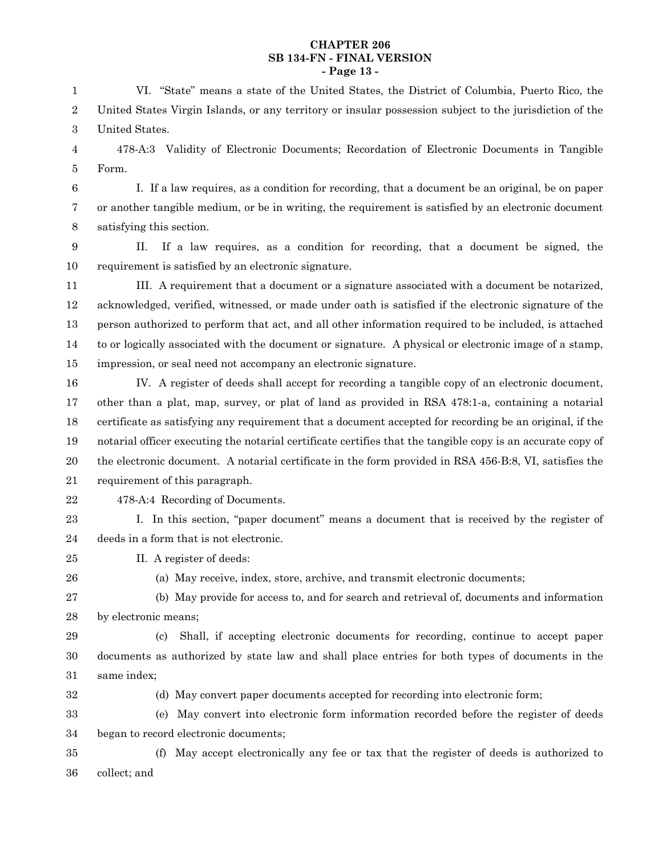#### **CHAPTER 206 SB 134-FN - FINAL VERSION - Page 13 -**

VI. "State" means a state of the United States, the District of Columbia, Puerto Rico, the United States Virgin Islands, or any territory or insular possession subject to the jurisdiction of the United States. 1 2 3

478-A:3 Validity of Electronic Documents; Recordation of Electronic Documents in Tangible Form. 4 5

I. If a law requires, as a condition for recording, that a document be an original, be on paper or another tangible medium, or be in writing, the requirement is satisfied by an electronic document satisfying this section. 6 7 8

II. If a law requires, as a condition for recording, that a document be signed, the requirement is satisfied by an electronic signature. 9 10

III. A requirement that a document or a signature associated with a document be notarized, acknowledged, verified, witnessed, or made under oath is satisfied if the electronic signature of the person authorized to perform that act, and all other information required to be included, is attached to or logically associated with the document or signature. A physical or electronic image of a stamp, impression, or seal need not accompany an electronic signature. 11 12 13 14 15

IV. A register of deeds shall accept for recording a tangible copy of an electronic document, other than a plat, map, survey, or plat of land as provided in RSA 478:1-a, containing a notarial certificate as satisfying any requirement that a document accepted for recording be an original, if the notarial officer executing the notarial certificate certifies that the tangible copy is an accurate copy of the electronic document. A notarial certificate in the form provided in RSA 456-B:8, VI, satisfies the requirement of this paragraph. 16 17 18 19 20 21

22

478-A:4 Recording of Documents.

I. In this section, "paper document" means a document that is received by the register of deeds in a form that is not electronic. 23 24

- II. A register of deeds: 25
- 26

(a) May receive, index, store, archive, and transmit electronic documents;

(b) May provide for access to, and for search and retrieval of, documents and information by electronic means; 27 28

(c) Shall, if accepting electronic documents for recording, continue to accept paper documents as authorized by state law and shall place entries for both types of documents in the same index; 29 30 31

32

(d) May convert paper documents accepted for recording into electronic form;

(e) May convert into electronic form information recorded before the register of deeds began to record electronic documents; 33 34

(f) May accept electronically any fee or tax that the register of deeds is authorized to collect; and 35 36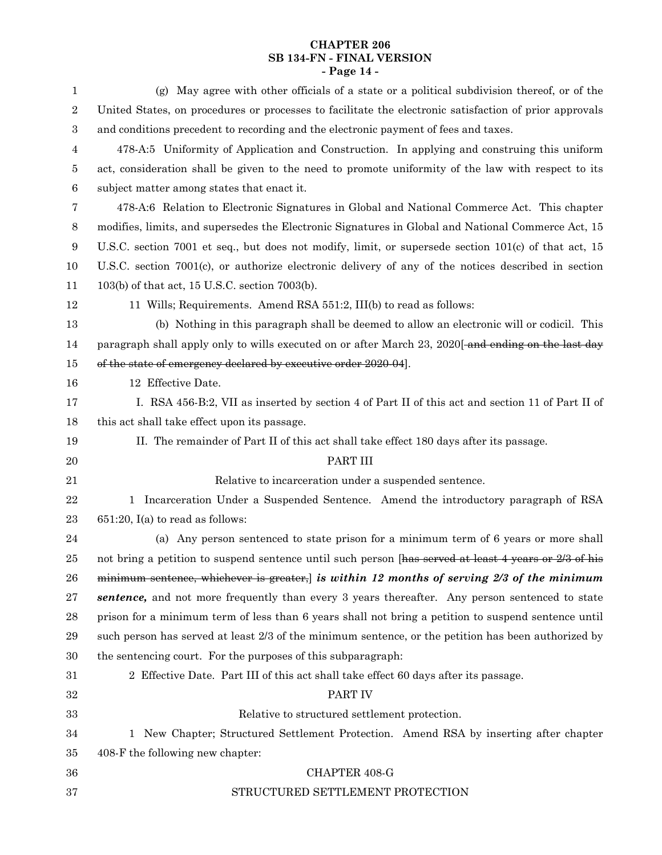# **CHAPTER 206 SB 134-FN - FINAL VERSION - Page 14 -**

| 1                | (g) May agree with other officials of a state or a political subdivision thereof, or of the                    |
|------------------|----------------------------------------------------------------------------------------------------------------|
| $\boldsymbol{2}$ | United States, on procedures or processes to facilitate the electronic satisfaction of prior approvals         |
| $\,3$            | and conditions precedent to recording and the electronic payment of fees and taxes.                            |
| 4                | 478-A:5 Uniformity of Application and Construction. In applying and construing this uniform                    |
| 5                | act, consideration shall be given to the need to promote uniformity of the law with respect to its             |
| $\,6$            | subject matter among states that enact it.                                                                     |
| 7                | 478-A:6 Relation to Electronic Signatures in Global and National Commerce Act. This chapter                    |
| $8\phantom{1}$   | modifies, limits, and supersedes the Electronic Signatures in Global and National Commerce Act, 15             |
| 9                | U.S.C. section 7001 et seq., but does not modify, limit, or supersede section 101(c) of that act, 15           |
| 10               | U.S.C. section 7001(c), or authorize electronic delivery of any of the notices described in section            |
| 11               | 103(b) of that act, 15 U.S.C. section 7003(b).                                                                 |
| 12               | 11 Wills; Requirements. Amend RSA 551:2, III(b) to read as follows:                                            |
| 13               | (b) Nothing in this paragraph shall be deemed to allow an electronic will or codicil. This                     |
| 14               | paragraph shall apply only to wills executed on or after March 23, 2020 <del> and ending on the last day</del> |
| 15               | of the state of emergency declared by executive order 2020-04].                                                |
| 16               | 12 Effective Date.                                                                                             |
| 17               | I. RSA 456-B:2, VII as inserted by section 4 of Part II of this act and section 11 of Part II of               |
| 18               | this act shall take effect upon its passage.                                                                   |
| 19               | II. The remainder of Part II of this act shall take effect 180 days after its passage.                         |
| 20               | PART III                                                                                                       |
| 21               | Relative to incarceration under a suspended sentence.                                                          |
| 22               | 1 Incarceration Under a Suspended Sentence. Amend the introductory paragraph of RSA                            |
| 23               | $651:20$ , I(a) to read as follows:                                                                            |
| 24               | (a) Any person sentenced to state prison for a minimum term of 6 years or more shall                           |
| 25               | not bring a petition to suspend sentence until such person [has served at least 4 years or 2/3 of his          |
| 26               | minimum sentence, whichever is greater, is within 12 months of serving $2/3$ of the minimum                    |
| 27               | sentence, and not more frequently than every 3 years thereafter. Any person sentenced to state                 |
| 28               | prison for a minimum term of less than 6 years shall not bring a petition to suspend sentence until            |
| 29               | such person has served at least 2/3 of the minimum sentence, or the petition has been authorized by            |
| 30               | the sentencing court. For the purposes of this subparagraph:                                                   |
| 31               | 2 Effective Date. Part III of this act shall take effect 60 days after its passage.                            |
| 32               | PART IV                                                                                                        |
| 33               | Relative to structured settlement protection.                                                                  |
| 34               | New Chapter; Structured Settlement Protection. Amend RSA by inserting after chapter<br>1                       |
| 35               | 408-F the following new chapter:                                                                               |
| 36               | CHAPTER 408-G                                                                                                  |
| 37               | STRUCTURED SETTLEMENT PROTECTION                                                                               |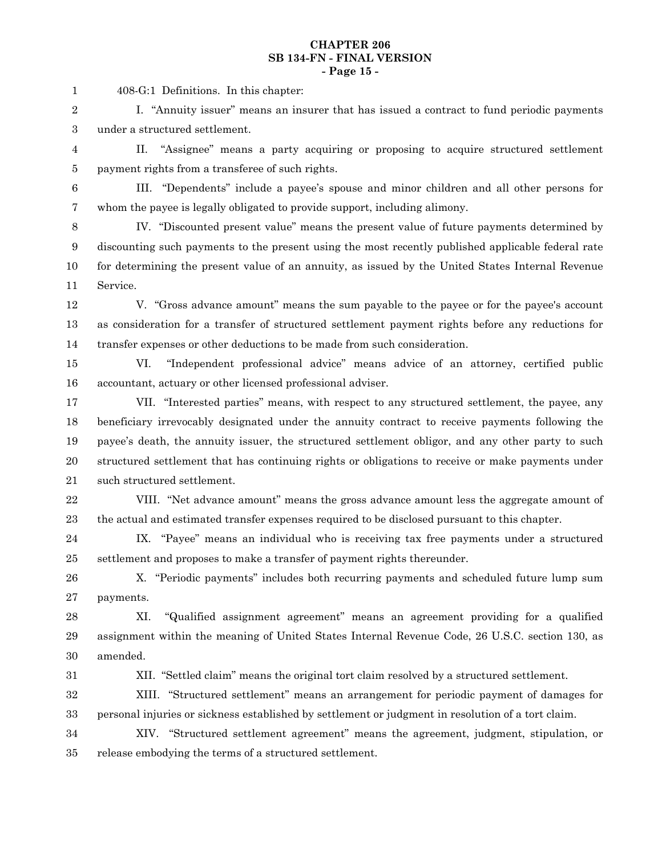#### **CHAPTER 206 SB 134-FN - FINAL VERSION - Page 15 -**

408-G:1 Definitions. In this chapter: 1

I. "Annuity issuer" means an insurer that has issued a contract to fund periodic payments under a structured settlement. 2 3

II. "Assignee" means a party acquiring or proposing to acquire structured settlement payment rights from a transferee of such rights. 4 5

6

III. "Dependents" include a payee's spouse and minor children and all other persons for whom the payee is legally obligated to provide support, including alimony. 7

IV. "Discounted present value" means the present value of future payments determined by discounting such payments to the present using the most recently published applicable federal rate for determining the present value of an annuity, as issued by the United States Internal Revenue Service. 8 9 10 11

V. "Gross advance amount" means the sum payable to the payee or for the payee's account as consideration for a transfer of structured settlement payment rights before any reductions for transfer expenses or other deductions to be made from such consideration. 12 13 14

15

VI. "Independent professional advice" means advice of an attorney, certified public accountant, actuary or other licensed professional adviser. 16

VII. "Interested parties" means, with respect to any structured settlement, the payee, any beneficiary irrevocably designated under the annuity contract to receive payments following the payee's death, the annuity issuer, the structured settlement obligor, and any other party to such structured settlement that has continuing rights or obligations to receive or make payments under such structured settlement. 17 18 19 20 21

VIII. "Net advance amount" means the gross advance amount less the aggregate amount of the actual and estimated transfer expenses required to be disclosed pursuant to this chapter. 22 23

IX. "Payee" means an individual who is receiving tax free payments under a structured settlement and proposes to make a transfer of payment rights thereunder. 24 25

X. "Periodic payments" includes both recurring payments and scheduled future lump sum payments. 26 27

XI. "Qualified assignment agreement" means an agreement providing for a qualified assignment within the meaning of United States Internal Revenue Code, 26 U.S.C. section 130, as amended. 28 29 30

31

XII. "Settled claim" means the original tort claim resolved by a structured settlement.

XIII. "Structured settlement" means an arrangement for periodic payment of damages for personal injuries or sickness established by settlement or judgment in resolution of a tort claim. 32 33

XIV. "Structured settlement agreement" means the agreement, judgment, stipulation, or release embodying the terms of a structured settlement. 34 35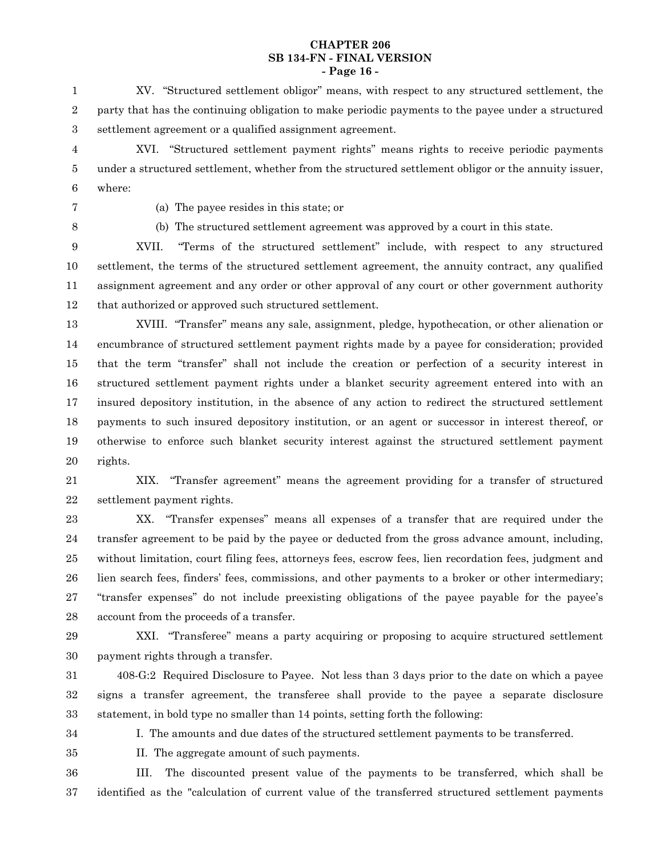#### **CHAPTER 206 SB 134-FN - FINAL VERSION - Page 16 -**

XV. "Structured settlement obligor" means, with respect to any structured settlement, the party that has the continuing obligation to make periodic payments to the payee under a structured settlement agreement or a qualified assignment agreement. 1 2 3

XVI. "Structured settlement payment rights" means rights to receive periodic payments under a structured settlement, whether from the structured settlement obligor or the annuity issuer, where: 4 5 6

7

(a) The payee resides in this state; or

8

(b) The structured settlement agreement was approved by a court in this state.

XVII. "Terms of the structured settlement" include, with respect to any structured settlement, the terms of the structured settlement agreement, the annuity contract, any qualified assignment agreement and any order or other approval of any court or other government authority that authorized or approved such structured settlement. 9 10 11 12

13

XVIII. "Transfer" means any sale, assignment, pledge, hypothecation, or other alienation or encumbrance of structured settlement payment rights made by a payee for consideration; provided that the term "transfer" shall not include the creation or perfection of a security interest in structured settlement payment rights under a blanket security agreement entered into with an insured depository institution, in the absence of any action to redirect the structured settlement payments to such insured depository institution, or an agent or successor in interest thereof, or otherwise to enforce such blanket security interest against the structured settlement payment rights. 14 15 16 17 18 19 20

XIX. "Transfer agreement" means the agreement providing for a transfer of structured settlement payment rights. 21 22

XX. "Transfer expenses" means all expenses of a transfer that are required under the transfer agreement to be paid by the payee or deducted from the gross advance amount, including, without limitation, court filing fees, attorneys fees, escrow fees, lien recordation fees, judgment and lien search fees, finders' fees, commissions, and other payments to a broker or other intermediary; "transfer expenses" do not include preexisting obligations of the payee payable for the payee's account from the proceeds of a transfer. 23 24 25 26 27 28

29

XXI. "Transferee" means a party acquiring or proposing to acquire structured settlement payment rights through a transfer. 30

408-G:2 Required Disclosure to Payee. Not less than 3 days prior to the date on which a payee signs a transfer agreement, the transferee shall provide to the payee a separate disclosure statement, in bold type no smaller than 14 points, setting forth the following: 31 32 33

- 34
- 35

I. The amounts and due dates of the structured settlement payments to be transferred.

II. The aggregate amount of such payments.

III. The discounted present value of the payments to be transferred, which shall be identified as the "calculation of current value of the transferred structured settlement payments 36 37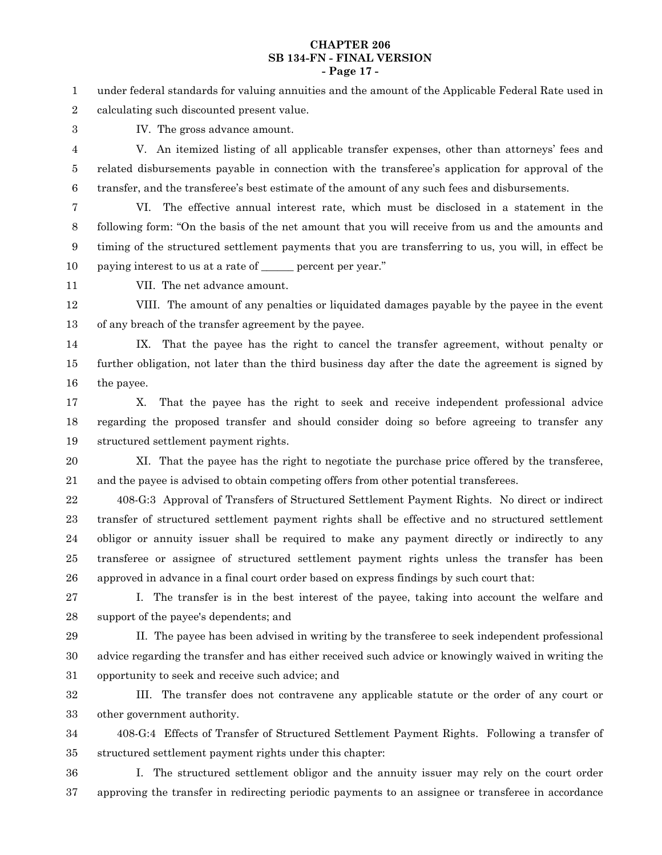#### **CHAPTER 206 SB 134-FN - FINAL VERSION - Page 17 -**

under federal standards for valuing annuities and the amount of the Applicable Federal Rate used in calculating such discounted present value. 1 2

3

IV. The gross advance amount.

V. An itemized listing of all applicable transfer expenses, other than attorneys' fees and related disbursements payable in connection with the transferee's application for approval of the transfer, and the transferee's best estimate of the amount of any such fees and disbursements. 4 5 6

7

VI. The effective annual interest rate, which must be disclosed in a statement in the following form: "On the basis of the net amount that you will receive from us and the amounts and timing of the structured settlement payments that you are transferring to us, you will, in effect be paying interest to us at a rate of \_\_\_\_\_\_ percent per year." 8 9 10

11

VII. The net advance amount.

VIII. The amount of any penalties or liquidated damages payable by the payee in the event of any breach of the transfer agreement by the payee. 12 13

IX. That the payee has the right to cancel the transfer agreement, without penalty or further obligation, not later than the third business day after the date the agreement is signed by the payee. 14 15 16

X. That the payee has the right to seek and receive independent professional advice regarding the proposed transfer and should consider doing so before agreeing to transfer any structured settlement payment rights. 17 18 19

XI. That the payee has the right to negotiate the purchase price offered by the transferee, and the payee is advised to obtain competing offers from other potential transferees. 20 21

408-G:3 Approval of Transfers of Structured Settlement Payment Rights. No direct or indirect transfer of structured settlement payment rights shall be effective and no structured settlement obligor or annuity issuer shall be required to make any payment directly or indirectly to any transferee or assignee of structured settlement payment rights unless the transfer has been approved in advance in a final court order based on express findings by such court that: 22 23 24 25 26

I. The transfer is in the best interest of the payee, taking into account the welfare and support of the payee's dependents; and 27 28

II. The payee has been advised in writing by the transferee to seek independent professional advice regarding the transfer and has either received such advice or knowingly waived in writing the opportunity to seek and receive such advice; and 29 30 31

III. The transfer does not contravene any applicable statute or the order of any court or other government authority. 32 33

408-G:4 Effects of Transfer of Structured Settlement Payment Rights. Following a transfer of structured settlement payment rights under this chapter: 34 35

I. The structured settlement obligor and the annuity issuer may rely on the court order approving the transfer in redirecting periodic payments to an assignee or transferee in accordance 36 37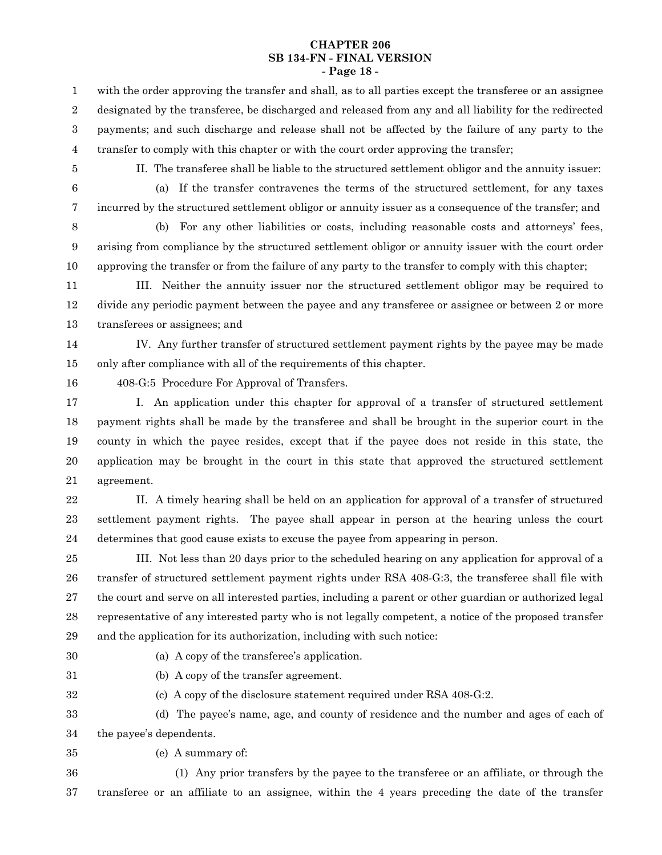#### **CHAPTER 206 SB 134-FN - FINAL VERSION - Page 18 -**

with the order approving the transfer and shall, as to all parties except the transferee or an assignee designated by the transferee, be discharged and released from any and all liability for the redirected payments; and such discharge and release shall not be affected by the failure of any party to the transfer to comply with this chapter or with the court order approving the transfer; 1 2 3 4

5

II. The transferee shall be liable to the structured settlement obligor and the annuity issuer:

(a) If the transfer contravenes the terms of the structured settlement, for any taxes incurred by the structured settlement obligor or annuity issuer as a consequence of the transfer; and 6 7

(b) For any other liabilities or costs, including reasonable costs and attorneys' fees, arising from compliance by the structured settlement obligor or annuity issuer with the court order approving the transfer or from the failure of any party to the transfer to comply with this chapter; 8 9 10

III. Neither the annuity issuer nor the structured settlement obligor may be required to divide any periodic payment between the payee and any transferee or assignee or between 2 or more transferees or assignees; and 11 12 13

IV. Any further transfer of structured settlement payment rights by the payee may be made only after compliance with all of the requirements of this chapter. 14 15

16

408-G:5 Procedure For Approval of Transfers.

I. An application under this chapter for approval of a transfer of structured settlement payment rights shall be made by the transferee and shall be brought in the superior court in the county in which the payee resides, except that if the payee does not reside in this state, the application may be brought in the court in this state that approved the structured settlement agreement. 17 18 19 20 21

II. A timely hearing shall be held on an application for approval of a transfer of structured settlement payment rights. The payee shall appear in person at the hearing unless the court determines that good cause exists to excuse the payee from appearing in person. 22 23 24

III. Not less than 20 days prior to the scheduled hearing on any application for approval of a transfer of structured settlement payment rights under RSA 408-G:3, the transferee shall file with the court and serve on all interested parties, including a parent or other guardian or authorized legal representative of any interested party who is not legally competent, a notice of the proposed transfer and the application for its authorization, including with such notice: 25 26 27 28 29

- 30
- (a) A copy of the transferee's application.
- 31
- (b) A copy of the transfer agreement.
- 32
- 

(c) A copy of the disclosure statement required under RSA 408-G:2.

(d) The payee's name, age, and county of residence and the number and ages of each of the payee's dependents. 33 34

(e) A summary of: 35

(1) Any prior transfers by the payee to the transferee or an affiliate, or through the transferee or an affiliate to an assignee, within the 4 years preceding the date of the transfer 36 37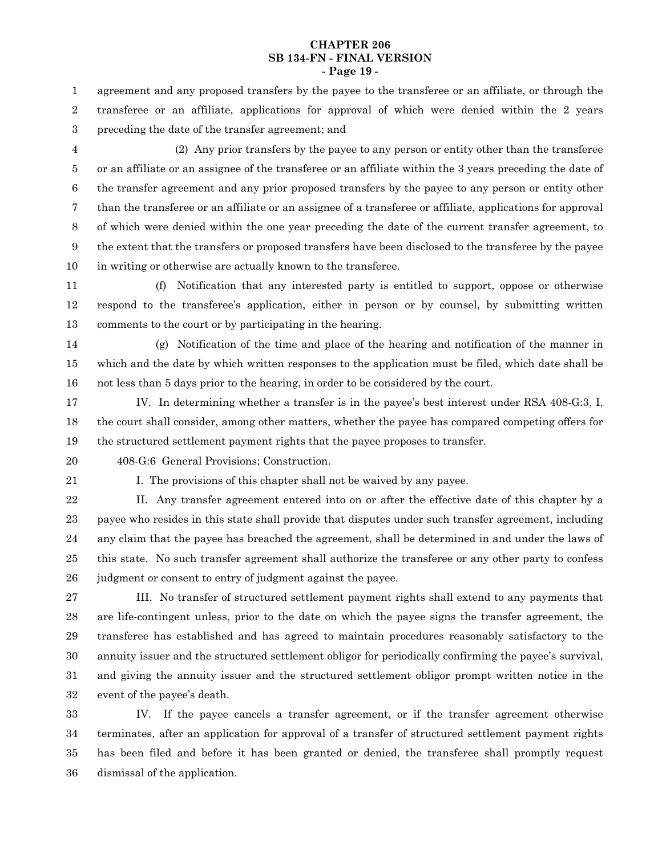#### **CHAPTER 206 SB 134-FN - FINAL VERSION - Page 19 -**

agreement and any proposed transfers by the payee to the transferee or an affiliate, or through the transferee or an affiliate, applications for approval of which were denied within the 2 years preceding the date of the transfer agreement; and 1 2 3

(2) Any prior transfers by the payee to any person or entity other than the transferee or an affiliate or an assignee of the transferee or an affiliate within the 3 years preceding the date of the transfer agreement and any prior proposed transfers by the payee to any person or entity other than the transferee or an affiliate or an assignee of a transferee or affiliate, applications for approval of which were denied within the one year preceding the date of the current transfer agreement, to the extent that the transfers or proposed transfers have been disclosed to the transferee by the payee in writing or otherwise are actually known to the transferee. 4 5 6 7 8 9 10

(f) Notification that any interested party is entitled to support, oppose or otherwise respond to the transferee's application, either in person or by counsel, by submitting written comments to the court or by participating in the hearing. 11 12 13

(g) Notification of the time and place of the hearing and notification of the manner in which and the date by which written responses to the application must be filed, which date shall be not less than 5 days prior to the hearing, in order to be considered by the court. 14 15 16

IV. In determining whether a transfer is in the payee's best interest under RSA 408-G:3, I, the court shall consider, among other matters, whether the payee has compared competing offers for the structured settlement payment rights that the payee proposes to transfer. 17 18 19

20

408-G:6 General Provisions; Construction.

21

I. The provisions of this chapter shall not be waived by any payee.

II. Any transfer agreement entered into on or after the effective date of this chapter by a payee who resides in this state shall provide that disputes under such transfer agreement, including any claim that the payee has breached the agreement, shall be determined in and under the laws of this state. No such transfer agreement shall authorize the transferee or any other party to confess judgment or consent to entry of judgment against the payee. 22 23 24 25 26

III. No transfer of structured settlement payment rights shall extend to any payments that are life-contingent unless, prior to the date on which the payee signs the transfer agreement, the transferee has established and has agreed to maintain procedures reasonably satisfactory to the annuity issuer and the structured settlement obligor for periodically confirming the payee's survival, and giving the annuity issuer and the structured settlement obligor prompt written notice in the event of the payee's death. 27 28 29 30 31 32

IV. If the payee cancels a transfer agreement, or if the transfer agreement otherwise terminates, after an application for approval of a transfer of structured settlement payment rights has been filed and before it has been granted or denied, the transferee shall promptly request dismissal of the application. 33 34 35 36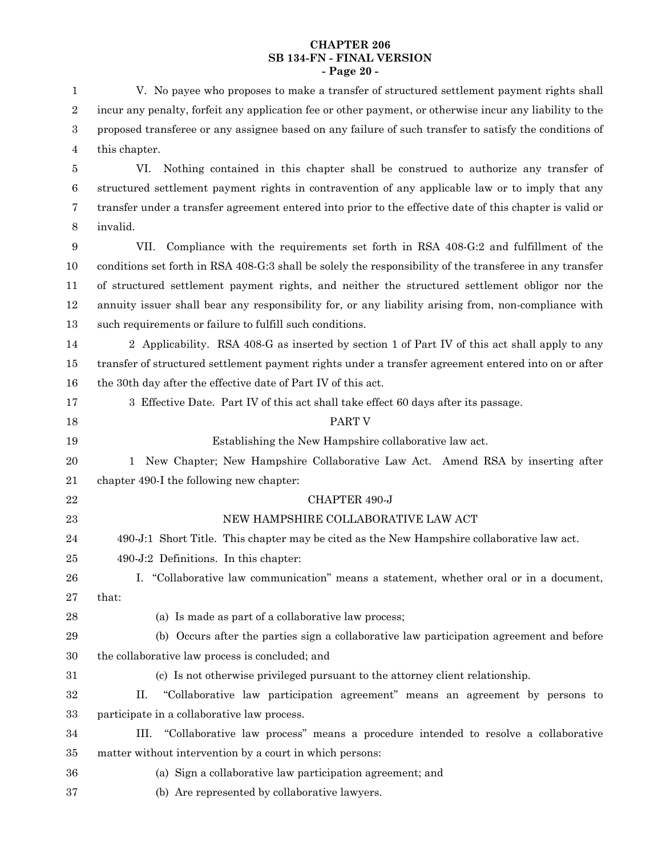#### **CHAPTER 206 SB 134-FN - FINAL VERSION - Page 20 -**

V. No payee who proposes to make a transfer of structured settlement payment rights shall incur any penalty, forfeit any application fee or other payment, or otherwise incur any liability to the proposed transferee or any assignee based on any failure of such transfer to satisfy the conditions of this chapter. 1 2 3 4

VI. Nothing contained in this chapter shall be construed to authorize any transfer of structured settlement payment rights in contravention of any applicable law or to imply that any transfer under a transfer agreement entered into prior to the effective date of this chapter is valid or invalid. 5 6 7 8

VII. Compliance with the requirements set forth in RSA 408-G:2 and fulfillment of the conditions set forth in RSA 408-G:3 shall be solely the responsibility of the transferee in any transfer of structured settlement payment rights, and neither the structured settlement obligor nor the annuity issuer shall bear any responsibility for, or any liability arising from, non-compliance with such requirements or failure to fulfill such conditions. 9 10 11 12 13

2 Applicability. RSA 408-G as inserted by section 1 of Part IV of this act shall apply to any transfer of structured settlement payment rights under a transfer agreement entered into on or after the 30th day after the effective date of Part IV of this act. 14 15 16

| 17 | 3 Effective Date. Part IV of this act shall take effect 60 days after its passage.             |
|----|------------------------------------------------------------------------------------------------|
| 18 | PART V                                                                                         |
| 19 | Establishing the New Hampshire collaborative law act.                                          |
| 20 | New Chapter; New Hampshire Collaborative Law Act. Amend RSA by inserting after<br>$\mathbf{1}$ |
| 21 | chapter 490-I the following new chapter:                                                       |
| 22 | CHAPTER 490-J                                                                                  |
| 23 | NEW HAMPSHIRE COLLABORATIVE LAW ACT                                                            |
| 24 | 490-J:1 Short Title. This chapter may be cited as the New Hampshire collaborative law act.     |
| 25 | 490-J:2 Definitions. In this chapter:                                                          |
| 26 | "Collaborative law communication" means a statement, whether oral or in a document,<br>Ι.      |
| 27 | that:                                                                                          |
| 28 | (a) Is made as part of a collaborative law process;                                            |
| 29 | (b) Occurs after the parties sign a collaborative law participation agreement and before       |
| 30 | the collaborative law process is concluded; and                                                |
| 31 | (c) Is not otherwise privileged pursuant to the attorney client relationship.                  |
| 32 | "Collaborative law participation agreement" means an agreement by persons to<br>П.             |
| 33 | participate in a collaborative law process.                                                    |
| 34 | "Collaborative law process" means a procedure intended to resolve a collaborative<br>III.      |
| 35 | matter without intervention by a court in which persons:                                       |
| 36 | (a) Sign a collaborative law participation agreement; and                                      |
| 37 | (b) Are represented by collaborative lawyers.                                                  |
|    |                                                                                                |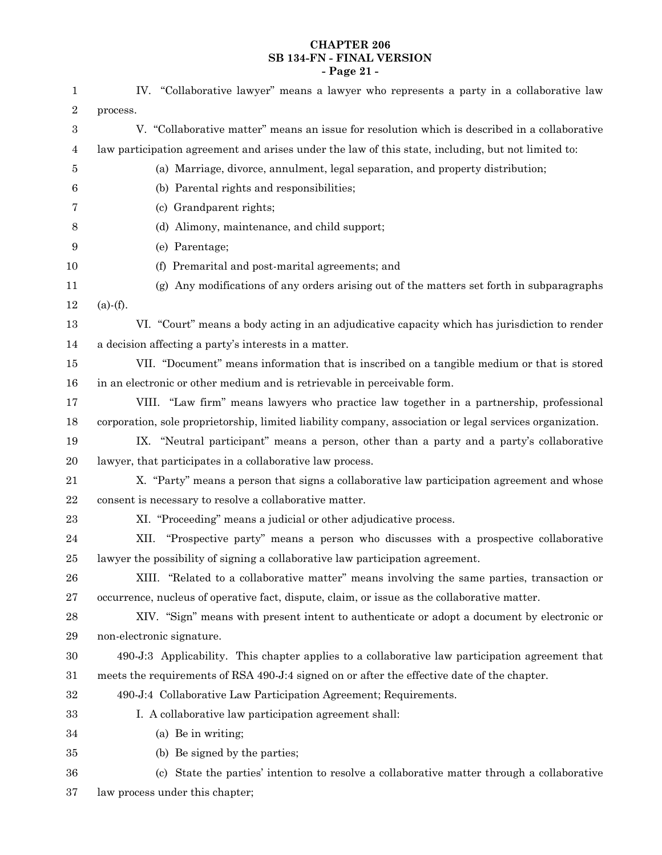# **CHAPTER 206 SB 134-FN - FINAL VERSION - Page 21 -**

| 1                | IV. "Collaborative lawyer" means a lawyer who represents a party in a collaborative law                  |
|------------------|----------------------------------------------------------------------------------------------------------|
| $\boldsymbol{2}$ | process.                                                                                                 |
| 3                | V. "Collaborative matter" means an issue for resolution which is described in a collaborative            |
| 4                | law participation agreement and arises under the law of this state, including, but not limited to:       |
| 5                | (a) Marriage, divorce, annulment, legal separation, and property distribution;                           |
| $\,6$            | (b) Parental rights and responsibilities;                                                                |
| 7                | (c) Grandparent rights;                                                                                  |
| 8                | (d) Alimony, maintenance, and child support;                                                             |
| 9                | (e) Parentage;                                                                                           |
| 10               | (f) Premarital and post-marital agreements; and                                                          |
| 11               | Any modifications of any orders arising out of the matters set forth in subparagraphs<br>(g)             |
| 12               | $(a)$ - $(f)$ .                                                                                          |
| 13               | VI. "Court" means a body acting in an adjudicative capacity which has jurisdiction to render             |
| 14               | a decision affecting a party's interests in a matter.                                                    |
| 15               | VII. "Document" means information that is inscribed on a tangible medium or that is stored               |
| 16               | in an electronic or other medium and is retrievable in perceivable form.                                 |
| 17               | VIII. "Law firm" means lawyers who practice law together in a partnership, professional                  |
| 18               | corporation, sole proprietorship, limited liability company, association or legal services organization. |
| 19               | IX. "Neutral participant" means a person, other than a party and a party's collaborative                 |
| 20               | lawyer, that participates in a collaborative law process.                                                |
| 21               | X. "Party" means a person that signs a collaborative law participation agreement and whose               |
| $22\,$           | consent is necessary to resolve a collaborative matter.                                                  |
| 23               | XI. "Proceeding" means a judicial or other adjudicative process.                                         |
| 24               | XII. "Prospective party" means a person who discusses with a prospective collaborative                   |
| 25               | lawyer the possibility of signing a collaborative law participation agreement.                           |
| ${\bf 26}$       | XIII. "Related to a collaborative matter" means involving the same parties, transaction or               |
| $27\,$           | occurrence, nucleus of operative fact, dispute, claim, or issue as the collaborative matter.             |
| $\bf{28}$        | XIV. "Sign" means with present intent to authenticate or adopt a document by electronic or               |
| 29               | non-electronic signature.                                                                                |
| $30\,$           | 490-J:3 Applicability. This chapter applies to a collaborative law participation agreement that          |
| 31               | meets the requirements of RSA 490-J:4 signed on or after the effective date of the chapter.              |
| $32\,$           | 490-J:4 Collaborative Law Participation Agreement; Requirements.                                         |
| $33\,$           | I. A collaborative law participation agreement shall:                                                    |
| 34               | (a) Be in writing;                                                                                       |
| $35\,$           | (b) Be signed by the parties;                                                                            |
| 36               | (c) State the parties' intention to resolve a collaborative matter through a collaborative               |
| 37               | law process under this chapter;                                                                          |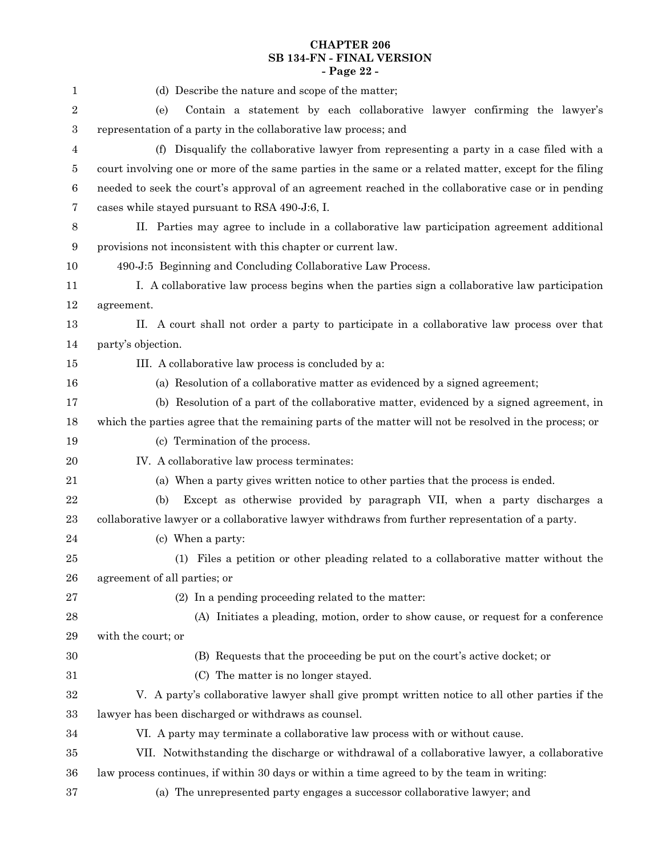# **CHAPTER 206 SB 134-FN - FINAL VERSION - Page 22 -**

| 1                | (d) Describe the nature and scope of the matter;                                                       |
|------------------|--------------------------------------------------------------------------------------------------------|
| $\boldsymbol{2}$ | Contain a statement by each collaborative lawyer confirming the lawyer's<br>(e)                        |
| 3                | representation of a party in the collaborative law process; and                                        |
| 4                | (f) Disqualify the collaborative lawyer from representing a party in a case filed with a               |
| 5                | court involving one or more of the same parties in the same or a related matter, except for the filing |
| $\,6$            | needed to seek the court's approval of an agreement reached in the collaborative case or in pending    |
| 7                | cases while stayed pursuant to RSA 490-J:6, I.                                                         |
| $8\phantom{1}$   | II. Parties may agree to include in a collaborative law participation agreement additional             |
| 9                | provisions not inconsistent with this chapter or current law.                                          |
| 10               | 490-J:5 Beginning and Concluding Collaborative Law Process.                                            |
| 11               | I. A collaborative law process begins when the parties sign a collaborative law participation          |
| 12               | agreement.                                                                                             |
| 13               | II. A court shall not order a party to participate in a collaborative law process over that            |
| 14               | party's objection.                                                                                     |
| $15\,$           | III. A collaborative law process is concluded by a:                                                    |
| 16               | (a) Resolution of a collaborative matter as evidenced by a signed agreement;                           |
| 17               | (b) Resolution of a part of the collaborative matter, evidenced by a signed agreement, in              |
| 18               | which the parties agree that the remaining parts of the matter will not be resolved in the process; or |
| 19               | (c) Termination of the process.                                                                        |
| 20               | IV. A collaborative law process terminates:                                                            |
| 21               | (a) When a party gives written notice to other parties that the process is ended.                      |
| 22               | Except as otherwise provided by paragraph VII, when a party discharges a<br>(b)                        |
| 23               | collaborative lawyer or a collaborative lawyer withdraws from further representation of a party.       |
| 24               | (c) When a party:                                                                                      |
| 25               | (1) Files a petition or other pleading related to a collaborative matter without the                   |
| 26               | agreement of all parties; or                                                                           |
| 27               | (2) In a pending proceeding related to the matter:                                                     |
| 28               | (A) Initiates a pleading, motion, order to show cause, or request for a conference                     |
| 29               | with the court; or                                                                                     |
| 30               | (B) Requests that the proceeding be put on the court's active docket; or                               |
| $31\,$           | The matter is no longer stayed.<br>(C)                                                                 |
| $32\,$           | V. A party's collaborative lawyer shall give prompt written notice to all other parties if the         |
| 33               | lawyer has been discharged or withdraws as counsel.                                                    |
| 34               | VI. A party may terminate a collaborative law process with or without cause.                           |
| $35\,$           | VII. Notwithstanding the discharge or withdrawal of a collaborative lawyer, a collaborative            |
| 36               | law process continues, if within 30 days or within a time agreed to by the team in writing:            |
| 37               | (a) The unrepresented party engages a successor collaborative lawyer; and                              |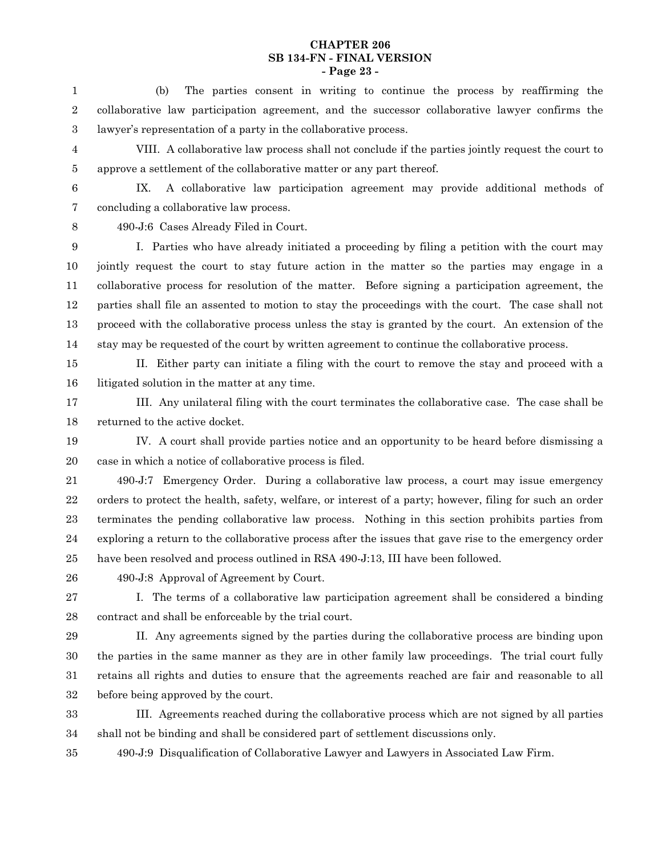#### **CHAPTER 206 SB 134-FN - FINAL VERSION - Page 23 -**

(b) The parties consent in writing to continue the process by reaffirming the collaborative law participation agreement, and the successor collaborative lawyer confirms the lawyer's representation of a party in the collaborative process. 1 2 3

- VIII. A collaborative law process shall not conclude if the parties jointly request the court to approve a settlement of the collaborative matter or any part thereof. 4 5
- 6

IX. A collaborative law participation agreement may provide additional methods of concluding a collaborative law process. 7

8

490-J:6 Cases Already Filed in Court.

I. Parties who have already initiated a proceeding by filing a petition with the court may jointly request the court to stay future action in the matter so the parties may engage in a collaborative process for resolution of the matter. Before signing a participation agreement, the parties shall file an assented to motion to stay the proceedings with the court. The case shall not proceed with the collaborative process unless the stay is granted by the court. An extension of the stay may be requested of the court by written agreement to continue the collaborative process. 9 10 11 12 13 14

15 16

II. Either party can initiate a filing with the court to remove the stay and proceed with a litigated solution in the matter at any time.

III. Any unilateral filing with the court terminates the collaborative case. The case shall be returned to the active docket. 17 18

IV. A court shall provide parties notice and an opportunity to be heard before dismissing a case in which a notice of collaborative process is filed. 19 20

490-J:7 Emergency Order. During a collaborative law process, a court may issue emergency orders to protect the health, safety, welfare, or interest of a party; however, filing for such an order terminates the pending collaborative law process. Nothing in this section prohibits parties from exploring a return to the collaborative process after the issues that gave rise to the emergency order have been resolved and process outlined in RSA 490-J:13, III have been followed. 21 22 23 24 25

26

490-J:8 Approval of Agreement by Court.

I. The terms of a collaborative law participation agreement shall be considered a binding contract and shall be enforceable by the trial court. 27 28

29

II. Any agreements signed by the parties during the collaborative process are binding upon the parties in the same manner as they are in other family law proceedings. The trial court fully retains all rights and duties to ensure that the agreements reached are fair and reasonable to all before being approved by the court. 30 31 32

III. Agreements reached during the collaborative process which are not signed by all parties shall not be binding and shall be considered part of settlement discussions only. 33 34

490-J:9 Disqualification of Collaborative Lawyer and Lawyers in Associated Law Firm. 35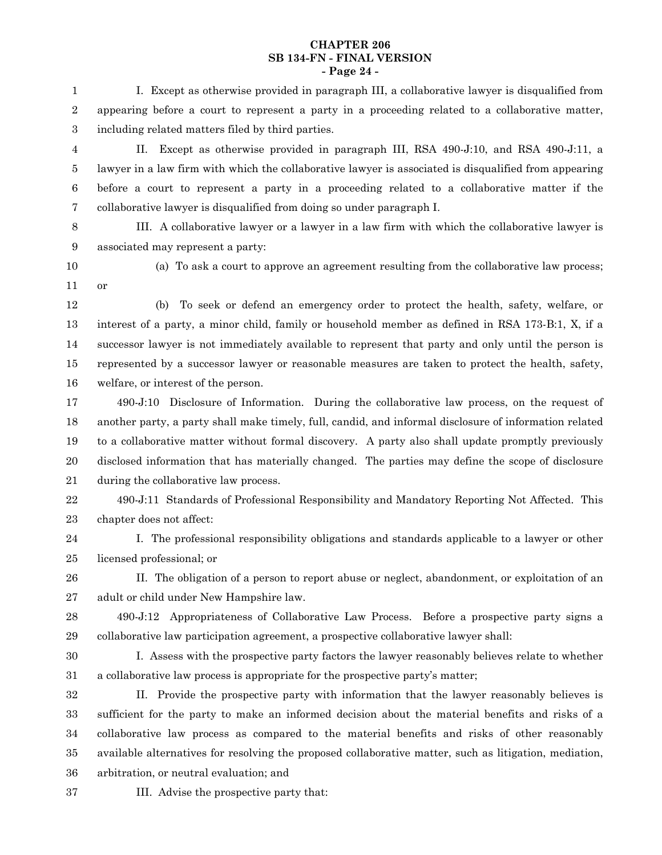#### **CHAPTER 206 SB 134-FN - FINAL VERSION - Page 24 -**

I. Except as otherwise provided in paragraph III, a collaborative lawyer is disqualified from appearing before a court to represent a party in a proceeding related to a collaborative matter, including related matters filed by third parties. 1 2 3

II. Except as otherwise provided in paragraph III, RSA 490-J:10, and RSA 490-J:11, a lawyer in a law firm with which the collaborative lawyer is associated is disqualified from appearing before a court to represent a party in a proceeding related to a collaborative matter if the collaborative lawyer is disqualified from doing so under paragraph I. 4 5 6 7

III. A collaborative lawyer or a lawyer in a law firm with which the collaborative lawyer is associated may represent a party: 8 9

10 11

(a) To ask a court to approve an agreement resulting from the collaborative law process; or

(b) To seek or defend an emergency order to protect the health, safety, welfare, or interest of a party, a minor child, family or household member as defined in RSA 173-B:1, X, if a successor lawyer is not immediately available to represent that party and only until the person is represented by a successor lawyer or reasonable measures are taken to protect the health, safety, welfare, or interest of the person. 12 13 14 15 16

490-J:10 Disclosure of Information. During the collaborative law process, on the request of another party, a party shall make timely, full, candid, and informal disclosure of information related to a collaborative matter without formal discovery. A party also shall update promptly previously disclosed information that has materially changed. The parties may define the scope of disclosure during the collaborative law process. 17 18 19 20 21

490-J:11 Standards of Professional Responsibility and Mandatory Reporting Not Affected. This chapter does not affect: 22 23

I. The professional responsibility obligations and standards applicable to a lawyer or other licensed professional; or 24 25

II. The obligation of a person to report abuse or neglect, abandonment, or exploitation of an adult or child under New Hampshire law. 26 27

490-J:12 Appropriateness of Collaborative Law Process. Before a prospective party signs a collaborative law participation agreement, a prospective collaborative lawyer shall: 28 29

I. Assess with the prospective party factors the lawyer reasonably believes relate to whether a collaborative law process is appropriate for the prospective party's matter; 30 31

II. Provide the prospective party with information that the lawyer reasonably believes is sufficient for the party to make an informed decision about the material benefits and risks of a collaborative law process as compared to the material benefits and risks of other reasonably available alternatives for resolving the proposed collaborative matter, such as litigation, mediation, arbitration, or neutral evaluation; and 32 33 34 35 36

37

III. Advise the prospective party that: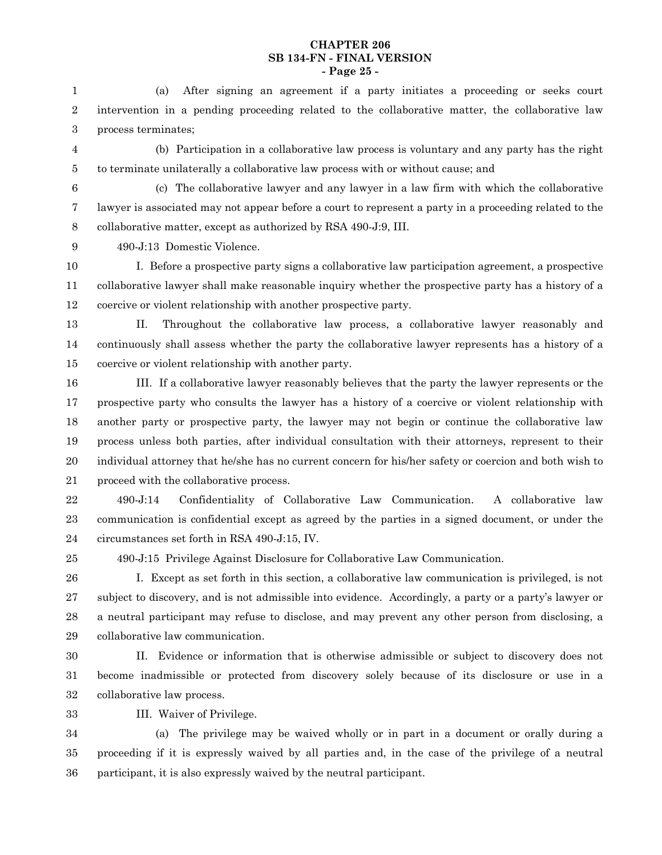#### **CHAPTER 206 SB 134-FN - FINAL VERSION - Page 25 -**

(a) After signing an agreement if a party initiates a proceeding or seeks court intervention in a pending proceeding related to the collaborative matter, the collaborative law process terminates; 1 2 3

(b) Participation in a collaborative law process is voluntary and any party has the right to terminate unilaterally a collaborative law process with or without cause; and 4 5

6

(c) The collaborative lawyer and any lawyer in a law firm with which the collaborative lawyer is associated may not appear before a court to represent a party in a proceeding related to the collaborative matter, except as authorized by RSA 490-J:9, III. 7 8

490-J:13 Domestic Violence. 9

I. Before a prospective party signs a collaborative law participation agreement, a prospective collaborative lawyer shall make reasonable inquiry whether the prospective party has a history of a coercive or violent relationship with another prospective party. 10 11 12

13

II. Throughout the collaborative law process, a collaborative lawyer reasonably and continuously shall assess whether the party the collaborative lawyer represents has a history of a coercive or violent relationship with another party. 14 15

III. If a collaborative lawyer reasonably believes that the party the lawyer represents or the prospective party who consults the lawyer has a history of a coercive or violent relationship with another party or prospective party, the lawyer may not begin or continue the collaborative law process unless both parties, after individual consultation with their attorneys, represent to their individual attorney that he/she has no current concern for his/her safety or coercion and both wish to proceed with the collaborative process. 16 17 18 19 20 21

490-J:14 Confidentiality of Collaborative Law Communication. A collaborative law communication is confidential except as agreed by the parties in a signed document, or under the circumstances set forth in RSA 490-J:15, IV. 22 23 24

25

490-J:15 Privilege Against Disclosure for Collaborative Law Communication.

I. Except as set forth in this section, a collaborative law communication is privileged, is not subject to discovery, and is not admissible into evidence. Accordingly, a party or a party's lawyer or a neutral participant may refuse to disclose, and may prevent any other person from disclosing, a collaborative law communication. 26 27 28 29

II. Evidence or information that is otherwise admissible or subject to discovery does not become inadmissible or protected from discovery solely because of its disclosure or use in a collaborative law process. 30 31 32

III. Waiver of Privilege. 33

(a) The privilege may be waived wholly or in part in a document or orally during a proceeding if it is expressly waived by all parties and, in the case of the privilege of a neutral participant, it is also expressly waived by the neutral participant. 34 35 36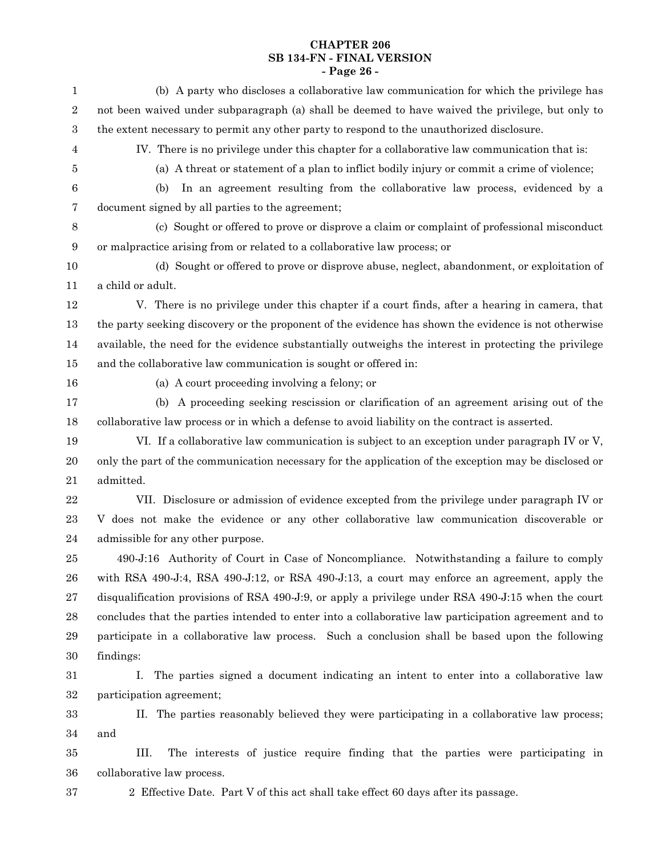# **CHAPTER 206 SB 134-FN - FINAL VERSION - Page 26 -**

| $\mathbf{1}$     | (b) A party who discloses a collaborative law communication for which the privilege has               |
|------------------|-------------------------------------------------------------------------------------------------------|
| $\,2$            | not been waived under subparagraph (a) shall be deemed to have waived the privilege, but only to      |
| $\,3$            | the extent necessary to permit any other party to respond to the unauthorized disclosure.             |
| $\overline{4}$   | IV. There is no privilege under this chapter for a collaborative law communication that is:           |
| 5                | (a) A threat or statement of a plan to inflict bodily injury or commit a crime of violence;           |
| $\,6$            | In an agreement resulting from the collaborative law process, evidenced by a<br>(b)                   |
| $\overline{7}$   | document signed by all parties to the agreement;                                                      |
| $\,8\,$          | (c) Sought or offered to prove or disprove a claim or complaint of professional misconduct            |
| $\boldsymbol{9}$ | or malpractice arising from or related to a collaborative law process; or                             |
| 10               | (d) Sought or offered to prove or disprove abuse, neglect, abandonment, or exploitation of            |
| 11               | a child or adult.                                                                                     |
| 12               | V. There is no privilege under this chapter if a court finds, after a hearing in camera, that         |
| 13               | the party seeking discovery or the proponent of the evidence has shown the evidence is not otherwise  |
| 14               | available, the need for the evidence substantially outweighs the interest in protecting the privilege |
| 15               | and the collaborative law communication is sought or offered in:                                      |
| 16               | (a) A court proceeding involving a felony; or                                                         |
| 17               | (b) A proceeding seeking rescission or clarification of an agreement arising out of the               |
| 18               | collaborative law process or in which a defense to avoid liability on the contract is asserted.       |
| 19               | VI. If a collaborative law communication is subject to an exception under paragraph IV or V,          |
| 20               | only the part of the communication necessary for the application of the exception may be disclosed or |
| 21               | admitted.                                                                                             |
| 22               | VII. Disclosure or admission of evidence excepted from the privilege under paragraph IV or            |
| 23               | V does not make the evidence or any other collaborative law communication discoverable or             |
| 24               | admissible for any other purpose.                                                                     |
| 25               | 490-J:16 Authority of Court in Case of Noncompliance. Notwithstanding a failure to comply             |
| 26               | with RSA 490-J:4, RSA 490-J:12, or RSA 490-J:13, a court may enforce an agreement, apply the          |
| 27               | disqualification provisions of RSA 490-J:9, or apply a privilege under RSA 490-J:15 when the court    |
| 28               | concludes that the parties intended to enter into a collaborative law participation agreement and to  |
| 29               | participate in a collaborative law process. Such a conclusion shall be based upon the following       |
| 30               | findings:                                                                                             |
| 31               | Ι.<br>The parties signed a document indicating an intent to enter into a collaborative law            |
| 32               | participation agreement;                                                                              |
| 33               | II. The parties reasonably believed they were participating in a collaborative law process;           |
| 34               | and                                                                                                   |
| 35               | III.<br>The interests of justice require finding that the parties were participating in               |
| 36               | collaborative law process.                                                                            |
| 37               | 2 Effective Date. Part V of this act shall take effect 60 days after its passage.                     |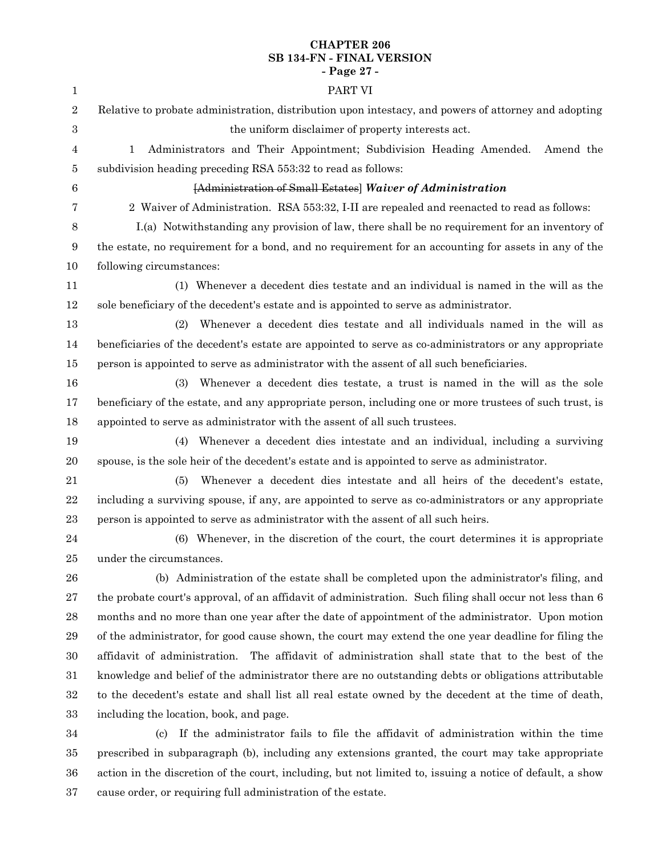# **CHAPTER 206 SB 134-FN - FINAL VERSION - Page 27 -**

| 1                | PART VI                                                                                                  |
|------------------|----------------------------------------------------------------------------------------------------------|
| $\sqrt{2}$       | Relative to probate administration, distribution upon intestacy, and powers of attorney and adopting     |
| $\boldsymbol{3}$ | the uniform disclaimer of property interests act.                                                        |
| 4                | $\mathbf{1}$<br>Administrators and Their Appointment; Subdivision Heading Amended.<br>Amend the          |
| 5                | subdivision heading preceding RSA 553:32 to read as follows:                                             |
| 6                | [Administration of Small Estates] Waiver of Administration                                               |
| 7                | 2 Waiver of Administration. RSA 553:32, I-II are repealed and reenacted to read as follows:              |
| 8                | I.(a) Notwithstanding any provision of law, there shall be no requirement for an inventory of            |
| $\boldsymbol{9}$ | the estate, no requirement for a bond, and no requirement for an accounting for assets in any of the     |
| 10               | following circumstances:                                                                                 |
| 11               | (1) Whenever a decedent dies testate and an individual is named in the will as the                       |
| 12               | sole beneficiary of the decedent's estate and is appointed to serve as administrator.                    |
| 13               | Whenever a decedent dies testate and all individuals named in the will as<br>(2)                         |
| 14               | beneficiaries of the decedent's estate are appointed to serve as co-administrators or any appropriate    |
| 15               | person is appointed to serve as administrator with the assent of all such beneficiaries.                 |
| 16               | Whenever a decedent dies testate, a trust is named in the will as the sole<br>(3)                        |
| 17               | beneficiary of the estate, and any appropriate person, including one or more trustees of such trust, is  |
| 18               | appointed to serve as administrator with the assent of all such trustees.                                |
| 19               | Whenever a decedent dies intestate and an individual, including a surviving<br>(4)                       |
| $20\,$           | spouse, is the sole heir of the decedent's estate and is appointed to serve as administrator.            |
| 21               | Whenever a decedent dies intestate and all heirs of the decedent's estate,<br>(5)                        |
| 22               | including a surviving spouse, if any, are appointed to serve as co-administrators or any appropriate     |
| 23               | person is appointed to serve as administrator with the assent of all such heirs.                         |
| $\bf{24}$        | (6) Whenever, in the discretion of the court, the court determines it is appropriate                     |
| 25               | under the circumstances.                                                                                 |
| 26               | (b) Administration of the estate shall be completed upon the administrator's filing, and                 |
| 27               | the probate court's approval, of an affidavit of administration. Such filing shall occur not less than 6 |
| $\bf{28}$        | months and no more than one year after the date of appointment of the administrator. Upon motion         |
| $\bf 29$         | of the administrator, for good cause shown, the court may extend the one year deadline for filing the    |
| 30               | affidavit of administration. The affidavit of administration shall state that to the best of the         |
| 31               | knowledge and belief of the administrator there are no outstanding debts or obligations attributable     |
| $32\,$           | to the decedent's estate and shall list all real estate owned by the decedent at the time of death,      |
| 33               | including the location, book, and page.                                                                  |
| 34               | If the administrator fails to file the affidavit of administration within the time<br>(c)                |
| 35               | prescribed in subparagraph (b), including any extensions granted, the court may take appropriate         |

action in the discretion of the court, including, but not limited to, issuing a notice of default, a show cause order, or requiring full administration of the estate. 36 37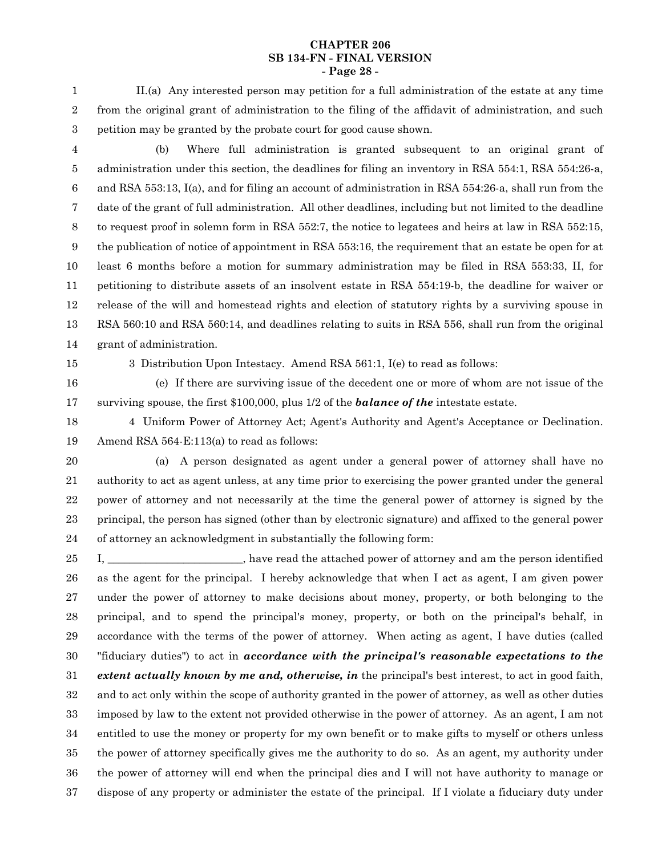#### **CHAPTER 206 SB 134-FN - FINAL VERSION - Page 28 -**

II.(a) Any interested person may petition for a full administration of the estate at any time from the original grant of administration to the filing of the affidavit of administration, and such petition may be granted by the probate court for good cause shown. 1 2 3

- (b) Where full administration is granted subsequent to an original grant of administration under this section, the deadlines for filing an inventory in RSA 554:1, RSA 554:26-a, and RSA 553:13, I(a), and for filing an account of administration in RSA 554:26-a, shall run from the date of the grant of full administration. All other deadlines, including but not limited to the deadline to request proof in solemn form in RSA 552:7, the notice to legatees and heirs at law in RSA 552:15, the publication of notice of appointment in RSA 553:16, the requirement that an estate be open for at least 6 months before a motion for summary administration may be filed in RSA 553:33, II, for petitioning to distribute assets of an insolvent estate in RSA 554:19-b, the deadline for waiver or release of the will and homestead rights and election of statutory rights by a surviving spouse in RSA 560:10 and RSA 560:14, and deadlines relating to suits in RSA 556, shall run from the original grant of administration. 4 5 6 7 8 9 10 11 12 13 14
- 15

3 Distribution Upon Intestacy. Amend RSA 561:1, I(e) to read as follows:

(e) If there are surviving issue of the decedent one or more of whom are not issue of the surviving spouse, the first \$100,000, plus 1/2 of the *balance of the* intestate estate. 16 17

- 4 Uniform Power of Attorney Act; Agent's Authority and Agent's Acceptance or Declination. Amend RSA 564-E:113(a) to read as follows: 18 19
- 20

(a) A person designated as agent under a general power of attorney shall have no authority to act as agent unless, at any time prior to exercising the power granted under the general power of attorney and not necessarily at the time the general power of attorney is signed by the principal, the person has signed (other than by electronic signature) and affixed to the general power of attorney an acknowledgment in substantially the following form: 21 22 23 24

I, \_\_\_\_\_\_\_\_\_\_\_\_\_\_\_\_\_\_\_\_\_\_\_, have read the attached power of attorney and am the person identified as the agent for the principal. I hereby acknowledge that when I act as agent, I am given power under the power of attorney to make decisions about money, property, or both belonging to the principal, and to spend the principal's money, property, or both on the principal's behalf, in accordance with the terms of the power of attorney. When acting as agent, I have duties (called "fiduciary duties") to act in *accordance with the principal's reasonable expectations to the extent actually known by me and, otherwise, in* the principal's best interest, to act in good faith, and to act only within the scope of authority granted in the power of attorney, as well as other duties imposed by law to the extent not provided otherwise in the power of attorney. As an agent, I am not entitled to use the money or property for my own benefit or to make gifts to myself or others unless the power of attorney specifically gives me the authority to do so. As an agent, my authority under the power of attorney will end when the principal dies and I will not have authority to manage or dispose of any property or administer the estate of the principal. If I violate a fiduciary duty under 25 26 27 28 29 30 31 32 33 34 35 36 37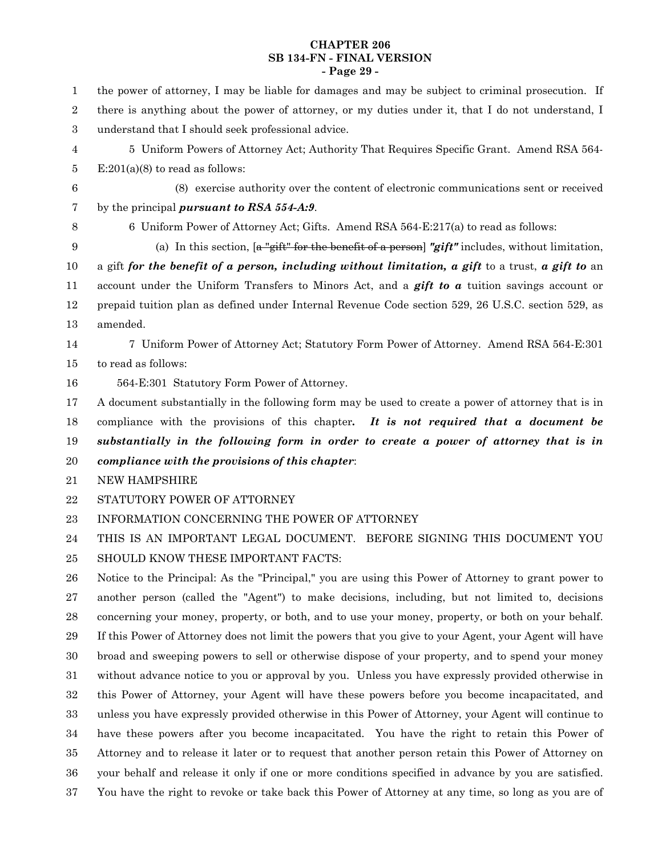#### **CHAPTER 206 SB 134-FN - FINAL VERSION - Page 29 -**

the power of attorney, I may be liable for damages and may be subject to criminal prosecution. If there is anything about the power of attorney, or my duties under it, that I do not understand, I understand that I should seek professional advice. 5 Uniform Powers of Attorney Act; Authority That Requires Specific Grant. Amend RSA 564-  $E:201(a)(8)$  to read as follows: (8) exercise authority over the content of electronic communications sent or received by the principal *pursuant to RSA 554-A:9*. 6 Uniform Power of Attorney Act; Gifts. Amend RSA 564-E:217(a) to read as follows: (a) In this section, [a "gift" for the benefit of a person] *"gift"* includes, without limitation, a gift *for the benefit of a person, including without limitation, a gift* to a trust, *a gift to* an account under the Uniform Transfers to Minors Act, and a *gift to a* tuition savings account or prepaid tuition plan as defined under Internal Revenue Code section 529, 26 U.S.C. section 529, as amended. 7 Uniform Power of Attorney Act; Statutory Form Power of Attorney. Amend RSA 564-E:301 to read as follows: 564-E:301 Statutory Form Power of Attorney. A document substantially in the following form may be used to create a power of attorney that is in compliance with the provisions of this chapter*. It is not required that a document be substantially in the following form in order to create a power of attorney that is in compliance with the provisions of this chapter*: NEW HAMPSHIRE STATUTORY POWER OF ATTORNEY INFORMATION CONCERNING THE POWER OF ATTORNEY THIS IS AN IMPORTANT LEGAL DOCUMENT. BEFORE SIGNING THIS DOCUMENT YOU SHOULD KNOW THESE IMPORTANT FACTS: Notice to the Principal: As the "Principal," you are using this Power of Attorney to grant power to another person (called the "Agent") to make decisions, including, but not limited to, decisions concerning your money, property, or both, and to use your money, property, or both on your behalf. If this Power of Attorney does not limit the powers that you give to your Agent, your Agent will have broad and sweeping powers to sell or otherwise dispose of your property, and to spend your money without advance notice to you or approval by you. Unless you have expressly provided otherwise in this Power of Attorney, your Agent will have these powers before you become incapacitated, and unless you have expressly provided otherwise in this Power of Attorney, your Agent will continue to have these powers after you become incapacitated. You have the right to retain this Power of Attorney and to release it later or to request that another person retain this Power of Attorney on your behalf and release it only if one or more conditions specified in advance by you are satisfied. You have the right to revoke or take back this Power of Attorney at any time, so long as you are of 1 2 3 4 5 6 7 8 9 10 11 12 13 14 15 16 17 18 19 20 21 22 23 24 25 26 27 28 29 30 31 32 33 34 35 36 37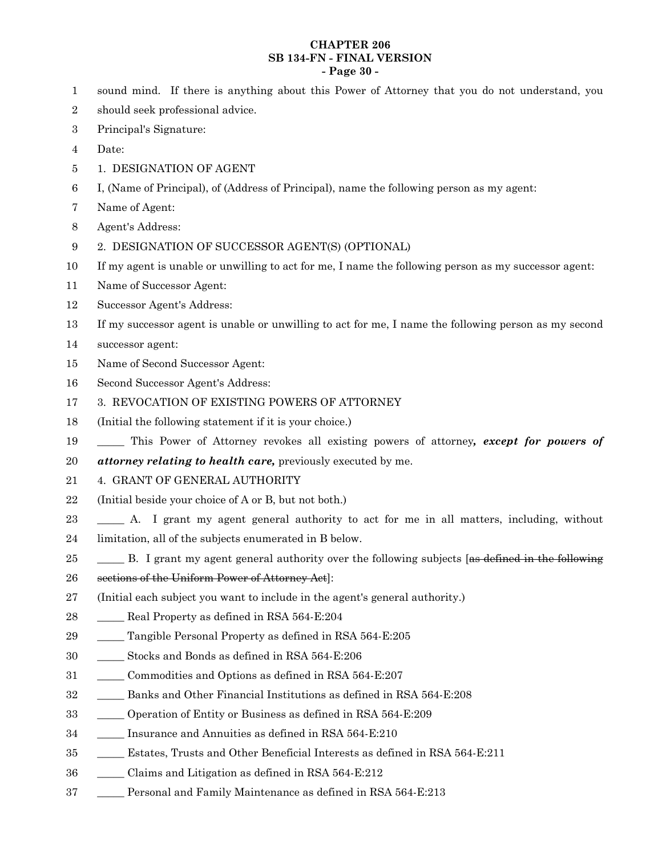#### **CHAPTER 206 SB 134-FN - FINAL VERSION - Page 30 -**

- sound mind. If there is anything about this Power of Attorney that you do not understand, you 1
- should seek professional advice. 2
- Principal's Signature: 3
- Date: 4
- 1. DESIGNATION OF AGENT 5
- I, (Name of Principal), of (Address of Principal), name the following person as my agent: 6
- Name of Agent: 7
- Agent's Address: 8
- 2. DESIGNATION OF SUCCESSOR AGENT(S) (OPTIONAL) 9
- If my agent is unable or unwilling to act for me, I name the following person as my successor agent: 10
- Name of Successor Agent: 11
- Successor Agent's Address: 12
- If my successor agent is unable or unwilling to act for me, I name the following person as my second 13
- successor agent: 14
- Name of Second Successor Agent: 15
- Second Successor Agent's Address: 16
- 3. REVOCATION OF EXISTING POWERS OF ATTORNEY 17
- (Initial the following statement if it is your choice.) 18
- \_\_\_\_\_ This Power of Attorney revokes all existing powers of attorney*, except for powers of* 19
- *attorney relating to health care,* previously executed by me. 20
- 4. GRANT OF GENERAL AUTHORITY 21
- (Initial beside your choice of A or B, but not both.) 22
- \_\_\_\_\_ A. I grant my agent general authority to act for me in all matters, including, without limitation, all of the subjects enumerated in B below. 23 24
- B. I grant my agent general authority over the following subjects [as defined in the following 25
- sections of the Uniform Power of Attorney Act]: 26
- (Initial each subject you want to include in the agent's general authority.) 27
- \_\_\_\_\_ Real Property as defined in RSA 564-E:204 28
- \_\_\_\_\_ Tangible Personal Property as defined in RSA 564-E:205 29
- \_\_\_\_\_ Stocks and Bonds as defined in RSA 564-E:206 30
- \_\_\_\_\_ Commodities and Options as defined in RSA 564-E:207 31
- \_\_\_\_\_ Banks and Other Financial Institutions as defined in RSA 564-E:208 32
- \_\_\_\_\_ Operation of Entity or Business as defined in RSA 564-E:209 33
- \_\_\_\_\_ Insurance and Annuities as defined in RSA 564-E:210 34
- \_\_\_\_\_ Estates, Trusts and Other Beneficial Interests as defined in RSA 564-E:211 35
- Claims and Litigation as defined in RSA  $564$ -E:212 36
- Personal and Family Maintenance as defined in RSA 564-E:213 37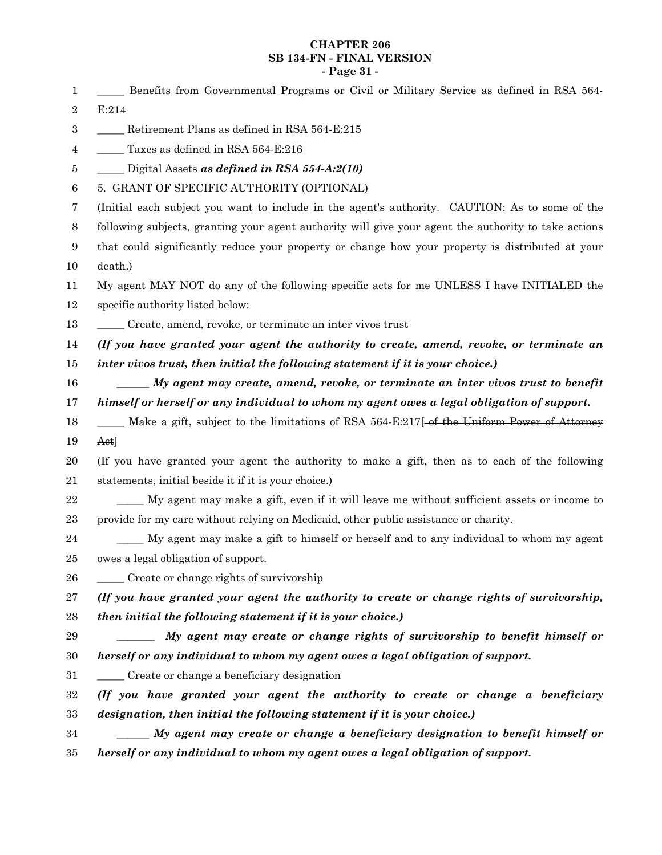#### **CHAPTER 206 SB 134-FN - FINAL VERSION - Page 31 -**

\_\_\_\_\_ Benefits from Governmental Programs or Civil or Military Service as defined in RSA 564- E:214 \_\_\_\_\_ Retirement Plans as defined in RSA 564-E:215 Taxes as defined in RSA 564-E:216 \_\_\_\_\_ Digital Assets *as defined in RSA 554-A:2(10)* 5. GRANT OF SPECIFIC AUTHORITY (OPTIONAL) (Initial each subject you want to include in the agent's authority. CAUTION: As to some of the following subjects, granting your agent authority will give your agent the authority to take actions that could significantly reduce your property or change how your property is distributed at your death.) My agent MAY NOT do any of the following specific acts for me UNLESS I have INITIALED the specific authority listed below: \_\_\_\_\_ Create, amend, revoke, or terminate an inter vivos trust *(If you have granted your agent the authority to create, amend, revoke, or terminate an inter vivos trust, then initial the following statement if it is your choice.) \_\_\_\_\_\_ My agent may create, amend, revoke, or terminate an inter vivos trust to benefit himself or herself or any individual to whom my agent owes a legal obligation of support.* \_\_\_\_\_ Make a gift, subject to the limitations of RSA 564-E:217[ of the Uniform Power of Attorney Act] (If you have granted your agent the authority to make a gift, then as to each of the following statements, initial beside it if it is your choice.) \_\_\_\_\_ My agent may make a gift, even if it will leave me without sufficient assets or income to provide for my care without relying on Medicaid, other public assistance or charity. \_\_\_\_\_ My agent may make a gift to himself or herself and to any individual to whom my agent owes a legal obligation of support. \_\_\_\_\_ Create or change rights of survivorship *(If you have granted your agent the authority to create or change rights of survivorship, then initial the following statement if it is your choice.) \_\_\_\_\_\_\_ My agent may create or change rights of survivorship to benefit himself or herself or any individual to whom my agent owes a legal obligation of support.* \_\_\_\_\_ Create or change a beneficiary designation *(If you have granted your agent the authority to create or change a beneficiary designation, then initial the following statement if it is your choice.)* \_\_\_\_\_\_ *My agent may create or change a beneficiary designation to benefit himself or herself or any individual to whom my agent owes a legal obligation of support.* 1 2 3 4 5 6 7 8 9 10 11 12 13 14 15 16 17 18 19 20 21 22 23 24 25 26 27 28 29 30 31 32 33 34 35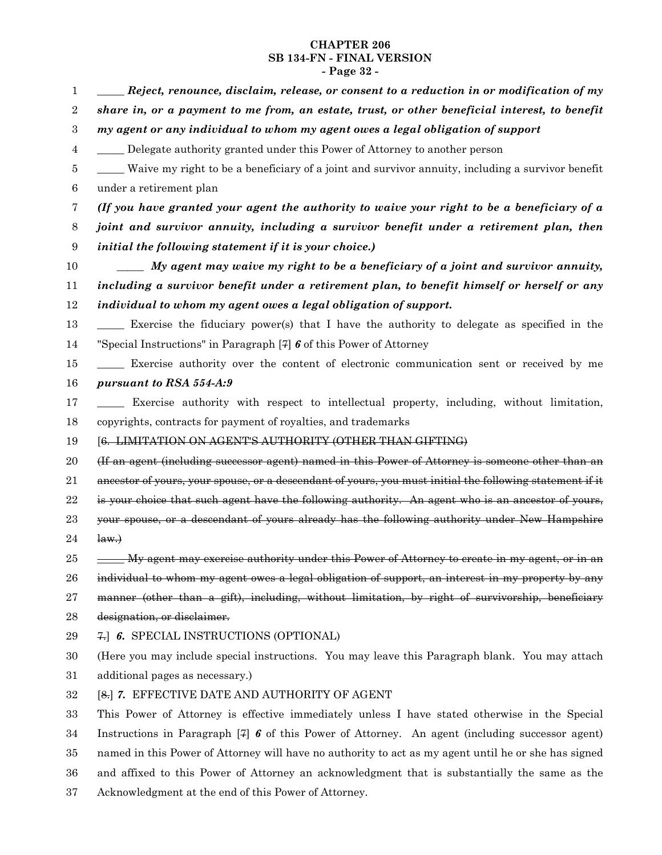# **CHAPTER 206 SB 134-FN - FINAL VERSION - Page 32 -**

| $\mathbf 1$      | Reject, renounce, disclaim, release, or consent to a reduction in or modification of my                  |
|------------------|----------------------------------------------------------------------------------------------------------|
| $\sqrt{2}$       | share in, or a payment to me from, an estate, trust, or other beneficial interest, to benefit            |
| $\,3$            | my agent or any individual to whom my agent owes a legal obligation of support                           |
| $\overline{4}$   | Delegate authority granted under this Power of Attorney to another person                                |
| 5                | Waive my right to be a beneficiary of a joint and survivor annuity, including a survivor benefit         |
| $\boldsymbol{6}$ | under a retirement plan                                                                                  |
| 7                | (If you have granted your agent the authority to waive your right to be a beneficiary of a               |
| 8                | joint and survivor annuity, including a survivor benefit under a retirement plan, then                   |
| 9                | initial the following statement if it is your choice.)                                                   |
| 10               | $\frac{1}{1}$ My agent may waive my right to be a beneficiary of a joint and survivor annuity,           |
| 11               | including a survivor benefit under a retirement plan, to benefit himself or herself or any               |
| 12               | individual to whom my agent owes a legal obligation of support.                                          |
| 13               | Exercise the fiduciary power(s) that I have the authority to delegate as specified in the                |
| 14               | "Special Instructions" in Paragraph [7] $\boldsymbol{\delta}$ of this Power of Attorney                  |
| 15               | Exercise authority over the content of electronic communication sent or received by me                   |
| 16               | pursuant to RSA 554-A:9                                                                                  |
| 17               | Exercise authority with respect to intellectual property, including, without limitation,                 |
| 18               | copyrights, contracts for payment of royalties, and trademarks                                           |
| 19               | [6. LIMITATION ON AGENT'S AUTHORITY (OTHER THAN GIFTING)                                                 |
| 20               | (If an agent (including successor agent) named in this Power of Attorney is someone other than an        |
| 21               | ancestor of yours, your spouse, or a descendant of yours, you must initial the following statement if it |
| 22               | is your choice that such agent have the following authority. An agent who is an ancestor of yours,       |
| 23               | your spouse, or a descendant of yours already has the following authority under New Hampshire            |
| 24               | $\downarrow$ aw. $\rightarrow$                                                                           |
| 25               | <u>Wy agent may exercise authority under this Power of Attorney to create in my agent, or in an</u>      |
| 26               | individual to whom my agent owes a legal obligation of support, an interest in my property by any        |
| 27               | manner (other than a gift), including, without limitation, by right of survivorship, beneficiary         |
| 28               | designation, or disclaimer.                                                                              |
| 29               | 7. 6. SPECIAL INSTRUCTIONS (OPTIONAL)                                                                    |
| 30               | (Here you may include special instructions. You may leave this Paragraph blank. You may attach           |
| 31               | additional pages as necessary.)                                                                          |
| 32               | [8.] 7. EFFECTIVE DATE AND AUTHORITY OF AGENT                                                            |
| 33               | This Power of Attorney is effective immediately unless I have stated otherwise in the Special            |
| 34               | Instructions in Paragraph $[7]$ 6 of this Power of Attorney. An agent (including successor agent)        |
| 35               | named in this Power of Attorney will have no authority to act as my agent until he or she has signed     |
| 36               | and affixed to this Power of Attorney an acknowledgment that is substantially the same as the            |

Acknowledgment at the end of this Power of Attorney. 37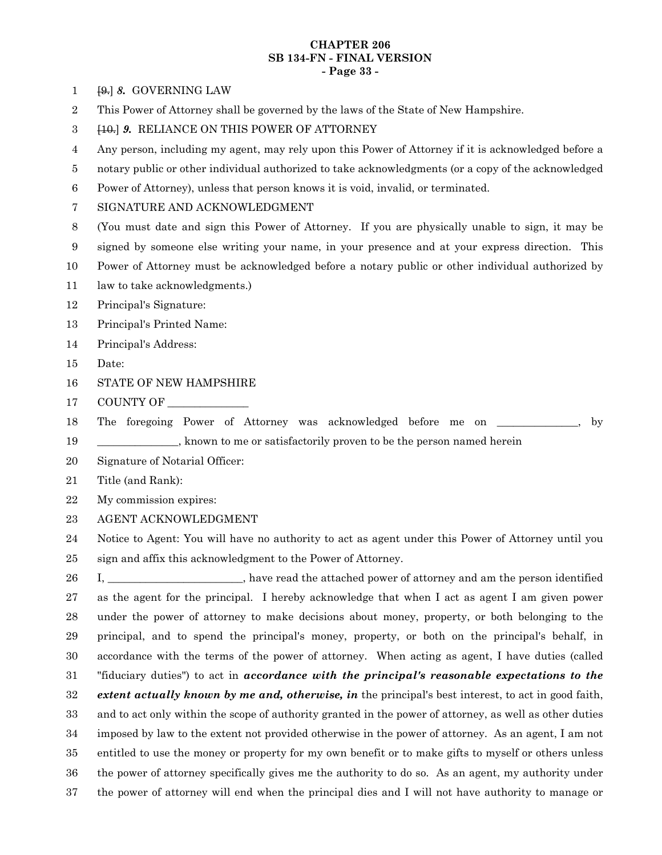#### **CHAPTER 206 SB 134-FN - FINAL VERSION - Page 33 -**

[9.] *8.* GOVERNING LAW 1

- This Power of Attorney shall be governed by the laws of the State of New Hampshire. 2
- [10.] *9.* RELIANCE ON THIS POWER OF ATTORNEY 3
- Any person, including my agent, may rely upon this Power of Attorney if it is acknowledged before a 4
- notary public or other individual authorized to take acknowledgments (or a copy of the acknowledged 5
- Power of Attorney), unless that person knows it is void, invalid, or terminated. 6
- SIGNATURE AND ACKNOWLEDGMENT 7
- (You must date and sign this Power of Attorney. If you are physically unable to sign, it may be 8
- signed by someone else writing your name, in your presence and at your express direction. This 9
- Power of Attorney must be acknowledged before a notary public or other individual authorized by 10
- law to take acknowledgments.) 11
- Principal's Signature: 12
- Principal's Printed Name: 13
- Principal's Address: 14
- Date: 15
- STATE OF NEW HAMPSHIRE 16
- COUNTY OF \_\_\_\_\_\_\_\_\_\_\_\_\_\_\_ 17
- The foregoing Power of Attorney was acknowledged before me on \_\_\_\_\_\_\_\_\_\_\_, by \_\_\_\_\_\_\_\_\_\_\_\_\_\_\_, known to me or satisfactorily proven to be the person named herein 18 19
- Signature of Notarial Officer: 20
- Title (and Rank): 21
- My commission expires: 22
- AGENT ACKNOWLEDGMENT 23

Notice to Agent: You will have no authority to act as agent under this Power of Attorney until you sign and affix this acknowledgment to the Power of Attorney. 24 25

I, have read the attached power of attorney and am the person identified as the agent for the principal. I hereby acknowledge that when I act as agent I am given power under the power of attorney to make decisions about money, property, or both belonging to the principal, and to spend the principal's money, property, or both on the principal's behalf, in accordance with the terms of the power of attorney. When acting as agent, I have duties (called "fiduciary duties") to act in *accordance with the principal's reasonable expectations to the extent actually known by me and, otherwise, in* the principal's best interest, to act in good faith, and to act only within the scope of authority granted in the power of attorney, as well as other duties imposed by law to the extent not provided otherwise in the power of attorney. As an agent, I am not entitled to use the money or property for my own benefit or to make gifts to myself or others unless the power of attorney specifically gives me the authority to do so. As an agent, my authority under the power of attorney will end when the principal dies and I will not have authority to manage or 26 27 28 29 30 31 32 33 34 35 36 37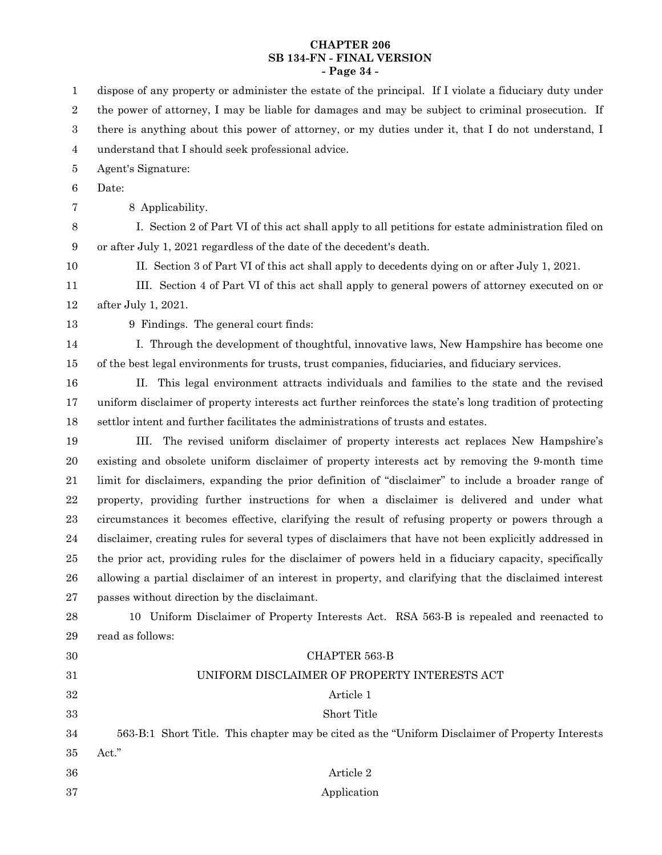# **CHAPTER 206 SB 134-FN - FINAL VERSION - Page 34 -**

| $\mathbf 1$      | dispose of any property or administer the estate of the principal. If I violate a fiduciary duty under   |
|------------------|----------------------------------------------------------------------------------------------------------|
| $\,2$            | the power of attorney, I may be liable for damages and may be subject to criminal prosecution. If        |
| $\,3$            | there is anything about this power of attorney, or my duties under it, that I do not understand, I       |
| $\overline{4}$   | understand that I should seek professional advice.                                                       |
| 5                | Agent's Signature:                                                                                       |
| $\,6$            | Date:                                                                                                    |
| 7                | 8 Applicability.                                                                                         |
| $8\,$            | I. Section 2 of Part VI of this act shall apply to all petitions for estate administration filed on      |
| $\boldsymbol{9}$ | or after July 1, 2021 regardless of the date of the decedent's death.                                    |
| 10               | II. Section 3 of Part VI of this act shall apply to decedents dying on or after July 1, 2021.            |
| 11               | III. Section 4 of Part VI of this act shall apply to general powers of attorney executed on or           |
| 12               | after July 1, 2021.                                                                                      |
| 13               | 9 Findings. The general court finds:                                                                     |
| 14               | I. Through the development of thoughtful, innovative laws, New Hampshire has become one                  |
| 15               | of the best legal environments for trusts, trust companies, fiduciaries, and fiduciary services.         |
| 16               | II. This legal environment attracts individuals and families to the state and the revised                |
| 17               | uniform disclaimer of property interests act further reinforces the state's long tradition of protecting |
| 18               | settlor intent and further facilitates the administrations of trusts and estates.                        |
| 19               | The revised uniform disclaimer of property interests act replaces New Hampshire's<br>III.                |
| 20               | existing and obsolete uniform disclaimer of property interests act by removing the 9-month time          |
| 21               | limit for disclaimers, expanding the prior definition of "disclaimer" to include a broader range of      |
| 22               | property, providing further instructions for when a disclaimer is delivered and under what               |
| 23               | circumstances it becomes effective, clarifying the result of refusing property or powers through a       |
| 24               | disclaimer, creating rules for several types of disclaimers that have not been explicitly addressed in   |
| 25               | the prior act, providing rules for the disclaimer of powers held in a fiduciary capacity, specifically   |
| 26               | allowing a partial disclaimer of an interest in property, and clarifying that the disclaimed interest    |
| 27               | passes without direction by the disclaimant.                                                             |
| 28               | 10 Uniform Disclaimer of Property Interests Act. RSA 563-B is repealed and reenacted to                  |
| 29               | read as follows:                                                                                         |
| 30               | CHAPTER 563-B                                                                                            |
| 31               | UNIFORM DISCLAIMER OF PROPERTY INTERESTS ACT                                                             |
| 32               | Article 1                                                                                                |
| 33               | Short Title                                                                                              |
| 34               | 563-B:1 Short Title. This chapter may be cited as the "Uniform Disclaimer of Property Interests          |
| 35               | Act."                                                                                                    |
| 36               | Article 2                                                                                                |
| 37               | Application                                                                                              |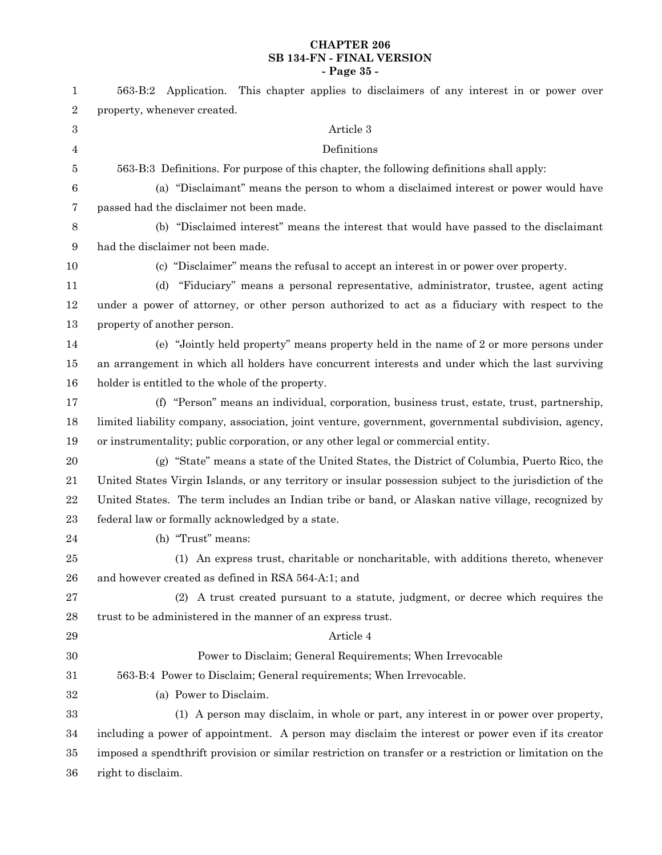# **CHAPTER 206 SB 134-FN - FINAL VERSION - Page 35 -**

| $\mathbf{1}$     | 563-B:2 Application. This chapter applies to disclaimers of any interest in or power over                |
|------------------|----------------------------------------------------------------------------------------------------------|
| 2                | property, whenever created.                                                                              |
| 3                | Article 3                                                                                                |
| 4                | Definitions                                                                                              |
| 5                | 563-B:3 Definitions. For purpose of this chapter, the following definitions shall apply:                 |
| $\boldsymbol{6}$ | (a) "Disclaimant" means the person to whom a disclaimed interest or power would have                     |
| 7                | passed had the disclaimer not been made.                                                                 |
| 8                | (b) "Disclaimed interest" means the interest that would have passed to the disclaimant                   |
| 9                | had the disclaimer not been made.                                                                        |
| 10               | (c) "Disclaimer" means the refusal to accept an interest in or power over property.                      |
| 11               | (d) "Fiduciary" means a personal representative, administrator, trustee, agent acting                    |
| 12               | under a power of attorney, or other person authorized to act as a fiduciary with respect to the          |
| 13               | property of another person.                                                                              |
| 14               | (e) "Jointly held property" means property held in the name of 2 or more persons under                   |
| 15               | an arrangement in which all holders have concurrent interests and under which the last surviving         |
| 16               | holder is entitled to the whole of the property.                                                         |
| 17               | (f) "Person" means an individual, corporation, business trust, estate, trust, partnership,               |
| 18               | limited liability company, association, joint venture, government, governmental subdivision, agency,     |
| 19               | or instrumentality; public corporation, or any other legal or commercial entity.                         |
| $20\,$           | (g) "State" means a state of the United States, the District of Columbia, Puerto Rico, the               |
| 21               | United States Virgin Islands, or any territory or insular possession subject to the jurisdiction of the  |
| 22               | United States. The term includes an Indian tribe or band, or Alaskan native village, recognized by       |
| 23               | federal law or formally acknowledged by a state.                                                         |
| 24               | (h) "Trust" means:                                                                                       |
| 25               | (1) An express trust, charitable or noncharitable, with additions thereto, whenever                      |
| 26               | and however created as defined in RSA 564-A:1; and                                                       |
| 27               | (2) A trust created pursuant to a statute, judgment, or decree which requires the                        |
| 28               | trust to be administered in the manner of an express trust.                                              |
| 29               | Article 4                                                                                                |
| $30\,$           | Power to Disclaim; General Requirements; When Irrevocable                                                |
| 31               | 563-B:4 Power to Disclaim; General requirements; When Irrevocable.                                       |
| 32               | (a) Power to Disclaim.                                                                                   |
| 33               | (1) A person may disclaim, in whole or part, any interest in or power over property,                     |
| 34               | including a power of appointment. A person may disclaim the interest or power even if its creator        |
| 35               | imposed a spendthrift provision or similar restriction on transfer or a restriction or limitation on the |
| 36               | right to disclaim.                                                                                       |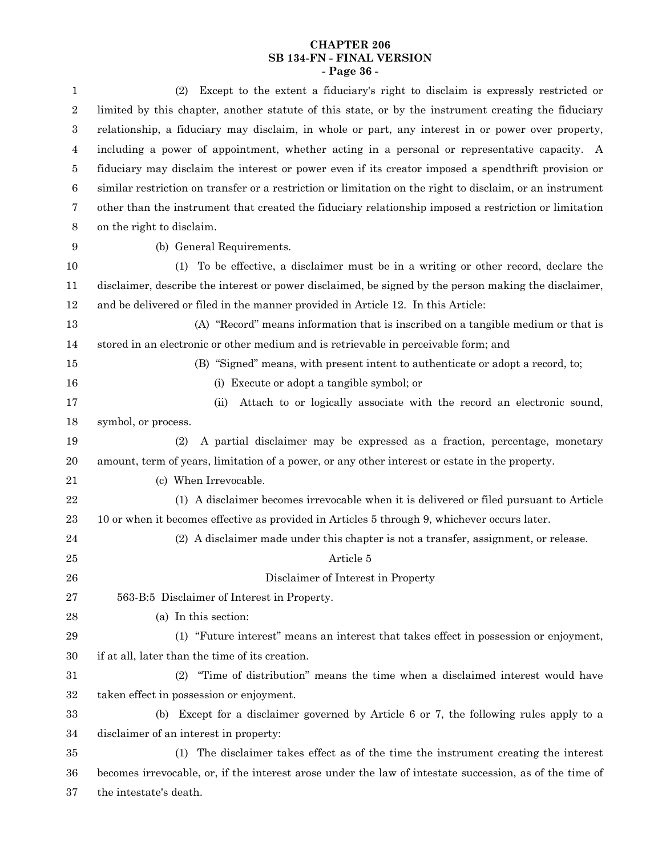# **CHAPTER 206 SB 134-FN - FINAL VERSION - Page 36 -**

| 1                | Except to the extent a fiduciary's right to disclaim is expressly restricted or<br>(2)                    |
|------------------|-----------------------------------------------------------------------------------------------------------|
| $\boldsymbol{2}$ | limited by this chapter, another statute of this state, or by the instrument creating the fiduciary       |
| $\,3$            | relationship, a fiduciary may disclaim, in whole or part, any interest in or power over property,         |
| 4                | including a power of appointment, whether acting in a personal or representative capacity. A              |
| 5                | fiduciary may disclaim the interest or power even if its creator imposed a spendthrift provision or       |
| $\,6\,$          | similar restriction on transfer or a restriction or limitation on the right to disclaim, or an instrument |
| 7                | other than the instrument that created the fiduciary relationship imposed a restriction or limitation     |
| $8\,$            | on the right to disclaim.                                                                                 |
| 9                | (b) General Requirements.                                                                                 |
| 10               | (1) To be effective, a disclaimer must be in a writing or other record, declare the                       |
| 11               | disclaimer, describe the interest or power disclaimed, be signed by the person making the disclaimer,     |
| 12               | and be delivered or filed in the manner provided in Article 12. In this Article:                          |
| 13               | (A) "Record" means information that is inscribed on a tangible medium or that is                          |
| 14               | stored in an electronic or other medium and is retrievable in perceivable form; and                       |
| 15               | (B) "Signed" means, with present intent to authenticate or adopt a record, to;                            |
| 16               | (i) Execute or adopt a tangible symbol; or                                                                |
| 17               | Attach to or logically associate with the record an electronic sound,<br>(ii)                             |
| 18               | symbol, or process.                                                                                       |
| 19               | A partial disclaimer may be expressed as a fraction, percentage, monetary<br>(2)                          |
| 20               | amount, term of years, limitation of a power, or any other interest or estate in the property.            |
| 21               | (c) When Irrevocable.                                                                                     |
| 22               | (1) A disclaimer becomes irrevocable when it is delivered or filed pursuant to Article                    |
| 23               | 10 or when it becomes effective as provided in Articles 5 through 9, whichever occurs later.              |
| 24               | (2) A disclaimer made under this chapter is not a transfer, assignment, or release.                       |
| 25               | Article 5                                                                                                 |
| 26               | Disclaimer of Interest in Property                                                                        |
| 27               | 563-B:5 Disclaimer of Interest in Property.                                                               |
| 28               | (a) In this section:                                                                                      |
| 29               | (1) "Future interest" means an interest that takes effect in possession or enjoyment,                     |
| 30               | if at all, later than the time of its creation.                                                           |
| 31               | "Time of distribution" means the time when a disclaimed interest would have<br>(2)                        |
| 32               | taken effect in possession or enjoyment.                                                                  |
| 33               | Except for a disclaimer governed by Article 6 or 7, the following rules apply to a<br>(b)                 |
| 34               | disclaimer of an interest in property:                                                                    |
| 35               | The disclaimer takes effect as of the time the instrument creating the interest<br>(1)                    |
| 36               | becomes irrevocable, or, if the interest arose under the law of intestate succession, as of the time of   |
| 37               | the intestate's death.                                                                                    |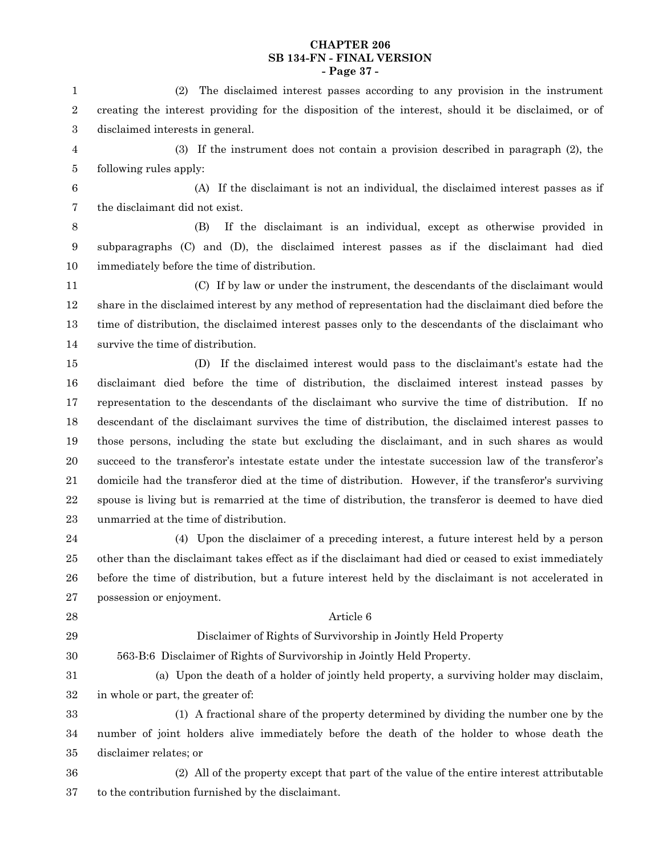#### **CHAPTER 206 SB 134-FN - FINAL VERSION - Page 37 -**

(2) The disclaimed interest passes according to any provision in the instrument creating the interest providing for the disposition of the interest, should it be disclaimed, or of disclaimed interests in general. (3) If the instrument does not contain a provision described in paragraph (2), the following rules apply: (A) If the disclaimant is not an individual, the disclaimed interest passes as if the disclaimant did not exist. (B) If the disclaimant is an individual, except as otherwise provided in subparagraphs (C) and (D), the disclaimed interest passes as if the disclaimant had died immediately before the time of distribution. (C) If by law or under the instrument, the descendants of the disclaimant would share in the disclaimed interest by any method of representation had the disclaimant died before the time of distribution, the disclaimed interest passes only to the descendants of the disclaimant who survive the time of distribution. (D) If the disclaimed interest would pass to the disclaimant's estate had the disclaimant died before the time of distribution, the disclaimed interest instead passes by representation to the descendants of the disclaimant who survive the time of distribution. If no descendant of the disclaimant survives the time of distribution, the disclaimed interest passes to those persons, including the state but excluding the disclaimant, and in such shares as would succeed to the transferor's intestate estate under the intestate succession law of the transferor's domicile had the transferor died at the time of distribution. However, if the transferor's surviving spouse is living but is remarried at the time of distribution, the transferor is deemed to have died unmarried at the time of distribution. (4) Upon the disclaimer of a preceding interest, a future interest held by a person other than the disclaimant takes effect as if the disclaimant had died or ceased to exist immediately before the time of distribution, but a future interest held by the disclaimant is not accelerated in possession or enjoyment. Article 6 Disclaimer of Rights of Survivorship in Jointly Held Property 563-B:6 Disclaimer of Rights of Survivorship in Jointly Held Property. (a) Upon the death of a holder of jointly held property, a surviving holder may disclaim, in whole or part, the greater of: (1) A fractional share of the property determined by dividing the number one by the number of joint holders alive immediately before the death of the holder to whose death the disclaimer relates; or (2) All of the property except that part of the value of the entire interest attributable to the contribution furnished by the disclaimant. 1 2 3 4 5 6 7 8 9 10 11 12 13 14 15 16 17 18 19 20 21 22 23 24 25 26 27 28 29 30 31 32 33 34 35 36 37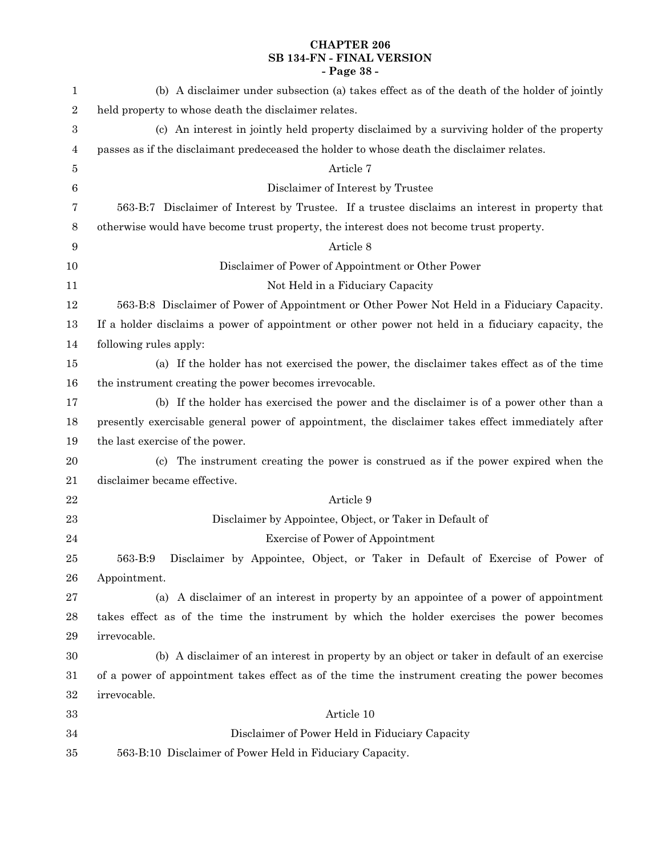# **CHAPTER 206 SB 134-FN - FINAL VERSION - Page 38 -**

| 1         | (b) A disclaimer under subsection (a) takes effect as of the death of the holder of jointly       |
|-----------|---------------------------------------------------------------------------------------------------|
| $\,2$     | held property to whose death the disclaimer relates.                                              |
| 3         | (c) An interest in jointly held property disclaimed by a surviving holder of the property         |
| 4         | passes as if the disclaimant predeceased the holder to whose death the disclaimer relates.        |
| 5         | Article 7                                                                                         |
| 6         | Disclaimer of Interest by Trustee                                                                 |
| 7         | 563-B:7 Disclaimer of Interest by Trustee. If a trustee disclaims an interest in property that    |
| 8         | otherwise would have become trust property, the interest does not become trust property.          |
| 9         | Article 8                                                                                         |
| 10        | Disclaimer of Power of Appointment or Other Power                                                 |
| 11        | Not Held in a Fiduciary Capacity                                                                  |
| 12        | 563-B:8 Disclaimer of Power of Appointment or Other Power Not Held in a Fiduciary Capacity.       |
| 13        | If a holder disclaims a power of appointment or other power not held in a fiduciary capacity, the |
| 14        | following rules apply:                                                                            |
| 15        | (a) If the holder has not exercised the power, the disclaimer takes effect as of the time         |
| 16        | the instrument creating the power becomes irrevocable.                                            |
| 17        | (b) If the holder has exercised the power and the disclaimer is of a power other than a           |
| 18        | presently exercisable general power of appointment, the disclaimer takes effect immediately after |
| 19        | the last exercise of the power.                                                                   |
| 20        | The instrument creating the power is construed as if the power expired when the<br>(c)            |
| 21        | disclaimer became effective.                                                                      |
| $\bf{22}$ | Article 9                                                                                         |
| 23        | Disclaimer by Appointee, Object, or Taker in Default of                                           |
| 24        | <b>Exercise of Power of Appointment</b>                                                           |
| 25        | Disclaimer by Appointee, Object, or Taker in Default of Exercise of Power of<br>563-B:9           |
| 26        | Appointment.                                                                                      |
| 27        | (a) A disclaimer of an interest in property by an appointee of a power of appointment             |
| 28        | takes effect as of the time the instrument by which the holder exercises the power becomes        |
| $\bf 29$  | irrevocable.                                                                                      |
| $30\,$    | (b) A disclaimer of an interest in property by an object or taker in default of an exercise       |
| 31        | of a power of appointment takes effect as of the time the instrument creating the power becomes   |
| 32        | irrevocable.                                                                                      |
| 33        | Article 10                                                                                        |
| 34        | Disclaimer of Power Held in Fiduciary Capacity                                                    |
| 35        | 563-B:10 Disclaimer of Power Held in Fiduciary Capacity.                                          |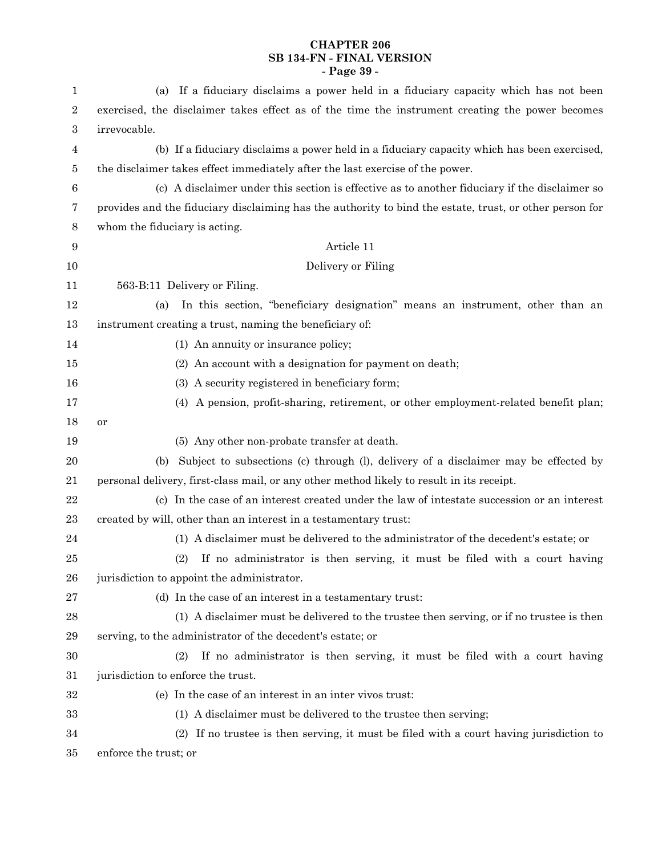# **CHAPTER 206 SB 134-FN - FINAL VERSION - Page 39 -**

| $\mathbf{1}$     | If a fiduciary disclaims a power held in a fiduciary capacity which has not been<br>(a)                 |
|------------------|---------------------------------------------------------------------------------------------------------|
| $\boldsymbol{2}$ | exercised, the disclaimer takes effect as of the time the instrument creating the power becomes         |
| $\,3$            | irrevocable.                                                                                            |
| $\overline{4}$   | (b) If a fiduciary disclaims a power held in a fiduciary capacity which has been exercised,             |
| 5                | the disclaimer takes effect immediately after the last exercise of the power.                           |
| $\,6$            | (c) A disclaimer under this section is effective as to another fiduciary if the disclaimer so           |
| 7                | provides and the fiduciary disclaiming has the authority to bind the estate, trust, or other person for |
| $8\phantom{1}$   | whom the fiduciary is acting.                                                                           |
| $\boldsymbol{9}$ | Article 11                                                                                              |
| 10               | Delivery or Filing                                                                                      |
| 11               | 563-B:11 Delivery or Filing.                                                                            |
| 12               | In this section, "beneficiary designation" means an instrument, other than an<br>(a)                    |
| 13               | instrument creating a trust, naming the beneficiary of:                                                 |
| 14               | (1) An annuity or insurance policy;                                                                     |
| 15               | (2) An account with a designation for payment on death;                                                 |
| 16               | (3) A security registered in beneficiary form;                                                          |
| 17               | (4) A pension, profit-sharing, retirement, or other employment-related benefit plan;                    |
| 18               | or                                                                                                      |
| 19               | (5) Any other non-probate transfer at death.                                                            |
| 20               | (b) Subject to subsections (c) through (l), delivery of a disclaimer may be effected by                 |
| 21               | personal delivery, first-class mail, or any other method likely to result in its receipt.               |
| 22               | (c) In the case of an interest created under the law of intestate succession or an interest             |
| 23               | created by will, other than an interest in a testamentary trust:                                        |
| 24               | (1) A disclaimer must be delivered to the administrator of the decedent's estate; or                    |
| 25               | If no administrator is then serving, it must be filed with a court having<br>(2)                        |
| 26               | jurisdiction to appoint the administrator.                                                              |
| 27               | (d) In the case of an interest in a testamentary trust:                                                 |
| $\bf 28$         | (1) A disclaimer must be delivered to the trustee then serving, or if no trustee is then                |
| $\,29$           | serving, to the administrator of the decedent's estate; or                                              |
| $30\,$           | (2)<br>If no administrator is then serving, it must be filed with a court having                        |
| 31               | jurisdiction to enforce the trust.                                                                      |
| $32\,$           | (e) In the case of an interest in an inter vivos trust:                                                 |
| 33               | (1) A disclaimer must be delivered to the trustee then serving;                                         |
| 34               | (2) If no trustee is then serving, it must be filed with a court having jurisdiction to                 |
| 35               | enforce the trust; or                                                                                   |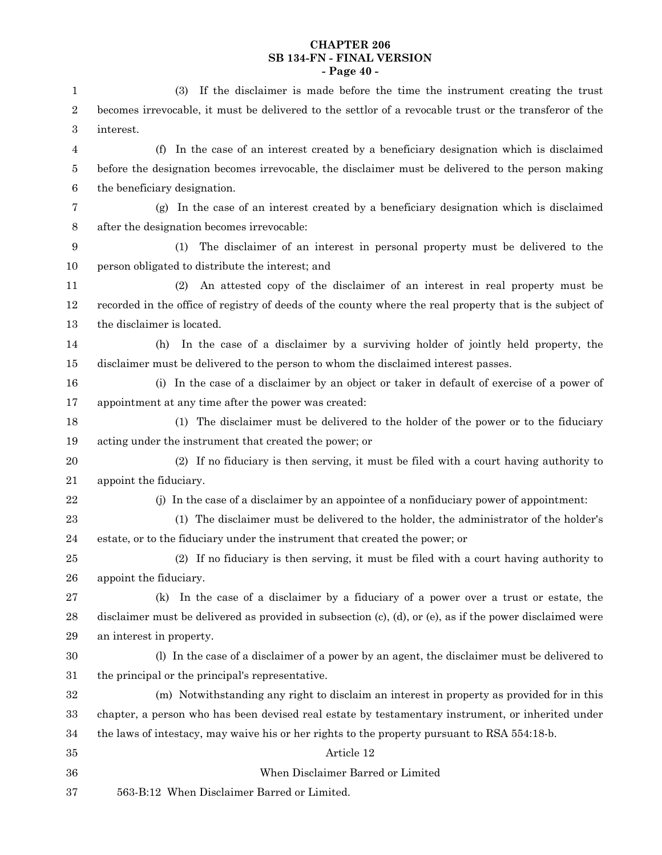# **CHAPTER 206 SB 134-FN - FINAL VERSION - Page 40 -**

| $\mathbf{1}$     | If the disclaimer is made before the time the instrument creating the trust<br>(3)                                |
|------------------|-------------------------------------------------------------------------------------------------------------------|
| $\,2$            | becomes irrevocable, it must be delivered to the settlor of a revocable trust or the transferor of the            |
| $\,3$            | interest.                                                                                                         |
| $\overline{4}$   | In the case of an interest created by a beneficiary designation which is disclaimed<br>(f)                        |
| $\bf 5$          | before the designation becomes irrevocable, the disclaimer must be delivered to the person making                 |
| $\,6\,$          | the beneficiary designation.                                                                                      |
| 7                | (g) In the case of an interest created by a beneficiary designation which is disclaimed                           |
| $8\,$            | after the designation becomes irrevocable:                                                                        |
| $\boldsymbol{9}$ | The disclaimer of an interest in personal property must be delivered to the<br>(1)                                |
| 10               | person obligated to distribute the interest; and                                                                  |
| 11               | An attested copy of the disclaimer of an interest in real property must be<br>(2)                                 |
| 12               | recorded in the office of registry of deeds of the county where the real property that is the subject of          |
| 13               | the disclaimer is located.                                                                                        |
| 14               | In the case of a disclaimer by a surviving holder of jointly held property, the<br>(h)                            |
| 15               | disclaimer must be delivered to the person to whom the disclaimed interest passes.                                |
| 16               | (i) In the case of a disclaimer by an object or taker in default of exercise of a power of                        |
| 17               | appointment at any time after the power was created:                                                              |
| 18               | The disclaimer must be delivered to the holder of the power or to the fiduciary<br>(1)                            |
| 19               | acting under the instrument that created the power; or                                                            |
| 20               | (2) If no fiduciary is then serving, it must be filed with a court having authority to                            |
| 21               | appoint the fiduciary.                                                                                            |
| $\bf{22}$        | (j) In the case of a disclaimer by an appointee of a nonfiduciary power of appointment:                           |
| 23               | (1) The disclaimer must be delivered to the holder, the administrator of the holder's                             |
| 24               | estate, or to the fiduciary under the instrument that created the power; or                                       |
| 25               | (2) If no fiduciary is then serving, it must be filed with a court having authority to                            |
| 26               | appoint the fiduciary.                                                                                            |
| 27               | In the case of a disclaimer by a fiduciary of a power over a trust or estate, the<br>(k)                          |
| 28               | disclaimer must be delivered as provided in subsection $(c)$ , $(d)$ , or $(e)$ , as if the power disclaimed were |
| 29               | an interest in property.                                                                                          |
| 30               | (l) In the case of a disclaimer of a power by an agent, the disclaimer must be delivered to                       |
| 31               | the principal or the principal's representative.                                                                  |
| 32               | (m) Notwithstanding any right to disclaim an interest in property as provided for in this                         |
| 33               | chapter, a person who has been devised real estate by testamentary instrument, or inherited under                 |
| 34               | the laws of intestacy, may waive his or her rights to the property pursuant to RSA 554:18-b.                      |
| 35               | Article 12                                                                                                        |
| 36               | When Disclaimer Barred or Limited                                                                                 |
| $\rm 37$         | 563-B:12 When Disclaimer Barred or Limited.                                                                       |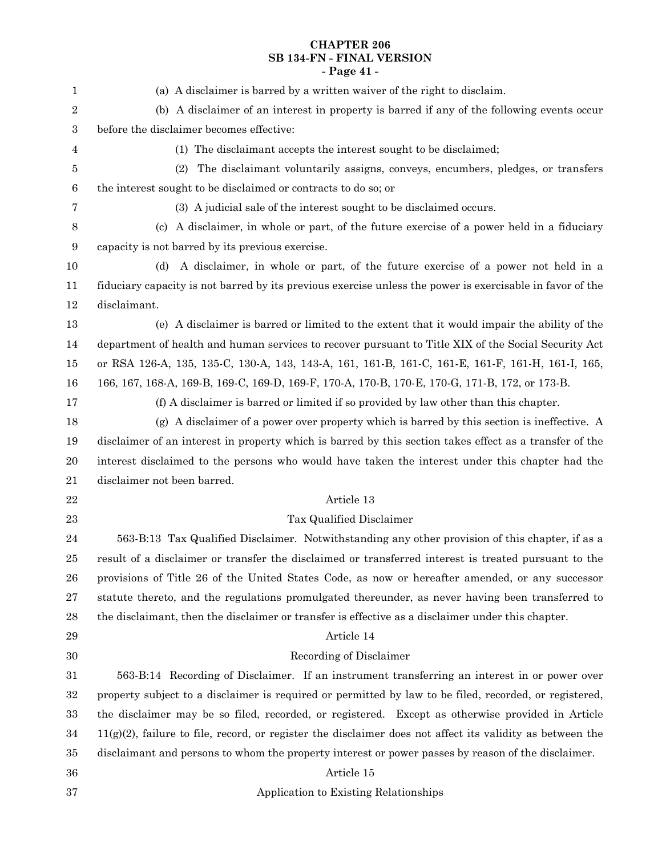# **CHAPTER 206 SB 134-FN - FINAL VERSION - Page 41 -**

| $\mathbf{1}$     | (a) A disclaimer is barred by a written waiver of the right to disclaim.                                     |
|------------------|--------------------------------------------------------------------------------------------------------------|
| $\boldsymbol{2}$ | (b) A disclaimer of an interest in property is barred if any of the following events occur                   |
| 3                | before the disclaimer becomes effective:                                                                     |
| 4                | (1) The disclaimant accepts the interest sought to be disclaimed;                                            |
| 5                | The disclaimant voluntarily assigns, conveys, encumbers, pledges, or transfers<br>(2)                        |
| $\,6$            | the interest sought to be disclaimed or contracts to do so; or                                               |
| 7                | (3) A judicial sale of the interest sought to be disclaimed occurs.                                          |
| 8                | A disclaimer, in whole or part, of the future exercise of a power held in a fiduciary<br>(c)                 |
| 9                | capacity is not barred by its previous exercise.                                                             |
| 10               | A disclaimer, in whole or part, of the future exercise of a power not held in a<br>(d)                       |
| 11               | fiduciary capacity is not barred by its previous exercise unless the power is exercisable in favor of the    |
| 12               | disclaimant.                                                                                                 |
| 13               | (e) A disclaimer is barred or limited to the extent that it would impair the ability of the                  |
| 14               | department of health and human services to recover pursuant to Title XIX of the Social Security Act          |
| 15               | or RSA 126-A, 135, 135-C, 130-A, 143, 143-A, 161, 161-B, 161-C, 161-E, 161-F, 161-H, 161-I, 165,             |
| 16               | 166, 167, 168-A, 169-B, 169-C, 169-D, 169-F, 170-A, 170-B, 170-E, 170-G, 171-B, 172, or 173-B.               |
| 17               | (f) A disclaimer is barred or limited if so provided by law other than this chapter.                         |
| 18               | (g) A disclaimer of a power over property which is barred by this section is ineffective. A                  |
| 19               | disclaimer of an interest in property which is barred by this section takes effect as a transfer of the      |
| 20               | interest disclaimed to the persons who would have taken the interest under this chapter had the              |
| 21               | disclaimer not been barred.                                                                                  |
| 22               | Article 13                                                                                                   |
| 23               | Tax Qualified Disclaimer                                                                                     |
| 24               | 563-B:13 Tax Qualified Disclaimer. Notwithstanding any other provision of this chapter, if as a              |
| 25               | result of a disclaimer or transfer the disclaimed or transferred interest is treated pursuant to the         |
| 26               | provisions of Title 26 of the United States Code, as now or hereafter amended, or any successor              |
| 27               | statute thereto, and the regulations promulgated thereunder, as never having been transferred to             |
| 28               | the disclaimant, then the disclaimer or transfer is effective as a disclaimer under this chapter.            |
| 29               | Article 14                                                                                                   |
| 30               | Recording of Disclaimer                                                                                      |
| 31               | 563-B:14 Recording of Disclaimer. If an instrument transferring an interest in or power over                 |
| 32               | property subject to a disclaimer is required or permitted by law to be filed, recorded, or registered,       |
| 33               | the disclaimer may be so filed, recorded, or registered. Except as otherwise provided in Article             |
| 34               | $11(g)(2)$ , failure to file, record, or register the disclaimer does not affect its validity as between the |
| 35               | disclaimant and persons to whom the property interest or power passes by reason of the disclaimer.           |
| 36               | Article 15                                                                                                   |
| 37               | Application to Existing Relationships                                                                        |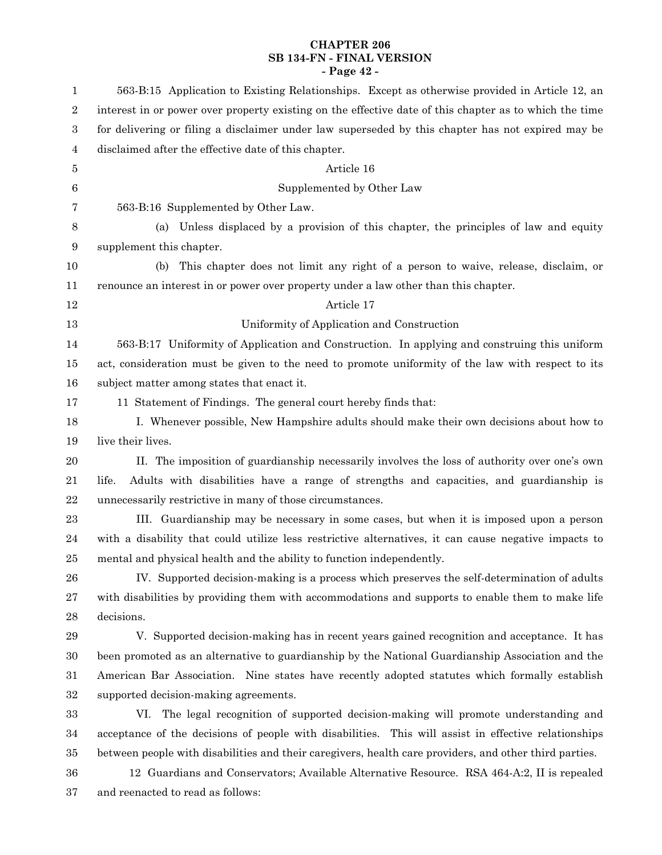# **CHAPTER 206 SB 134-FN - FINAL VERSION - Page 42 -**

| 1              | 563-B:15 Application to Existing Relationships. Except as otherwise provided in Article 12, an         |
|----------------|--------------------------------------------------------------------------------------------------------|
| 2              | interest in or power over property existing on the effective date of this chapter as to which the time |
| 3              | for delivering or filing a disclaimer under law superseded by this chapter has not expired may be      |
| 4              | disclaimed after the effective date of this chapter.                                                   |
| 5              | Article 16                                                                                             |
| 6              | Supplemented by Other Law                                                                              |
| 7              | 563-B:16 Supplemented by Other Law.                                                                    |
| $8\phantom{1}$ | Unless displaced by a provision of this chapter, the principles of law and equity<br>(a)               |
| 9              | supplement this chapter.                                                                               |
| 10             | This chapter does not limit any right of a person to waive, release, disclaim, or<br>(b)               |
| 11             | renounce an interest in or power over property under a law other than this chapter.                    |
| $12\,$         | Article 17                                                                                             |
| 13             | Uniformity of Application and Construction                                                             |
| 14             | 563-B:17 Uniformity of Application and Construction. In applying and construing this uniform           |
| 15             | act, consideration must be given to the need to promote uniformity of the law with respect to its      |
| 16             | subject matter among states that enact it.                                                             |
| 17             | 11 Statement of Findings. The general court hereby finds that:                                         |
| 18             | I. Whenever possible, New Hampshire adults should make their own decisions about how to                |
| 19             | live their lives.                                                                                      |
| 20             | II. The imposition of guardianship necessarily involves the loss of authority over one's own           |
| 21             | Adults with disabilities have a range of strengths and capacities, and guardianship is<br>life.        |
| 22             | unnecessarily restrictive in many of those circumstances.                                              |
| 23             | III. Guardianship may be necessary in some cases, but when it is imposed upon a person                 |
| 24             | with a disability that could utilize less restrictive alternatives, it can cause negative impacts to   |
| 25             | mental and physical health and the ability to function independently.                                  |
| 26             | IV. Supported decision-making is a process which preserves the self-determination of adults            |
| 27             | with disabilities by providing them with accommodations and supports to enable them to make life       |
| 28             | decisions.                                                                                             |
| 29             | V. Supported decision-making has in recent years gained recognition and acceptance. It has             |
| 30             | been promoted as an alternative to guardianship by the National Guardianship Association and the       |
| 31             | American Bar Association. Nine states have recently adopted statutes which formally establish          |
| 32             | supported decision-making agreements.                                                                  |
| 33             | The legal recognition of supported decision-making will promote understanding and<br>VI.               |
| 34             | acceptance of the decisions of people with disabilities. This will assist in effective relationships   |
| 35             | between people with disabilities and their caregivers, health care providers, and other third parties. |
| 36             | 12 Guardians and Conservators; Available Alternative Resource. RSA 464-A:2, II is repealed             |
| 37             | and reenacted to read as follows:                                                                      |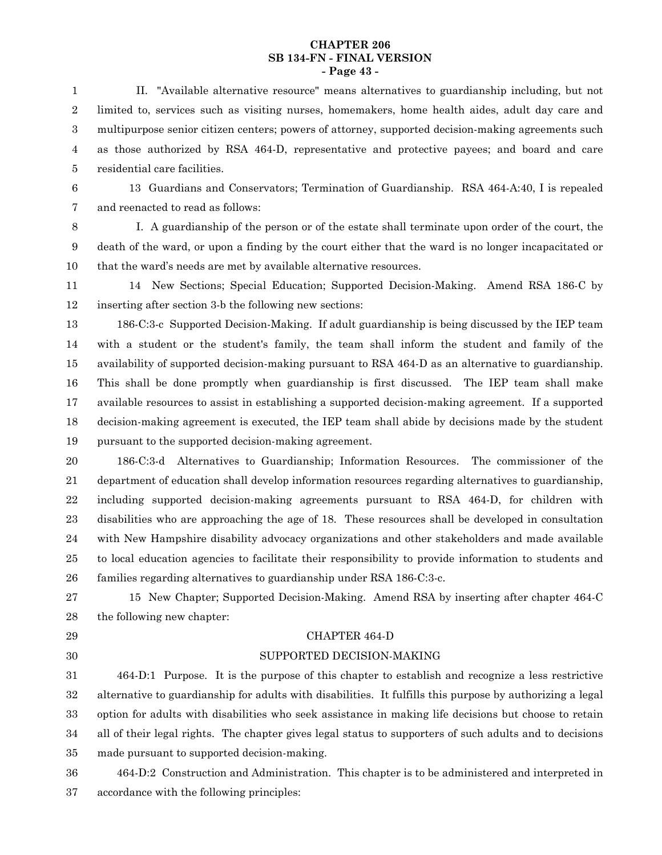#### **CHAPTER 206 SB 134-FN - FINAL VERSION - Page 43 -**

II. "Available alternative resource" means alternatives to guardianship including, but not limited to, services such as visiting nurses, homemakers, home health aides, adult day care and multipurpose senior citizen centers; powers of attorney, supported decision-making agreements such as those authorized by RSA 464-D, representative and protective payees; and board and care residential care facilities. 1 2 3 4 5

6

13 Guardians and Conservators; Termination of Guardianship. RSA 464-A:40, I is repealed and reenacted to read as follows: 7

I. A guardianship of the person or of the estate shall terminate upon order of the court, the death of the ward, or upon a finding by the court either that the ward is no longer incapacitated or that the ward's needs are met by available alternative resources. 8 9 10

14 New Sections; Special Education; Supported Decision-Making. Amend RSA 186-C by inserting after section 3-b the following new sections: 11 12

186-C:3-c Supported Decision-Making. If adult guardianship is being discussed by the IEP team with a student or the student's family, the team shall inform the student and family of the availability of supported decision-making pursuant to RSA 464-D as an alternative to guardianship. This shall be done promptly when guardianship is first discussed. The IEP team shall make available resources to assist in establishing a supported decision-making agreement. If a supported decision-making agreement is executed, the IEP team shall abide by decisions made by the student pursuant to the supported decision-making agreement. 13 14 15 16 17 18 19

186-C:3-d Alternatives to Guardianship; Information Resources. The commissioner of the department of education shall develop information resources regarding alternatives to guardianship, including supported decision-making agreements pursuant to RSA 464-D, for children with disabilities who are approaching the age of 18. These resources shall be developed in consultation with New Hampshire disability advocacy organizations and other stakeholders and made available to local education agencies to facilitate their responsibility to provide information to students and families regarding alternatives to guardianship under RSA 186-C:3-c. 20 21 22 23 24 25 26

15 New Chapter; Supported Decision-Making. Amend RSA by inserting after chapter 464-C the following new chapter: 27 28

29

# 30

# CHAPTER 464-D SUPPORTED DECISION-MAKING

464-D:1 Purpose. It is the purpose of this chapter to establish and recognize a less restrictive alternative to guardianship for adults with disabilities. It fulfills this purpose by authorizing a legal option for adults with disabilities who seek assistance in making life decisions but choose to retain all of their legal rights. The chapter gives legal status to supporters of such adults and to decisions made pursuant to supported decision-making. 31 32 33 34 35

464-D:2 Construction and Administration. This chapter is to be administered and interpreted in accordance with the following principles: 36 37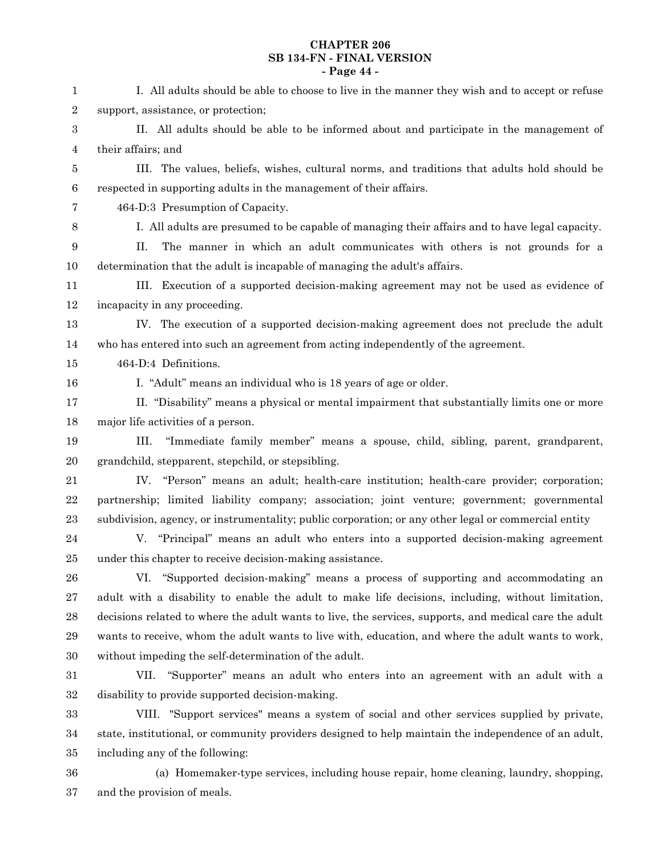# **CHAPTER 206 SB 134-FN - FINAL VERSION - Page 44 -**

| 1              | I. All adults should be able to choose to live in the manner they wish and to accept or refuse         |
|----------------|--------------------------------------------------------------------------------------------------------|
| $\,2$          | support, assistance, or protection;                                                                    |
| $\,3$          | II. All adults should be able to be informed about and participate in the management of                |
| 4              | their affairs; and                                                                                     |
| 5              | III. The values, beliefs, wishes, cultural norms, and traditions that adults hold should be            |
| $\,6$          | respected in supporting adults in the management of their affairs.                                     |
| $\overline{7}$ | 464-D:3 Presumption of Capacity.                                                                       |
| $8\,$          | I. All adults are presumed to be capable of managing their affairs and to have legal capacity.         |
| 9              | The manner in which an adult communicates with others is not grounds for a<br>II.                      |
| 10             | determination that the adult is incapable of managing the adult's affairs.                             |
| 11             | III. Execution of a supported decision-making agreement may not be used as evidence of                 |
| 12             | incapacity in any proceeding.                                                                          |
| 13             | IV. The execution of a supported decision-making agreement does not preclude the adult                 |
| 14             | who has entered into such an agreement from acting independently of the agreement.                     |
| 15             | 464-D:4 Definitions.                                                                                   |
| 16             | I. "Adult" means an individual who is 18 years of age or older.                                        |
| 17             | II. "Disability" means a physical or mental impairment that substantially limits one or more           |
| 18             | major life activities of a person.                                                                     |
| 19             | III. "Immediate family member" means a spouse, child, sibling, parent, grandparent,                    |
| $20\,$         | grandchild, stepparent, stepchild, or stepsibling.                                                     |
| 21             | IV. "Person" means an adult; health-care institution; health-care provider; corporation;               |
| $22\,$         | partnership; limited liability company; association; joint venture; government; governmental           |
| $\bf 23$       | subdivision, agency, or instrumentality; public corporation; or any other legal or commercial entity   |
| $\bf{24}$      | V. "Principal" means an adult who enters into a supported decision-making agreement                    |
| $25\,$         | under this chapter to receive decision-making assistance.                                              |
| ${\bf 26}$     | VI. "Supported decision-making" means a process of supporting and accommodating an                     |
| $\sqrt{27}$    | adult with a disability to enable the adult to make life decisions, including, without limitation,     |
| $\bf 28$       | decisions related to where the adult wants to live, the services, supports, and medical care the adult |
| $\,29$         | wants to receive, whom the adult wants to live with, education, and where the adult wants to work,     |
| $30\,$         | without impeding the self-determination of the adult.                                                  |
| 31             | VII. "Supporter" means an adult who enters into an agreement with an adult with a                      |
| $32\,$         | disability to provide supported decision-making.                                                       |
| 33             | VIII. "Support services" means a system of social and other services supplied by private,              |
| 34             | state, institutional, or community providers designed to help maintain the independence of an adult,   |
| 35             | including any of the following:                                                                        |
| $36\,$         | (a) Homemaker-type services, including house repair, home cleaning, laundry, shopping,                 |
| 37             | and the provision of meals.                                                                            |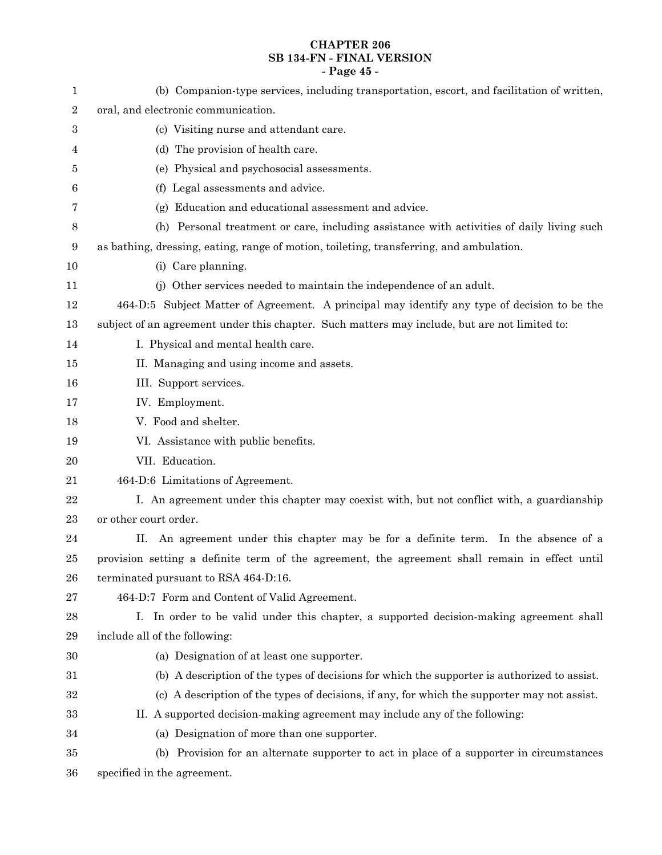# **CHAPTER 206 SB 134-FN - FINAL VERSION - Page 45 -**

| 1              | (b) Companion-type services, including transportation, escort, and facilitation of written,    |
|----------------|------------------------------------------------------------------------------------------------|
| $\,2$          | oral, and electronic communication.                                                            |
| 3              | (c) Visiting nurse and attendant care.                                                         |
| 4              | (d) The provision of health care.                                                              |
| 5              | (e) Physical and psychosocial assessments.                                                     |
| 6              | (f) Legal assessments and advice.                                                              |
| 7              | Education and educational assessment and advice.<br>(g)                                        |
| $8\phantom{1}$ | (h) Personal treatment or care, including assistance with activities of daily living such      |
| $9\,$          | as bathing, dressing, eating, range of motion, toileting, transferring, and ambulation.        |
| 10             | (i) Care planning.                                                                             |
| 11             | (j) Other services needed to maintain the independence of an adult.                            |
| 12             | 464-D:5 Subject Matter of Agreement. A principal may identify any type of decision to be the   |
| 13             | subject of an agreement under this chapter. Such matters may include, but are not limited to:  |
| 14             | I. Physical and mental health care.                                                            |
| 15             | II. Managing and using income and assets.                                                      |
| 16             | III. Support services.                                                                         |
| 17             | IV. Employment.                                                                                |
| 18             | V. Food and shelter.                                                                           |
| 19             | VI. Assistance with public benefits.                                                           |
| 20             | VII. Education.                                                                                |
| 21             | 464-D:6 Limitations of Agreement.                                                              |
| 22             | I. An agreement under this chapter may coexist with, but not conflict with, a guardianship     |
| $\bf 23$       | or other court order.                                                                          |
| 24             | An agreement under this chapter may be for a definite term. In the absence of a<br>П.          |
| 25             | provision setting a definite term of the agreement, the agreement shall remain in effect until |
| 26             | terminated pursuant to RSA 464-D:16.                                                           |
| 27             | 464-D:7 Form and Content of Valid Agreement.                                                   |
| 28             | I. In order to be valid under this chapter, a supported decision-making agreement shall        |
| 29             | include all of the following:                                                                  |
| 30             | (a) Designation of at least one supporter.                                                     |
| 31             | (b) A description of the types of decisions for which the supporter is authorized to assist.   |
| 32             | (c) A description of the types of decisions, if any, for which the supporter may not assist.   |
| 33             | II. A supported decision-making agreement may include any of the following:                    |
| 34             | (a) Designation of more than one supporter.                                                    |
| 35             | (b) Provision for an alternate supporter to act in place of a supporter in circumstances       |
| 36             | specified in the agreement.                                                                    |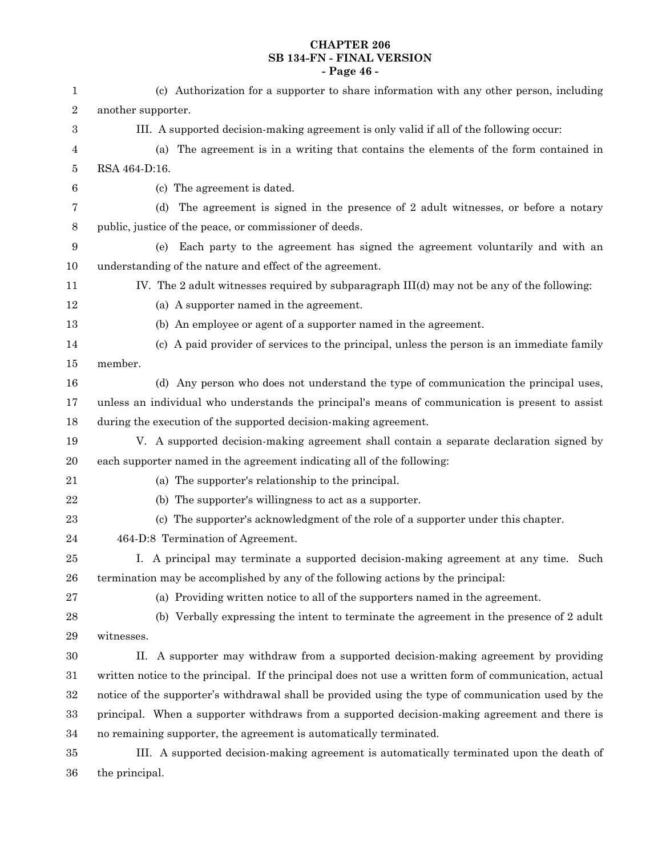# **CHAPTER 206 SB 134-FN - FINAL VERSION - Page 46 -**

| 1      | (c) Authorization for a supporter to share information with any other person, including                |
|--------|--------------------------------------------------------------------------------------------------------|
| 2      | another supporter.                                                                                     |
| 3      | III. A supported decision-making agreement is only valid if all of the following occur:                |
| 4      | The agreement is in a writing that contains the elements of the form contained in<br>(a)               |
| 5      | RSA 464-D:16.                                                                                          |
| $\,6$  | (c) The agreement is dated.                                                                            |
| 7      | The agreement is signed in the presence of 2 adult witnesses, or before a notary<br>(d)                |
| 8      | public, justice of the peace, or commissioner of deeds.                                                |
| 9      | Each party to the agreement has signed the agreement voluntarily and with an<br>(e)                    |
| 10     | understanding of the nature and effect of the agreement.                                               |
| 11     | IV. The 2 adult witnesses required by subparagraph III(d) may not be any of the following:             |
| 12     | (a) A supporter named in the agreement.                                                                |
| 13     | (b) An employee or agent of a supporter named in the agreement.                                        |
| 14     | (c) A paid provider of services to the principal, unless the person is an immediate family             |
| $15\,$ | member.                                                                                                |
| 16     | (d) Any person who does not understand the type of communication the principal uses,                   |
| 17     | unless an individual who understands the principal's means of communication is present to assist       |
| 18     | during the execution of the supported decision-making agreement.                                       |
| 19     | V. A supported decision-making agreement shall contain a separate declaration signed by                |
| 20     | each supporter named in the agreement indicating all of the following:                                 |
| 21     | (a) The supporter's relationship to the principal.                                                     |
| 22     | (b) The supporter's willingness to act as a supporter.                                                 |
| 23     | (c) The supporter's acknowledgment of the role of a supporter under this chapter.                      |
| 24     | 464-D:8 Termination of Agreement.                                                                      |
| 25     | I. A principal may terminate a supported decision-making agreement at any time. Such                   |
| 26     | termination may be accomplished by any of the following actions by the principal:                      |
| 27     | (a) Providing written notice to all of the supporters named in the agreement.                          |
| 28     | (b) Verbally expressing the intent to terminate the agreement in the presence of 2 adult               |
| 29     | witnesses.                                                                                             |
| 30     | A supporter may withdraw from a supported decision-making agreement by providing<br>П.                 |
| $31\,$ | written notice to the principal. If the principal does not use a written form of communication, actual |
| 32     | notice of the supporter's withdrawal shall be provided using the type of communication used by the     |
| 33     | principal. When a supporter withdraws from a supported decision-making agreement and there is          |
| 34     | no remaining supporter, the agreement is automatically terminated.                                     |
| $35\,$ | III. A supported decision-making agreement is automatically terminated upon the death of               |

the principal. 36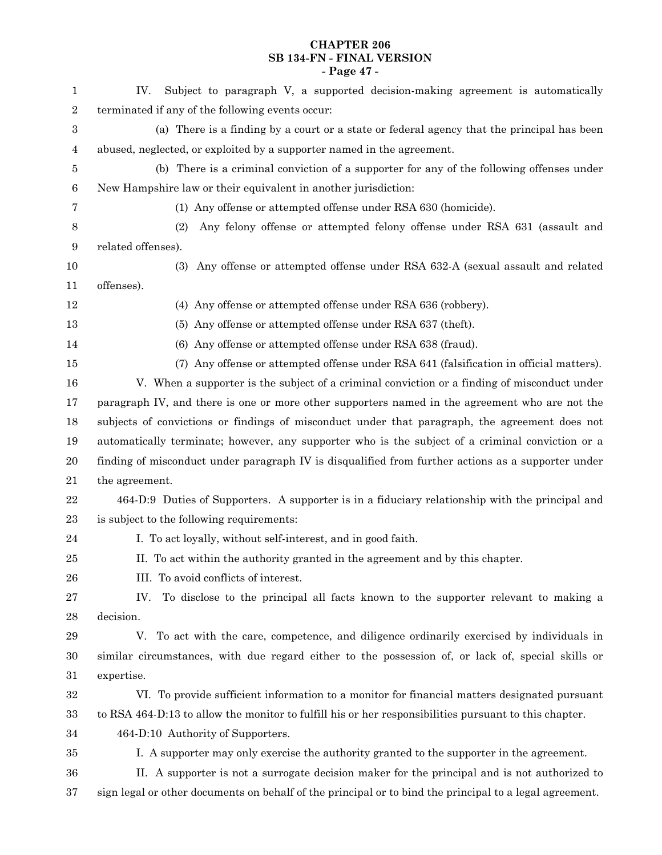# **CHAPTER 206 SB 134-FN - FINAL VERSION - Page 47 -**

| 1          | Subject to paragraph V, a supported decision-making agreement is automatically<br>IV.                   |
|------------|---------------------------------------------------------------------------------------------------------|
| $\sqrt{2}$ | terminated if any of the following events occur:                                                        |
| $\,3$      | (a) There is a finding by a court or a state or federal agency that the principal has been              |
| 4          | abused, neglected, or exploited by a supporter named in the agreement.                                  |
| 5          | (b) There is a criminal conviction of a supporter for any of the following offenses under               |
| $\,6$      | New Hampshire law or their equivalent in another jurisdiction:                                          |
| 7          | (1) Any offense or attempted offense under RSA 630 (homicide).                                          |
| 8          | Any felony offense or attempted felony offense under RSA 631 (assault and<br>(2)                        |
| 9          | related offenses).                                                                                      |
| 10         | (3) Any offense or attempted offense under RSA 632-A (sexual assault and related                        |
| 11         | offenses).                                                                                              |
| $12\,$     | (4) Any offense or attempted offense under RSA 636 (robbery).                                           |
| 13         | (5) Any offense or attempted offense under RSA 637 (theft).                                             |
| 14         | (6) Any offense or attempted offense under RSA 638 (fraud).                                             |
| 15         | (7) Any offense or attempted offense under RSA 641 (falsification in official matters).                 |
| 16         | V. When a supporter is the subject of a criminal conviction or a finding of misconduct under            |
| 17         | paragraph IV, and there is one or more other supporters named in the agreement who are not the          |
| 18         | subjects of convictions or findings of misconduct under that paragraph, the agreement does not          |
| 19         | automatically terminate; however, any supporter who is the subject of a criminal conviction or a        |
| 20         | finding of misconduct under paragraph IV is disqualified from further actions as a supporter under      |
| 21         | the agreement.                                                                                          |
| $\bf{22}$  | 464-D:9 Duties of Supporters. A supporter is in a fiduciary relationship with the principal and         |
| 23         | is subject to the following requirements:                                                               |
| 24         | I. To act loyally, without self-interest, and in good faith.                                            |
| $25\,$     | II. To act within the authority granted in the agreement and by this chapter.                           |
| 26         | III. To avoid conflicts of interest.                                                                    |
| 27         | To disclose to the principal all facts known to the supporter relevant to making a<br>IV.               |
| 28         | decision.                                                                                               |
| $\bf 29$   | V. To act with the care, competence, and diligence ordinarily exercised by individuals in               |
| $30\,$     | similar circumstances, with due regard either to the possession of, or lack of, special skills or       |
| 31         | expertise.                                                                                              |
| $32\,$     | VI. To provide sufficient information to a monitor for financial matters designated pursuant            |
| 33         | to RSA 464-D:13 to allow the monitor to fulfill his or her responsibilities pursuant to this chapter.   |
| 34         | 464-D:10 Authority of Supporters.                                                                       |
| $35\,$     | I. A supporter may only exercise the authority granted to the supporter in the agreement.               |
| 36         | II. A supporter is not a surrogate decision maker for the principal and is not authorized to            |
| 37         | sign legal or other documents on behalf of the principal or to bind the principal to a legal agreement. |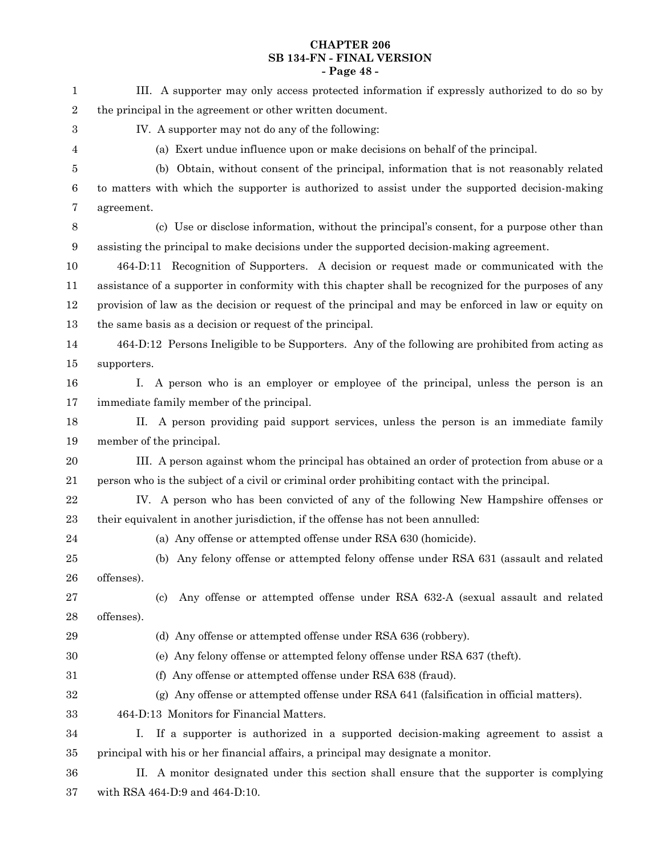# **CHAPTER 206 SB 134-FN - FINAL VERSION - Page 48 -**

| 1                | III. A supporter may only access protected information if expressly authorized to do so by            |
|------------------|-------------------------------------------------------------------------------------------------------|
| $\boldsymbol{2}$ | the principal in the agreement or other written document.                                             |
| $\boldsymbol{3}$ | IV. A supporter may not do any of the following:                                                      |
| 4                | (a) Exert undue influence upon or make decisions on behalf of the principal.                          |
| 5                | (b) Obtain, without consent of the principal, information that is not reasonably related              |
| 6                | to matters with which the supporter is authorized to assist under the supported decision-making       |
| 7                | agreement.                                                                                            |
| $8\phantom{1}$   | (c) Use or disclose information, without the principal's consent, for a purpose other than            |
| 9                | assisting the principal to make decisions under the supported decision-making agreement.              |
| 10               | 464-D:11 Recognition of Supporters. A decision or request made or communicated with the               |
| 11               | assistance of a supporter in conformity with this chapter shall be recognized for the purposes of any |
| 12               | provision of law as the decision or request of the principal and may be enforced in law or equity on  |
| 13               | the same basis as a decision or request of the principal.                                             |
| 14               | 464-D:12 Persons Ineligible to be Supporters. Any of the following are prohibited from acting as      |
| $15\,$           | supporters.                                                                                           |
| 16               | I. A person who is an employer or employee of the principal, unless the person is an                  |
| 17               | immediate family member of the principal.                                                             |
| 18               | A person providing paid support services, unless the person is an immediate family<br>П.              |
| 19               | member of the principal.                                                                              |
| 20               | III. A person against whom the principal has obtained an order of protection from abuse or a          |
| 21               | person who is the subject of a civil or criminal order prohibiting contact with the principal.        |
| 22               | IV. A person who has been convicted of any of the following New Hampshire offenses or                 |
| 23               | their equivalent in another jurisdiction, if the offense has not been annulled:                       |
| 24               | (a) Any offense or attempted offense under RSA 630 (homicide).                                        |
| 25               | (b) Any felony offense or attempted felony offense under RSA 631 (assault and related                 |
| 26               | offenses).                                                                                            |
| 27               | Any offense or attempted offense under RSA 632-A (sexual assault and related<br>(c)                   |
| 28               | offenses).                                                                                            |
| 29               | (d) Any offense or attempted offense under RSA 636 (robbery).                                         |
| 30               | (e) Any felony offense or attempted felony offense under RSA 637 (theft).                             |
| $31\,$           | (f) Any offense or attempted offense under RSA 638 (fraud).                                           |
| 32               | Any offense or attempted offense under RSA 641 (falsification in official matters).<br>(g)            |
| 33               | 464-D:13 Monitors for Financial Matters.                                                              |
| 34               | If a supporter is authorized in a supported decision-making agreement to assist a<br>Ι.               |
| $35\,$           | principal with his or her financial affairs, a principal may designate a monitor.                     |
| 36               | II. A monitor designated under this section shall ensure that the supporter is complying              |
|                  |                                                                                                       |

with RSA 464-D:9 and 464-D:10. 37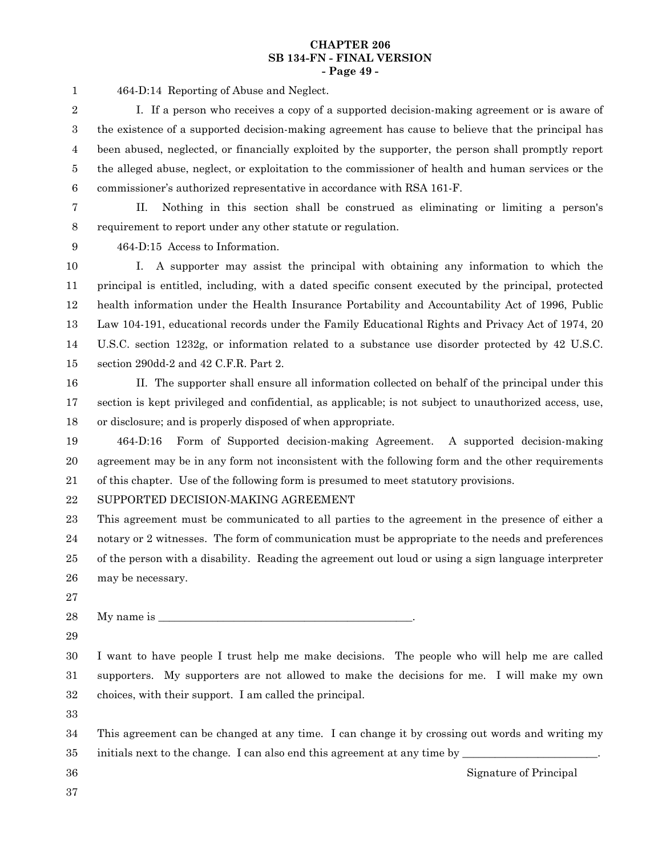#### **CHAPTER 206 SB 134-FN - FINAL VERSION - Page 49 -**

464-D:14 Reporting of Abuse and Neglect. 1

I. If a person who receives a copy of a supported decision-making agreement or is aware of the existence of a supported decision-making agreement has cause to believe that the principal has been abused, neglected, or financially exploited by the supporter, the person shall promptly report the alleged abuse, neglect, or exploitation to the commissioner of health and human services or the commissioner's authorized representative in accordance with RSA 161-F. 2 3 4 5 6

7 8

II. Nothing in this section shall be construed as eliminating or limiting a person's requirement to report under any other statute or regulation.

9

464-D:15 Access to Information.

I. A supporter may assist the principal with obtaining any information to which the principal is entitled, including, with a dated specific consent executed by the principal, protected health information under the Health Insurance Portability and Accountability Act of 1996, Public Law 104-191, educational records under the Family Educational Rights and Privacy Act of 1974, 20 U.S.C. section 1232g, or information related to a substance use disorder protected by 42 U.S.C. section 290dd-2 and 42 C.F.R. Part 2. 10 11 12 13 14 15

II. The supporter shall ensure all information collected on behalf of the principal under this section is kept privileged and confidential, as applicable; is not subject to unauthorized access, use, or disclosure; and is properly disposed of when appropriate. 16 17 18

464-D:16 Form of Supported decision-making Agreement. A supported decision-making agreement may be in any form not inconsistent with the following form and the other requirements of this chapter. Use of the following form is presumed to meet statutory provisions. 19 20 21

#### SUPPORTED DECISION-MAKING AGREEMENT 22

This agreement must be communicated to all parties to the agreement in the presence of either a notary or 2 witnesses. The form of communication must be appropriate to the needs and preferences of the person with a disability. Reading the agreement out loud or using a sign language interpreter may be necessary. 23 24 25 26

27

My name is 28

29

I want to have people I trust help me make decisions. The people who will help me are called supporters. My supporters are not allowed to make the decisions for me. I will make my own choices, with their support. I am called the principal. 30 31 32

33

This agreement can be changed at any time. I can change it by crossing out words and writing my initials next to the change. I can also end this agreement at any time by \_ 34 35

36 37

Signature of Principal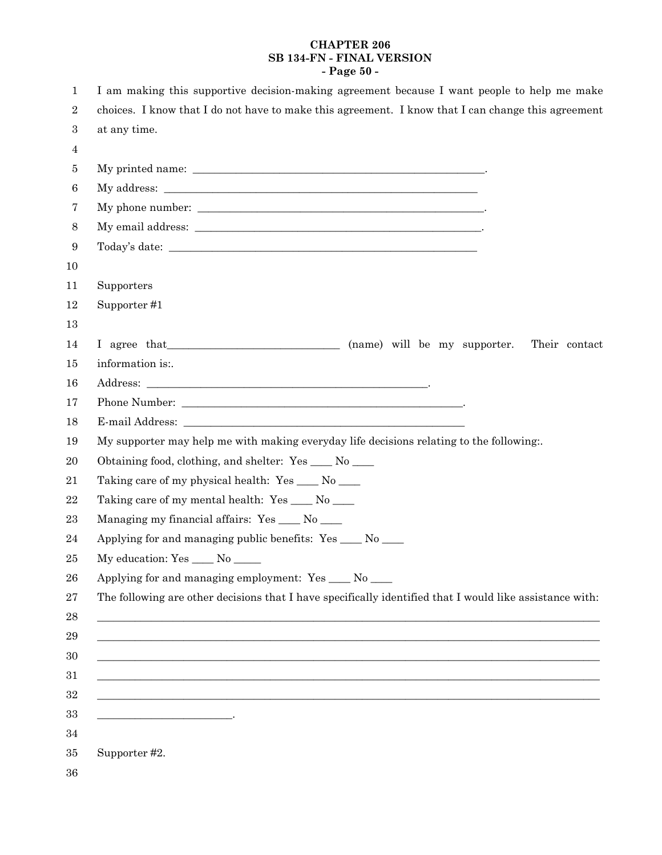# **CHAPTER 206 SB 134-FN - FINAL VERSION - Page 50 -**

| 1                | I am making this supportive decision-making agreement because I want people to help me make                            |
|------------------|------------------------------------------------------------------------------------------------------------------------|
| 2                | choices. I know that I do not have to make this agreement. I know that I can change this agreement                     |
| $\boldsymbol{3}$ | at any time.                                                                                                           |
| 4                |                                                                                                                        |
| 5                |                                                                                                                        |
| 6                |                                                                                                                        |
| 7                |                                                                                                                        |
| 8                |                                                                                                                        |
| 9                |                                                                                                                        |
| 10               |                                                                                                                        |
| 11               | Supporters                                                                                                             |
| $12\,$           | Supporter #1                                                                                                           |
| 13               |                                                                                                                        |
| 14               | I agree that (name) will be my supporter.<br>Their contact                                                             |
| 15               | information is:.                                                                                                       |
| 16               |                                                                                                                        |
| 17               |                                                                                                                        |
| 18               |                                                                                                                        |
| 19               | My supporter may help me with making everyday life decisions relating to the following.                                |
| 20               | Obtaining food, clothing, and shelter: Yes ____ No ____                                                                |
| 21               | Taking care of my physical health: Yes _____ No _____                                                                  |
| 22               | Taking care of my mental health: Yes ____ No ____                                                                      |
| 23               | Managing my financial affairs: Yes ____ No ____                                                                        |
| 24               | Applying for and managing public benefits: Yes _____ No _____                                                          |
| 25               | My education: Yes _____ No _____                                                                                       |
| 26               | Applying for and managing employment: Yes ____ No ___                                                                  |
| 27               | The following are other decisions that I have specifically identified that I would like assistance with:               |
| 28               |                                                                                                                        |
| 29               | <u> 1989 - Johann Stoff, deutscher Stoffen und der Stoffen und der Stoffen und der Stoffen und der Stoffen und der</u> |
| 30               |                                                                                                                        |
| 31               | <u> 1980 - John Stoff, der andere som der andere som den stad består i den stad blev som det stad blev som det s</u>   |
| 32               |                                                                                                                        |
| 33               | the contract of the contract of the contract of the contract of                                                        |
| 34               |                                                                                                                        |
| 35               | Supporter #2.                                                                                                          |
| 36               |                                                                                                                        |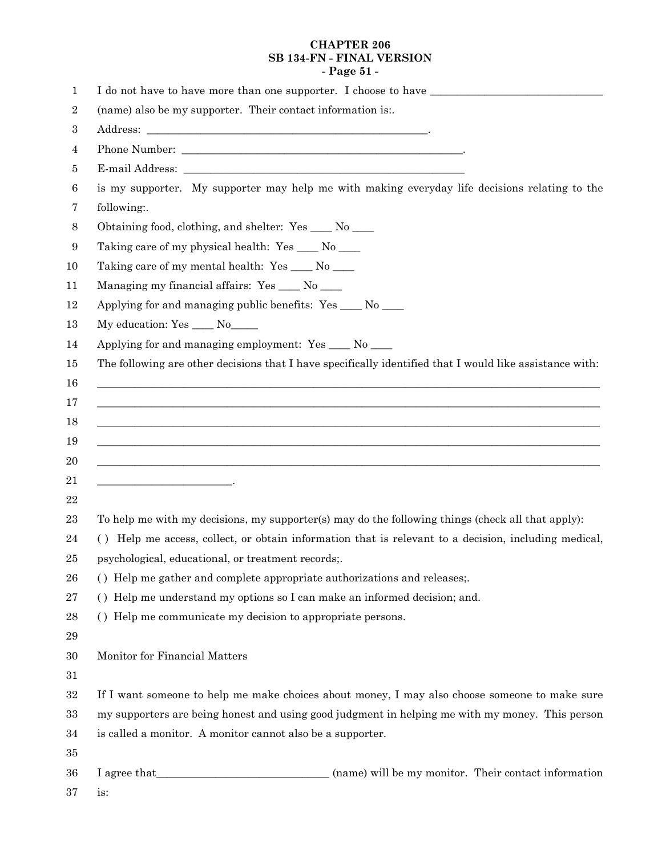# **CHAPTER 206 SB 134-FN - FINAL VERSION - Page 51 -**

| 1                |                                                                                                          |
|------------------|----------------------------------------------------------------------------------------------------------|
| $\boldsymbol{2}$ | (name) also be my supporter. Their contact information is:.                                              |
| $\,3$            |                                                                                                          |
| $\overline{4}$   |                                                                                                          |
| 5                |                                                                                                          |
| $\boldsymbol{6}$ | is my supporter. My supporter may help me with making everyday life decisions relating to the            |
| 7                | following:.                                                                                              |
| $8\,$            | Obtaining food, clothing, and shelter: Yes ____ No ___                                                   |
| 9                | Taking care of my physical health: Yes ____ No ____                                                      |
| 10               | Taking care of my mental health: Yes ____ No ___                                                         |
| 11               | Managing my financial affairs: Yes ____ No ___                                                           |
| 12               | Applying for and managing public benefits: Yes ____ No ____                                              |
| 13               | My education: Yes ____ No____                                                                            |
| 14               | Applying for and managing employment: Yes ____ No ___                                                    |
| 15               | The following are other decisions that I have specifically identified that I would like assistance with: |
| 16               | <u> 1989 - Johann Stoff, amerikansk politiker (d. 1989)</u>                                              |
| 17               | <u> 1989 - Johann Stoff, amerikansk politiker (d. 1989)</u>                                              |
| 18               | ,我们也不能在这里的时候,我们也不能在这里的时候,我们也不能在这里的时候,我们也不能会在这里的时候,我们也不能会在这里的时候,我们也不能会在这里的时候,我们也不                         |
| 19               | <u> 1989 - Johann Stoff, amerikansk politiker (d. 1989)</u>                                              |
| 20               | ,我们也不会有什么。""我们的人,我们也不会有什么?""我们的人,我们也不会有什么?""我们的人,我们也不会有什么?""我们的人,我们也不会有什么?""我们的人                         |
| 21               | <u> 1989 - Johann Barbara, martin a bhaile an t-Alban Barbara</u>                                        |
| 22               |                                                                                                          |
| 23               | To help me with my decisions, my supporter(s) may do the following things (check all that apply):        |
| 24               | () Help me access, collect, or obtain information that is relevant to a decision, including medical,     |
| 25               | psychological, educational, or treatment records;.                                                       |
| 26               | () Help me gather and complete appropriate authorizations and releases;.                                 |
| 27               | () Help me understand my options so I can make an informed decision; and.                                |
| 28               | () Help me communicate my decision to appropriate persons.                                               |
| 29               |                                                                                                          |
| 30               | Monitor for Financial Matters                                                                            |
| 31               |                                                                                                          |
| 32               | If I want someone to help me make choices about money, I may also choose someone to make sure            |
| 33               | my supporters are being honest and using good judgment in helping me with my money. This person          |
| 34               | is called a monitor. A monitor cannot also be a supporter.                                               |
| 35               |                                                                                                          |
| 36               | (name) will be my monitor. Their contact information                                                     |

is: 37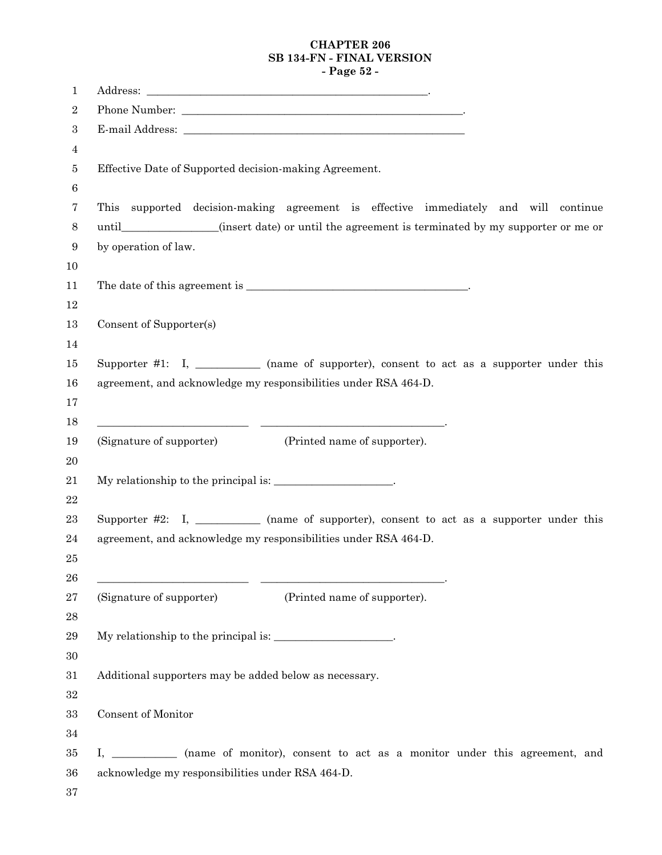# **CHAPTER 206 SB 134-FN - FINAL VERSION - Page 52 -**

| 1              |                                                                                                |
|----------------|------------------------------------------------------------------------------------------------|
| $\overline{2}$ |                                                                                                |
| 3              |                                                                                                |
| 4              |                                                                                                |
| 5              | Effective Date of Supported decision-making Agreement.                                         |
| 6              |                                                                                                |
| 7              | This supported decision-making agreement is effective immediately and will continue            |
| 8              | until______________(insert date) or until the agreement is terminated by my supporter or me or |
| 9              | by operation of law.                                                                           |
| 10             |                                                                                                |
| 11             |                                                                                                |
| 12             |                                                                                                |
| 13             | Consent of Supporter(s)                                                                        |
| 14             |                                                                                                |
| 15             | Supporter #1: I, __________ (name of supporter), consent to act as a supporter under this      |
| 16             | agreement, and acknowledge my responsibilities under RSA 464-D.                                |
| 17<br>18       |                                                                                                |
| 19             | (Signature of supporter)<br>(Printed name of supporter).                                       |
| $20\,$         |                                                                                                |
| 21             | My relationship to the principal is: ___________________.                                      |
| $22\,$         |                                                                                                |
| 23             | Supporter #2: I, __________ (name of supporter), consent to act as a supporter under this      |
| 24             | agreement, and acknowledge my responsibilities under RSA 464-D.                                |
| 25             |                                                                                                |
| 26             |                                                                                                |
| 27             | (Signature of supporter)<br>(Printed name of supporter).                                       |
| 28             |                                                                                                |
| 29             | My relationship to the principal is: __________________.                                       |
| $30\,$         |                                                                                                |
| 31             | Additional supporters may be added below as necessary.                                         |
| $32\,$         |                                                                                                |
| $33\,$         | Consent of Monitor                                                                             |
| $34\,$         |                                                                                                |
| $35\,$         | I, ____________ (name of monitor), consent to act as a monitor under this agreement, and       |
| 36             | acknowledge my responsibilities under RSA 464-D.                                               |
| 37             |                                                                                                |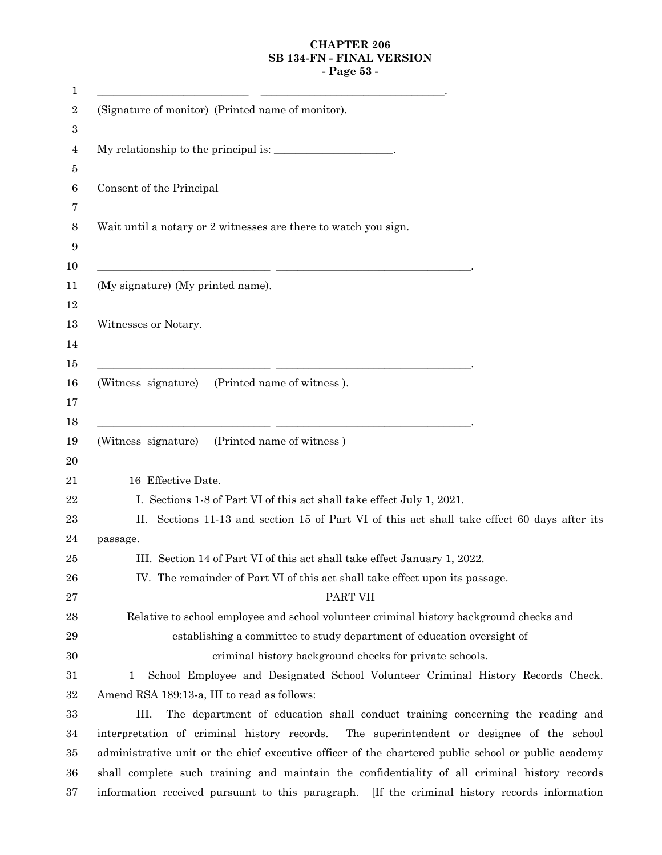# **CHAPTER 206 SB 134-FN - FINAL VERSION - Page 53 -**

| (Signature of monitor) (Printed name of monitor).                                                                                                          |
|------------------------------------------------------------------------------------------------------------------------------------------------------------|
| My relationship to the principal is:                                                                                                                       |
| Consent of the Principal                                                                                                                                   |
| Wait until a notary or 2 witnesses are there to watch you sign.                                                                                            |
| <u> 1989 - Johann Harry Barn, mars and de Branch and de Branch and de Branch and de Branch and de Branch and de B</u><br>(My signature) (My printed name). |
| Witnesses or Notary.                                                                                                                                       |
| <u> 1989 - Johann Stein, mars an deus Amerikaansk kommunister (* 1958)</u><br>(Witness signature) (Printed name of witness).                               |
| (Witness signature) (Printed name of witness)                                                                                                              |
| 16 Effective Date.                                                                                                                                         |
| I. Sections 1-8 of Part VI of this act shall take effect July 1, 2021.                                                                                     |
| II. Sections 11-13 and section 15 of Part VI of this act shall take effect 60 days after its                                                               |
| passage.                                                                                                                                                   |
| III. Section 14 of Part VI of this act shall take effect January 1, 2022.                                                                                  |
| IV. The remainder of Part VI of this act shall take effect upon its passage.                                                                               |
| PART VII                                                                                                                                                   |
| Relative to school employee and school volunteer criminal history background checks and                                                                    |
| establishing a committee to study department of education oversight of                                                                                     |
| criminal history background checks for private schools.                                                                                                    |
| School Employee and Designated School Volunteer Criminal History Records Check.<br>1                                                                       |
| Amend RSA 189:13-a, III to read as follows:                                                                                                                |
| III.<br>The department of education shall conduct training concerning the reading and                                                                      |
| interpretation of criminal history records.<br>The superintendent or designee of the school                                                                |
| administrative unit or the chief executive officer of the chartered public school or public academy                                                        |
| shall complete such training and maintain the confidentiality of all criminal history records                                                              |
| information received pursuant to this paragraph. [If the criminal history records information                                                              |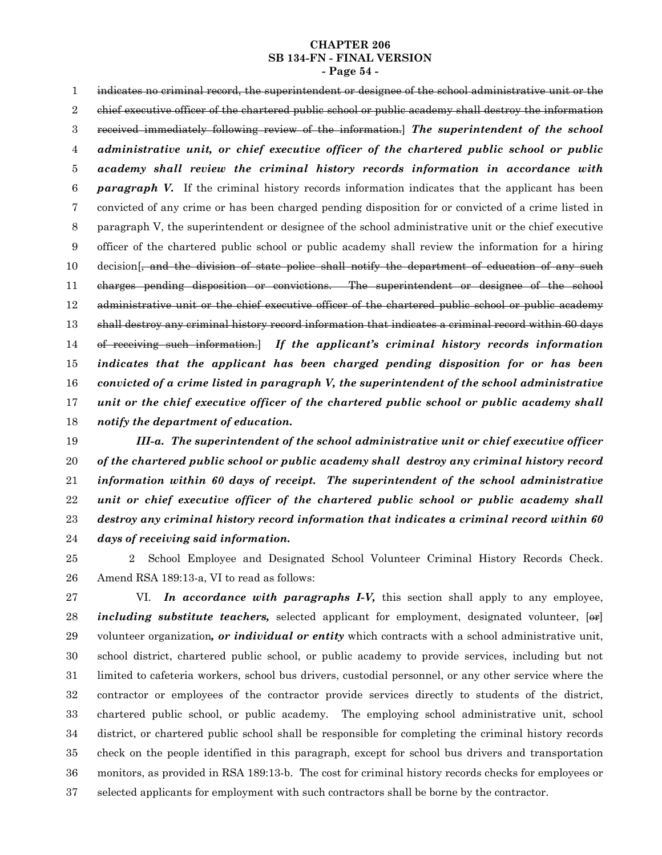#### **CHAPTER 206 SB 134-FN - FINAL VERSION - Page 54 -**

indicates no criminal record, the superintendent or designee of the school administrative unit or the chief executive officer of the chartered public school or public academy shall destroy the information received immediately following review of the information.] *The superintendent of the school administrative unit, or chief executive officer of the chartered public school or public academy shall review the criminal history records information in accordance with paragraph V.* If the criminal history records information indicates that the applicant has been convicted of any crime or has been charged pending disposition for or convicted of a crime listed in paragraph V, the superintendent or designee of the school administrative unit or the chief executive officer of the chartered public school or public academy shall review the information for a hiring decision<sup>[</sup>, and the division of state police shall notify the department of education of any such charges pending disposition or convictions. The superintendent or designee of the school administrative unit or the chief executive officer of the chartered public school or public academy shall destroy any criminal history record information that indicates a criminal record within 60 days of receiving such information.] *If the applicant's criminal history records information indicates that the applicant has been charged pending disposition for or has been convicted of a crime listed in paragraph V, the superintendent of the school administrative unit or the chief executive officer of the chartered public school or public academy shall notify the department of education.* 1 2 3 4 5 6 7 8 9 10 11 12 13 14 15 16 17 18

*III-a. The superintendent of the school administrative unit or chief executive officer of the chartered public school or public academy shall destroy any criminal history record information within 60 days of receipt. The superintendent of the school administrative unit or chief executive officer of the chartered public school or public academy shall destroy any criminal history record information that indicates a criminal record within 60 days of receiving said information.* 19 20 21 22 23 24

2 School Employee and Designated School Volunteer Criminal History Records Check. Amend RSA 189:13-a, VI to read as follows: 25 26

VI. *In accordance with paragraphs I-V,* this section shall apply to any employee, *including substitute teachers*, selected applicant for employment, designated volunteer, [or] volunteer organization*, or individual or entity* which contracts with a school administrative unit, school district, chartered public school, or public academy to provide services, including but not limited to cafeteria workers, school bus drivers, custodial personnel, or any other service where the contractor or employees of the contractor provide services directly to students of the district, chartered public school, or public academy. The employing school administrative unit, school district, or chartered public school shall be responsible for completing the criminal history records check on the people identified in this paragraph, except for school bus drivers and transportation monitors, as provided in RSA 189:13-b. The cost for criminal history records checks for employees or selected applicants for employment with such contractors shall be borne by the contractor. 27 28 29 30 31 32 33 34 35 36 37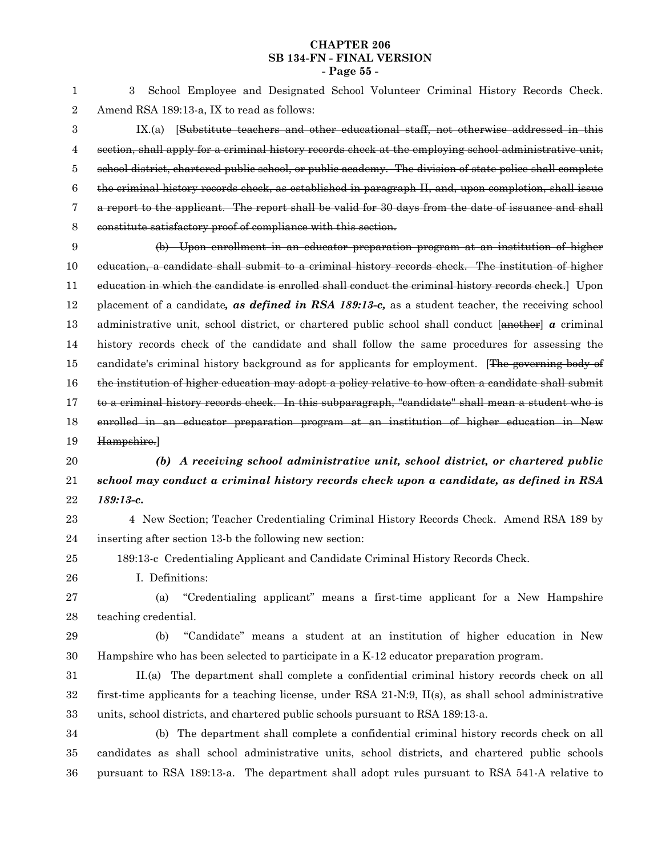#### **CHAPTER 206 SB 134-FN - FINAL VERSION - Page 55 -**

3 School Employee and Designated School Volunteer Criminal History Records Check. Amend RSA 189:13-a, IX to read as follows: 1 2

IX.(a) [Substitute teachers and other educational staff, not otherwise addressed in this section, shall apply for a criminal history records check at the employing school administrative unit, school district, chartered public school, or public academy. The division of state police shall complete the criminal history records check, as established in paragraph II, and, upon completion, shall issue a report to the applicant. The report shall be valid for 30 days from the date of issuance and shall constitute satisfactory proof of compliance with this section. 3 4 5 6 7 8

(b) Upon enrollment in an educator preparation program at an institution of higher education, a candidate shall submit to a criminal history records check. The institution of higher education in which the candidate is enrolled shall conduct the criminal history records check. Upon placement of a candidate*, as defined in RSA 189:13-c,* as a student teacher, the receiving school administrative unit, school district, or chartered public school shall conduct [another] *a* criminal history records check of the candidate and shall follow the same procedures for assessing the candidate's criminal history background as for applicants for employment. [The governing body of the institution of higher education may adopt a policy relative to how often a candidate shall submit to a criminal history records check. In this subparagraph, "candidate" shall mean a student who is enrolled in an educator preparation program at an institution of higher education in New Hampshire.] 9 10 11 12 13 14 15 16 17 18 19

*(b) A receiving school administrative unit, school district, or chartered public school may conduct a criminal history records check upon a candidate, as defined in RSA 189:13-c.* 20 21 22

- 4 New Section; Teacher Credentialing Criminal History Records Check. Amend RSA 189 by inserting after section 13-b the following new section: 23 24
- 189:13-c Credentialing Applicant and Candidate Criminal History Records Check. 25
	- I. Definitions:
- (a) "Credentialing applicant" means a first-time applicant for a New Hampshire teaching credential. 27 28
- 29

26

(b) "Candidate" means a student at an institution of higher education in New Hampshire who has been selected to participate in a K-12 educator preparation program. 30

II.(a) The department shall complete a confidential criminal history records check on all first-time applicants for a teaching license, under RSA 21-N:9, II(s), as shall school administrative units, school districts, and chartered public schools pursuant to RSA 189:13-a. 31 32 33

(b) The department shall complete a confidential criminal history records check on all candidates as shall school administrative units, school districts, and chartered public schools pursuant to RSA 189:13-a. The department shall adopt rules pursuant to RSA 541-A relative to 34 35 36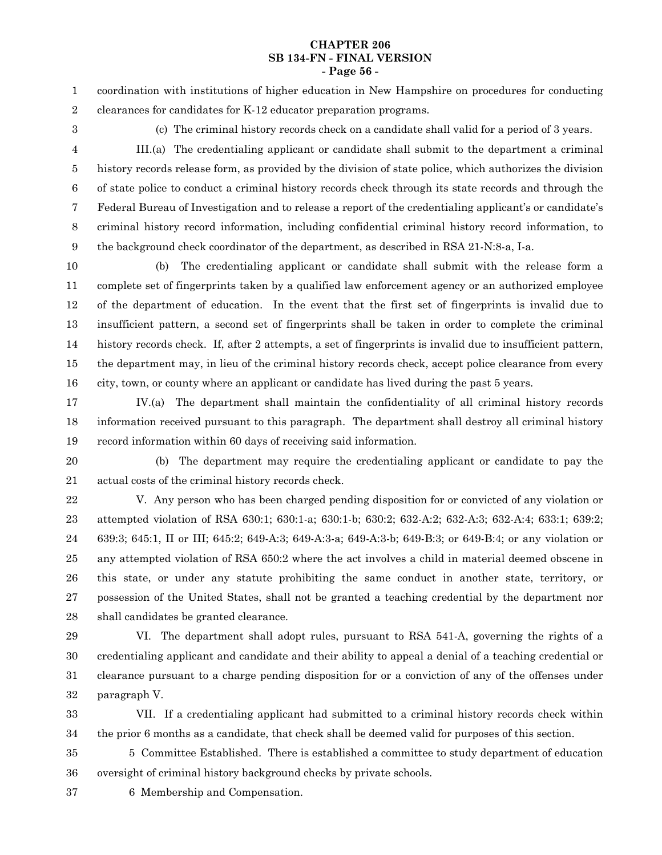#### **CHAPTER 206 SB 134-FN - FINAL VERSION - Page 56 -**

coordination with institutions of higher education in New Hampshire on procedures for conducting clearances for candidates for K-12 educator preparation programs. 1 2

3

(c) The criminal history records check on a candidate shall valid for a period of 3 years.

III.(a) The credentialing applicant or candidate shall submit to the department a criminal history records release form, as provided by the division of state police, which authorizes the division of state police to conduct a criminal history records check through its state records and through the Federal Bureau of Investigation and to release a report of the credentialing applicant's or candidate's criminal history record information, including confidential criminal history record information, to the background check coordinator of the department, as described in RSA 21-N:8-a, I-a. 4 5 6 7 8 9

(b) The credentialing applicant or candidate shall submit with the release form a complete set of fingerprints taken by a qualified law enforcement agency or an authorized employee of the department of education. In the event that the first set of fingerprints is invalid due to insufficient pattern, a second set of fingerprints shall be taken in order to complete the criminal history records check. If, after 2 attempts, a set of fingerprints is invalid due to insufficient pattern, the department may, in lieu of the criminal history records check, accept police clearance from every city, town, or county where an applicant or candidate has lived during the past 5 years. 10 11 12 13 14 15 16

IV.(a) The department shall maintain the confidentiality of all criminal history records information received pursuant to this paragraph. The department shall destroy all criminal history record information within 60 days of receiving said information. 17 18 19

20

(b) The department may require the credentialing applicant or candidate to pay the actual costs of the criminal history records check. 21

V. Any person who has been charged pending disposition for or convicted of any violation or attempted violation of RSA 630:1; 630:1-a; 630:1-b; 630:2; 632-A:2; 632-A:3; 632-A:4; 633:1; 639:2; 639:3; 645:1, II or III; 645:2; 649-A:3; 649-A:3-a; 649-A:3-b; 649-B:3; or 649-B:4; or any violation or any attempted violation of RSA 650:2 where the act involves a child in material deemed obscene in this state, or under any statute prohibiting the same conduct in another state, territory, or possession of the United States, shall not be granted a teaching credential by the department nor shall candidates be granted clearance. 22 23 24 25 26 27 28

29

VI. The department shall adopt rules, pursuant to RSA 541-A, governing the rights of a credentialing applicant and candidate and their ability to appeal a denial of a teaching credential or clearance pursuant to a charge pending disposition for or a conviction of any of the offenses under paragraph V. 30 31 32

VII. If a credentialing applicant had submitted to a criminal history records check within the prior 6 months as a candidate, that check shall be deemed valid for purposes of this section. 33 34

5 Committee Established. There is established a committee to study department of education oversight of criminal history background checks by private schools. 35 36

37

6 Membership and Compensation.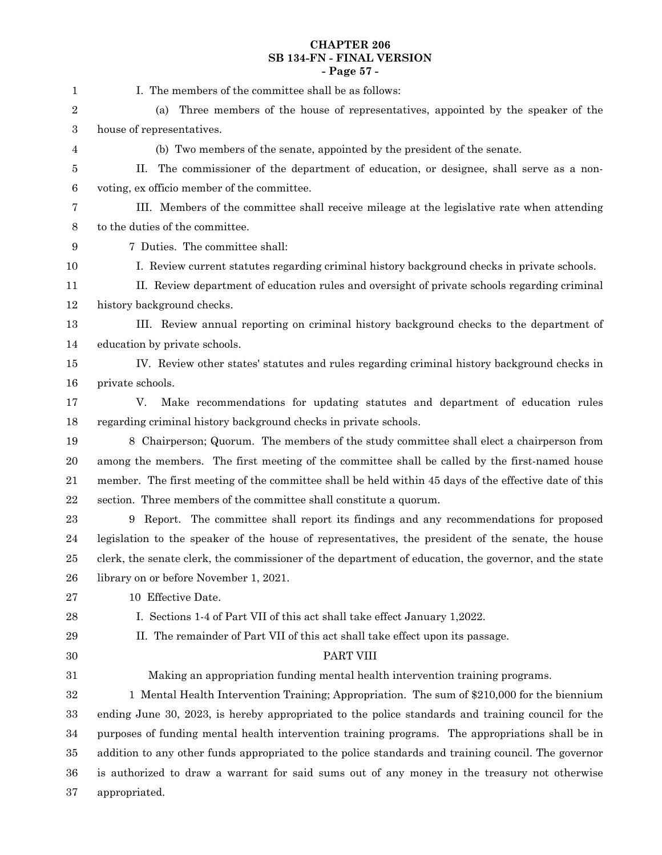# **CHAPTER 206 SB 134-FN - FINAL VERSION - Page 57 -**

| 1                | I. The members of the committee shall be as follows:                                                  |
|------------------|-------------------------------------------------------------------------------------------------------|
| 2                | Three members of the house of representatives, appointed by the speaker of the<br>(a)                 |
| 3                | house of representatives.                                                                             |
| 4                | (b) Two members of the senate, appointed by the president of the senate.                              |
| 5                | The commissioner of the department of education, or designee, shall serve as a non-<br>П.             |
| $\boldsymbol{6}$ | voting, ex officio member of the committee.                                                           |
| 7                | III. Members of the committee shall receive mileage at the legislative rate when attending            |
| 8                | to the duties of the committee.                                                                       |
| $\boldsymbol{9}$ | 7 Duties. The committee shall:                                                                        |
| 10               | I. Review current statutes regarding criminal history background checks in private schools.           |
| 11               | II. Review department of education rules and oversight of private schools regarding criminal          |
| 12               | history background checks.                                                                            |
| 13               | III. Review annual reporting on criminal history background checks to the department of               |
| 14               | education by private schools.                                                                         |
| 15               | IV. Review other states' statutes and rules regarding criminal history background checks in           |
| 16               | private schools.                                                                                      |
| 17               | V.<br>Make recommendations for updating statutes and department of education rules                    |
| 18               | regarding criminal history background checks in private schools.                                      |
| 19               | 8 Chairperson; Quorum. The members of the study committee shall elect a chairperson from              |
| 20               | among the members. The first meeting of the committee shall be called by the first-named house        |
| 21               | member. The first meeting of the committee shall be held within 45 days of the effective date of this |
| $\bf 22$         | section. Three members of the committee shall constitute a quorum.                                    |
| 23               | 9 Report. The committee shall report its findings and any recommendations for proposed                |
| 24               | legislation to the speaker of the house of representatives, the president of the senate, the house    |
| 25               | clerk, the senate clerk, the commissioner of the department of education, the governor, and the state |
| 26               | library on or before November 1, 2021.                                                                |
| 27               | 10 Effective Date.                                                                                    |
| 28               | I. Sections 1-4 of Part VII of this act shall take effect January 1,2022.                             |
| 29               | II. The remainder of Part VII of this act shall take effect upon its passage.                         |
| 30               | PART VIII                                                                                             |
| 31               | Making an appropriation funding mental health intervention training programs.                         |
| 32               | 1 Mental Health Intervention Training; Appropriation. The sum of \$210,000 for the biennium           |
| 33               | ending June 30, 2023, is hereby appropriated to the police standards and training council for the     |
| 34               | purposes of funding mental health intervention training programs. The appropriations shall be in      |
| 35               | addition to any other funds appropriated to the police standards and training council. The governor   |
| 36               | is authorized to draw a warrant for said sums out of any money in the treasury not otherwise          |
| 37               | appropriated.                                                                                         |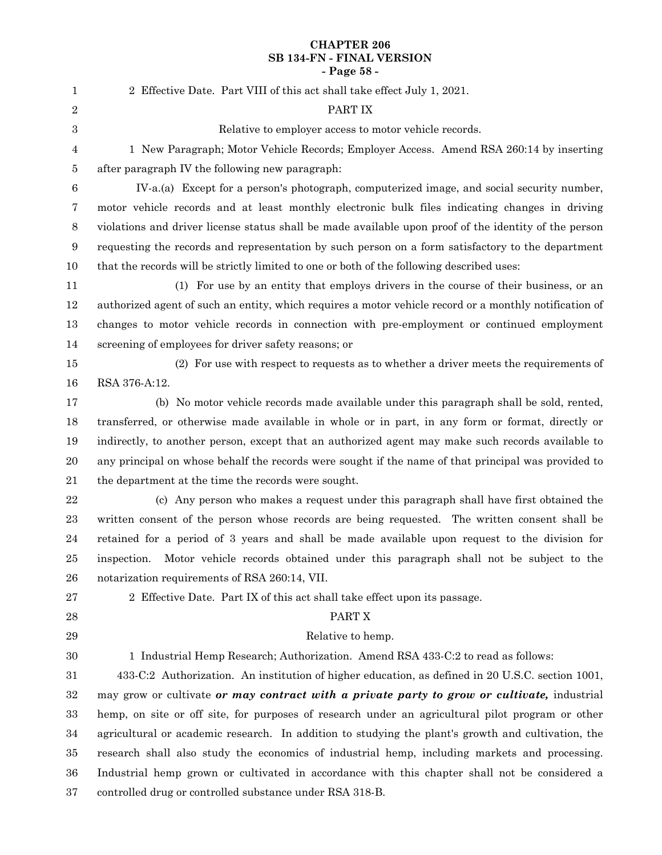# **CHAPTER 206 SB 134-FN - FINAL VERSION - Page 58 -**

| 1                | 2 Effective Date. Part VIII of this act shall take effect July 1, 2021.                                |
|------------------|--------------------------------------------------------------------------------------------------------|
| $\sqrt{2}$       | PART IX                                                                                                |
| $\boldsymbol{3}$ | Relative to employer access to motor vehicle records.                                                  |
| $\overline{4}$   | 1 New Paragraph; Motor Vehicle Records; Employer Access. Amend RSA 260:14 by inserting                 |
| $\bf 5$          | after paragraph IV the following new paragraph:                                                        |
| $\,6\,$          | IV-a.(a) Except for a person's photograph, computerized image, and social security number,             |
| $\overline{7}$   | motor vehicle records and at least monthly electronic bulk files indicating changes in driving         |
| $\,8\,$          | violations and driver license status shall be made available upon proof of the identity of the person  |
| $\boldsymbol{9}$ | requesting the records and representation by such person on a form satisfactory to the department      |
| 10               | that the records will be strictly limited to one or both of the following described uses:              |
| 11               | (1) For use by an entity that employs drivers in the course of their business, or an                   |
| 12               | authorized agent of such an entity, which requires a motor vehicle record or a monthly notification of |
| 13               | changes to motor vehicle records in connection with pre-employment or continued employment             |
| 14               | screening of employees for driver safety reasons; or                                                   |
| 15               | (2) For use with respect to requests as to whether a driver meets the requirements of                  |
| 16               | RSA 376-A:12.                                                                                          |
| 17               | (b) No motor vehicle records made available under this paragraph shall be sold, rented,                |
| 18               | transferred, or otherwise made available in whole or in part, in any form or format, directly or       |
| 19               | indirectly, to another person, except that an authorized agent may make such records available to      |
| $20\,$           | any principal on whose behalf the records were sought if the name of that principal was provided to    |
| 21               | the department at the time the records were sought.                                                    |
| $\bf{22}$        | (c) Any person who makes a request under this paragraph shall have first obtained the                  |
| $\bf 23$         | written consent of the person whose records are being requested. The written consent shall be          |
| $\sqrt{24}$      | retained for a period of 3 years and shall be made available upon request to the division for          |
| $25\,$           | Motor vehicle records obtained under this paragraph shall not be subject to the<br>inspection.         |
| ${\bf 26}$       | notarization requirements of RSA 260:14, VII.                                                          |
| $\sqrt{27}$      | 2 Effective Date. Part IX of this act shall take effect upon its passage.                              |
| $\bf 28$         | PART X                                                                                                 |
| 29               | Relative to hemp.                                                                                      |
| $30\,$           | 1 Industrial Hemp Research; Authorization. Amend RSA 433-C:2 to read as follows:                       |
| 31               | 433-C:2 Authorization. An institution of higher education, as defined in 20 U.S.C. section 1001,       |
| $32\,$           | may grow or cultivate or may contract with a private party to grow or cultivate, industrial            |
| 33               | hemp, on site or off site, for purposes of research under an agricultural pilot program or other       |
| 34               | agricultural or academic research. In addition to studying the plant's growth and cultivation, the     |
| 35               | research shall also study the economics of industrial hemp, including markets and processing.          |
| 36               | Industrial hemp grown or cultivated in accordance with this chapter shall not be considered a          |
| $37\,$           | controlled drug or controlled substance under RSA 318-B.                                               |